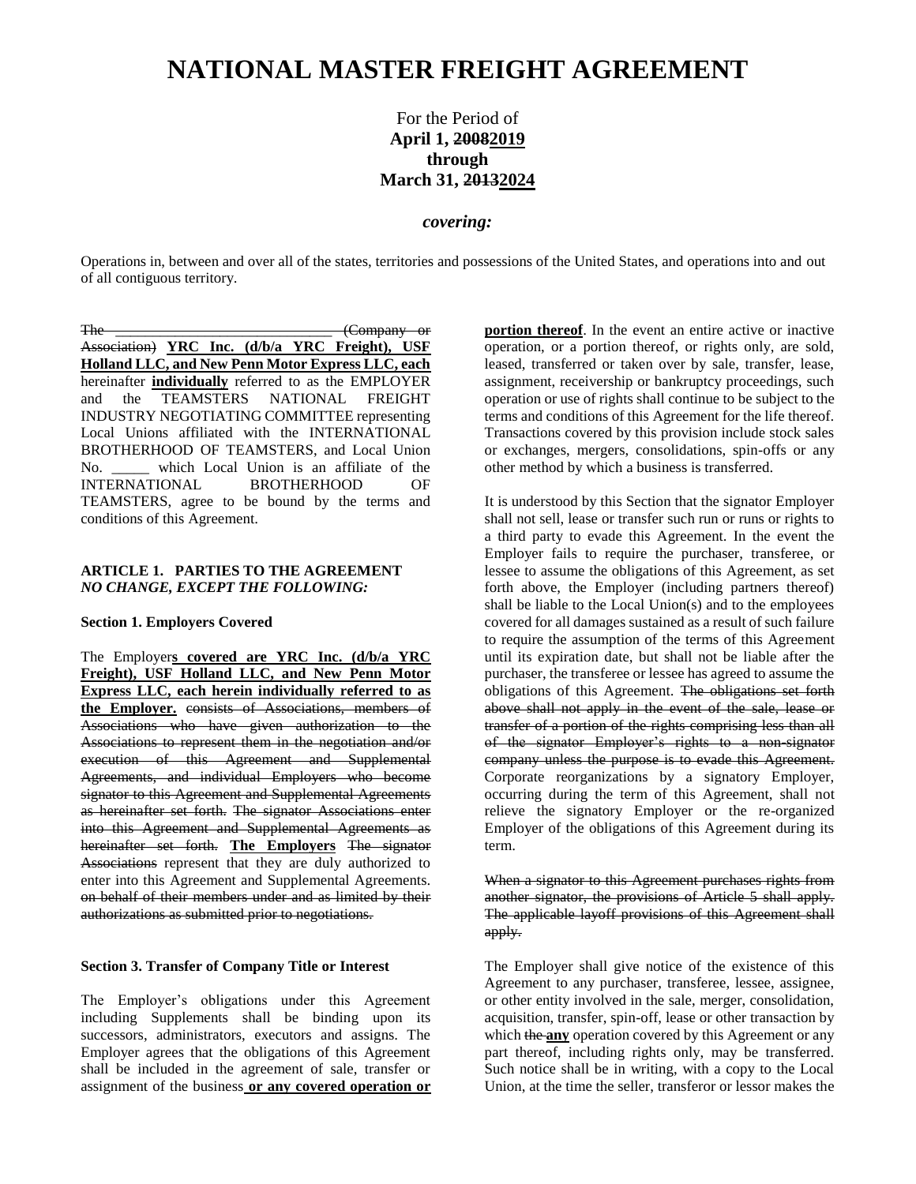# **NATIONAL MASTER FREIGHT AGREEMENT**

For the Period of **April 1, 20082019 through March 31, 20132024**

### *covering:*

Operations in, between and over all of the states, territories and possessions of the United States, and operations into and out of all contiguous territory.

The Company or Association) **YRC Inc. (d/b/a YRC Freight), USF Holland LLC, and New Penn Motor Express LLC, each**  hereinafter **individually** referred to as the EMPLOYER and the TEAMSTERS NATIONAL FREIGHT INDUSTRY NEGOTIATING COMMITTEE representing Local Unions affiliated with the INTERNATIONAL BROTHERHOOD OF TEAMSTERS, and Local Union No. \_\_\_\_\_ which Local Union is an affiliate of the INTERNATIONAL BROTHERHOOD OF TEAMSTERS, agree to be bound by the terms and conditions of this Agreement.

#### **ARTICLE 1. PARTIES TO THE AGREEMENT**  *NO CHANGE, EXCEPT THE FOLLOWING:*

#### **Section 1. Employers Covered**

The Employer**s covered are YRC Inc. (d/b/a YRC Freight), USF Holland LLC, and New Penn Motor Express LLC, each herein individually referred to as the Employer.** consists of Associations, members of Associations who have given authorization to the Associations to represent them in the negotiation and/or execution of this Agreement and Supplemental Agreements, and individual Employers who become signator to this Agreement and Supplemental Agreements as hereinafter set forth. The signator Associations enter into this Agreement and Supplemental Agreements as hereinafter set forth. **The Employers** The signator Associations represent that they are duly authorized to enter into this Agreement and Supplemental Agreements. on behalf of their members under and as limited by their authorizations as submitted prior to negotiations.

#### **Section 3. Transfer of Company Title or Interest**

The Employer's obligations under this Agreement including Supplements shall be binding upon its successors, administrators, executors and assigns. The Employer agrees that the obligations of this Agreement shall be included in the agreement of sale, transfer or assignment of the business **or any covered operation or**  **portion thereof**. In the event an entire active or inactive operation, or a portion thereof, or rights only, are sold, leased, transferred or taken over by sale, transfer, lease, assignment, receivership or bankruptcy proceedings, such operation or use of rights shall continue to be subject to the terms and conditions of this Agreement for the life thereof. Transactions covered by this provision include stock sales or exchanges, mergers, consolidations, spin-offs or any other method by which a business is transferred.

It is understood by this Section that the signator Employer shall not sell, lease or transfer such run or runs or rights to a third party to evade this Agreement. In the event the Employer fails to require the purchaser, transferee, or lessee to assume the obligations of this Agreement, as set forth above, the Employer (including partners thereof) shall be liable to the Local Union(s) and to the employees covered for all damages sustained as a result of such failure to require the assumption of the terms of this Agreement until its expiration date, but shall not be liable after the purchaser, the transferee or lessee has agreed to assume the obligations of this Agreement. The obligations set forth above shall not apply in the event of the sale, lease or transfer of a portion of the rights comprising less than all of the signator Employer's rights to a non-signator company unless the purpose is to evade this Agreement. Corporate reorganizations by a signatory Employer, occurring during the term of this Agreement, shall not relieve the signatory Employer or the re-organized Employer of the obligations of this Agreement during its term.

When a signator to this Agreement purchases rights from another signator, the provisions of Article 5 shall apply. The applicable layoff provisions of this Agreement shall apply.

The Employer shall give notice of the existence of this Agreement to any purchaser, transferee, lessee, assignee, or other entity involved in the sale, merger, consolidation, acquisition, transfer, spin-off, lease or other transaction by which the **any** operation covered by this Agreement or any part thereof, including rights only, may be transferred. Such notice shall be in writing, with a copy to the Local Union, at the time the seller, transferor or lessor makes the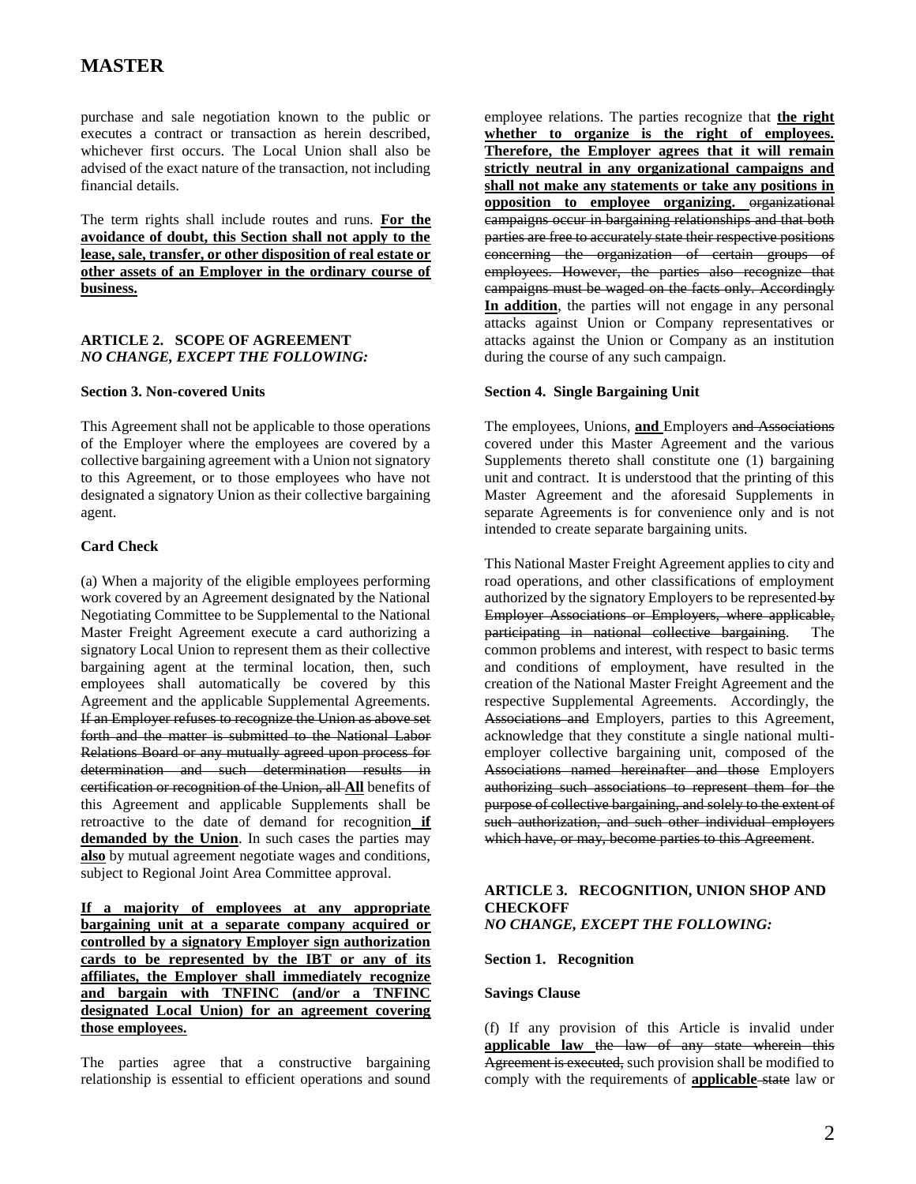purchase and sale negotiation known to the public or executes a contract or transaction as herein described, whichever first occurs. The Local Union shall also be advised of the exact nature of the transaction, not including financial details.

The term rights shall include routes and runs. **For the avoidance of doubt, this Section shall not apply to the lease, sale, transfer, or other disposition of real estate or other assets of an Employer in the ordinary course of business.**

#### **ARTICLE 2. SCOPE OF AGREEMENT**  *NO CHANGE, EXCEPT THE FOLLOWING:*

#### **Section 3. Non-covered Units**

This Agreement shall not be applicable to those operations of the Employer where the employees are covered by a collective bargaining agreement with a Union not signatory to this Agreement, or to those employees who have not designated a signatory Union as their collective bargaining agent.

### **Card Check**

(a) When a majority of the eligible employees performing work covered by an Agreement designated by the National Negotiating Committee to be Supplemental to the National Master Freight Agreement execute a card authorizing a signatory Local Union to represent them as their collective bargaining agent at the terminal location, then, such employees shall automatically be covered by this Agreement and the applicable Supplemental Agreements. If an Employer refuses to recognize the Union as above set forth and the matter is submitted to the National Labor Relations Board or any mutually agreed upon process for determination and such determination results in certification or recognition of the Union, all **All** benefits of this Agreement and applicable Supplements shall be retroactive to the date of demand for recognition **if**  demanded by the Union. In such cases the parties may **also** by mutual agreement negotiate wages and conditions, subject to Regional Joint Area Committee approval.

**If a majority of employees at any appropriate bargaining unit at a separate company acquired or controlled by a signatory Employer sign authorization cards to be represented by the IBT or any of its affiliates, the Employer shall immediately recognize and bargain with TNFINC (and/or a TNFINC designated Local Union) for an agreement covering those employees.**

The parties agree that a constructive bargaining relationship is essential to efficient operations and sound

employee relations. The parties recognize that **the right whether to organize is the right of employees. Therefore, the Employer agrees that it will remain strictly neutral in any organizational campaigns and shall not make any statements or take any positions in opposition to employee organizing.** organizational campaigns occur in bargaining relationships and that both parties are free to accurately state their respective positions concerning the organization of certain groups of employees. However, the parties also recognize that campaigns must be waged on the facts only. Accordingly **In addition**, the parties will not engage in any personal attacks against Union or Company representatives or attacks against the Union or Company as an institution during the course of any such campaign.

#### **Section 4. Single Bargaining Unit**

The employees, Unions, **and** Employers and Associations covered under this Master Agreement and the various Supplements thereto shall constitute one (1) bargaining unit and contract. It is understood that the printing of this Master Agreement and the aforesaid Supplements in separate Agreements is for convenience only and is not intended to create separate bargaining units.

This National Master Freight Agreement applies to city and road operations, and other classifications of employment authorized by the signatory Employers to be represented by Employer Associations or Employers, where applicable, participating in national collective bargaining. The common problems and interest, with respect to basic terms and conditions of employment, have resulted in the creation of the National Master Freight Agreement and the respective Supplemental Agreements. Accordingly, the Associations and Employers, parties to this Agreement, acknowledge that they constitute a single national multiemployer collective bargaining unit, composed of the Associations named hereinafter and those Employers authorizing such associations to represent them for the purpose of collective bargaining, and solely to the extent of such authorization, and such other individual employers which have, or may, become parties to this Agreement.

#### **ARTICLE 3. RECOGNITION, UNION SHOP AND CHECKOFF** *NO CHANGE, EXCEPT THE FOLLOWING:*

#### **Section 1. Recognition**

#### **Savings Clause**

(f) If any provision of this Article is invalid under **applicable law** the law of any state wherein this Agreement is executed, such provision shall be modified to comply with the requirements of **applicable** state law or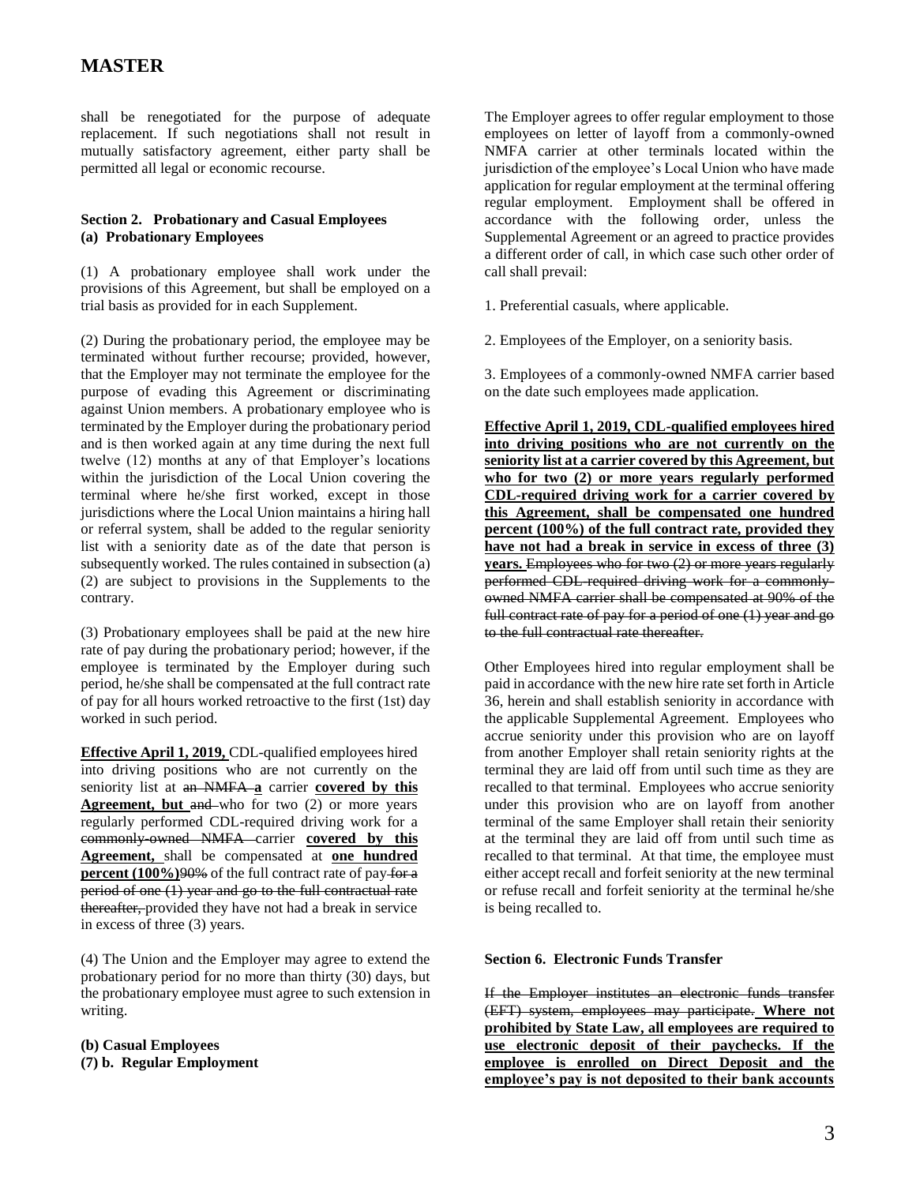shall be renegotiated for the purpose of adequate replacement. If such negotiations shall not result in mutually satisfactory agreement, either party shall be permitted all legal or economic recourse.

### **Section 2. Probationary and Casual Employees (a) Probationary Employees**

(1) A probationary employee shall work under the provisions of this Agreement, but shall be employed on a trial basis as provided for in each Supplement.

(2) During the probationary period, the employee may be terminated without further recourse; provided, however, that the Employer may not terminate the employee for the purpose of evading this Agreement or discriminating against Union members. A probationary employee who is terminated by the Employer during the probationary period and is then worked again at any time during the next full twelve (12) months at any of that Employer's locations within the jurisdiction of the Local Union covering the terminal where he/she first worked, except in those jurisdictions where the Local Union maintains a hiring hall or referral system, shall be added to the regular seniority list with a seniority date as of the date that person is subsequently worked. The rules contained in subsection (a) (2) are subject to provisions in the Supplements to the contrary.

(3) Probationary employees shall be paid at the new hire rate of pay during the probationary period; however, if the employee is terminated by the Employer during such period, he/she shall be compensated at the full contract rate of pay for all hours worked retroactive to the first (1st) day worked in such period.

**Effective April 1, 2019,** CDL-qualified employees hired into driving positions who are not currently on the seniority list at an NMFA **a** carrier **covered by this Agreement, but and who for two (2) or more years** regularly performed CDL-required driving work for a commonly-owned NMFA carrier **covered by this Agreement,** shall be compensated at **one hundred percent (100%)**90% of the full contract rate of pay for a period of one (1) year and go to the full contractual rate thereafter, provided they have not had a break in service in excess of three (3) years.

(4) The Union and the Employer may agree to extend the probationary period for no more than thirty (30) days, but the probationary employee must agree to such extension in writing.

**(b) Casual Employees (7) b. Regular Employment** The Employer agrees to offer regular employment to those employees on letter of layoff from a commonly-owned NMFA carrier at other terminals located within the jurisdiction of the employee's Local Union who have made application for regular employment at the terminal offering regular employment. Employment shall be offered in accordance with the following order, unless the Supplemental Agreement or an agreed to practice provides a different order of call, in which case such other order of call shall prevail:

1. Preferential casuals, where applicable.

2. Employees of the Employer, on a seniority basis.

3. Employees of a commonly-owned NMFA carrier based on the date such employees made application.

**Effective April 1, 2019, CDL-qualified employees hired into driving positions who are not currently on the seniority list at a carrier covered by this Agreement, but who for two (2) or more years regularly performed CDL-required driving work for a carrier covered by this Agreement, shall be compensated one hundred percent (100%) of the full contract rate, provided they have not had a break in service in excess of three (3) years.** Employees who for two (2) or more years regularly performed CDL-required driving work for a commonlyowned NMFA carrier shall be compensated at 90% of the full contract rate of pay for a period of one (1) year and go to the full contractual rate thereafter.

Other Employees hired into regular employment shall be paid in accordance with the new hire rate set forth in Article 36, herein and shall establish seniority in accordance with the applicable Supplemental Agreement. Employees who accrue seniority under this provision who are on layoff from another Employer shall retain seniority rights at the terminal they are laid off from until such time as they are recalled to that terminal. Employees who accrue seniority under this provision who are on layoff from another terminal of the same Employer shall retain their seniority at the terminal they are laid off from until such time as recalled to that terminal. At that time, the employee must either accept recall and forfeit seniority at the new terminal or refuse recall and forfeit seniority at the terminal he/she is being recalled to.

#### **Section 6. Electronic Funds Transfer**

If the Employer institutes an electronic funds transfer (EFT) system, employees may participate. **Where not prohibited by State Law, all employees are required to use electronic deposit of their paychecks. If the employee is enrolled on Direct Deposit and the employee's pay is not deposited to their bank accounts**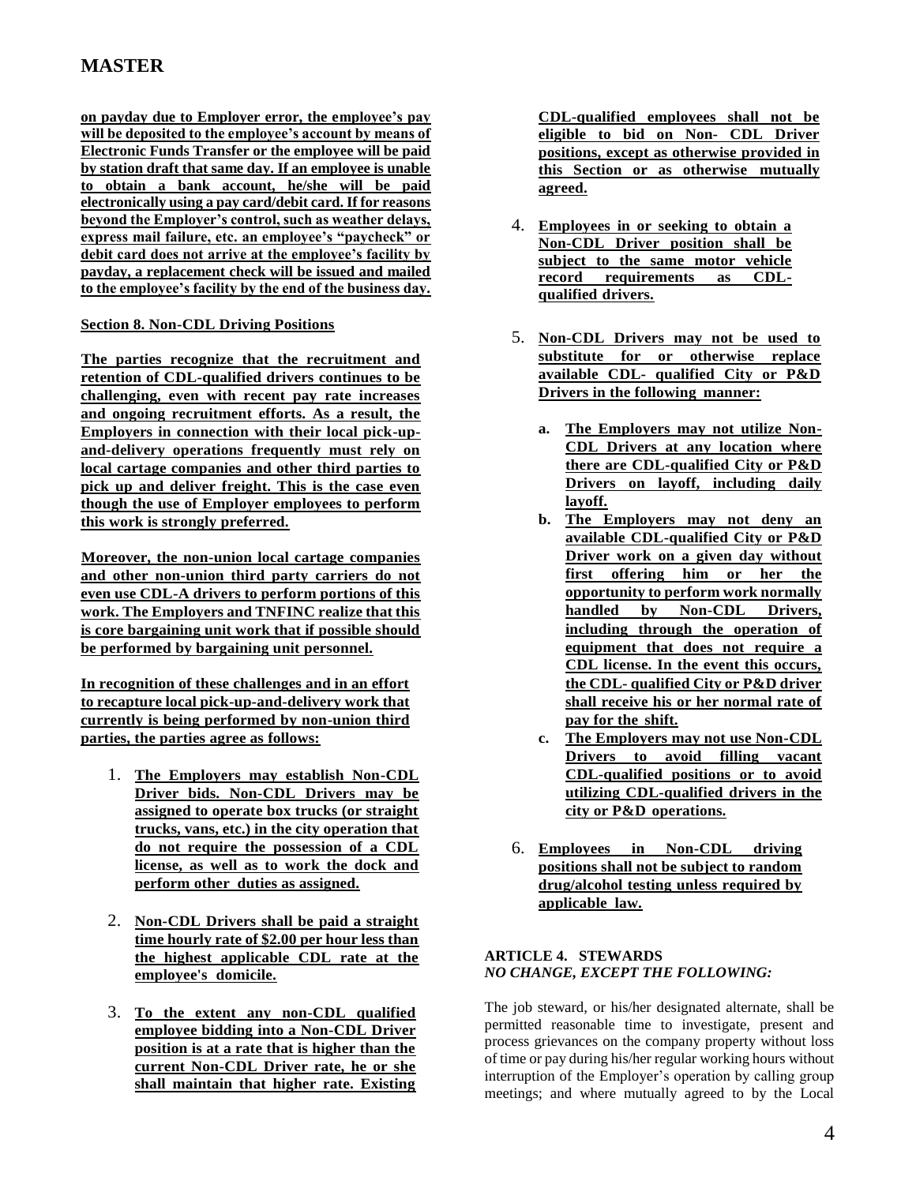**on payday due to Employer error, the employee's pay will be deposited to the employee's account by means of Electronic Funds Transfer or the employee will be paid by station draft that same day. If an employee is unable to obtain a bank account, he/she will be paid electronically using a pay card/debit card. If for reasons beyond the Employer's control, such as weather delays, express mail failure, etc. an employee's "paycheck" or debit card does not arrive at the employee's facility by payday, a replacement check will be issued and mailed to the employee's facility by the end of the business day.**

### **Section 8. Non-CDL Driving Positions**

**The parties recognize that the recruitment and retention of CDL-qualified drivers continues to be challenging, even with recent pay rate increases and ongoing recruitment efforts. As a result, the Employers in connection with their local pick-upand-delivery operations frequently must rely on local cartage companies and other third parties to pick up and deliver freight. This is the case even though the use of Employer employees to perform this work is strongly preferred.**

**Moreover, the non-union local cartage companies and other non-union third party carriers do not even use CDL-A drivers to perform portions of this work. The Employers and TNFINC realize that this is core bargaining unit work that if possible should be performed by bargaining unit personnel.**

**In recognition of these challenges and in an effort to recapture local pick-up-and-delivery work that currently is being performed by non-union third parties, the parties agree as follows:**

- 1. **The Employers may establish Non-CDL Driver bids. Non-CDL Drivers may be assigned to operate box trucks (or straight trucks, vans, etc.) in the city operation that do not require the possession of a CDL license, as well as to work the dock and perform other duties as assigned.**
- 2. **Non-CDL Drivers shall be paid a straight time hourly rate of \$2.00 per hour less than the highest applicable CDL rate at the employee's domicile.**
- 3. **To the extent any non-CDL qualified employee bidding into a Non-CDL Driver position is at a rate that is higher than the current Non-CDL Driver rate, he or she shall maintain that higher rate. Existing**

**CDL-qualified employees shall not be eligible to bid on Non- CDL Driver positions, except as otherwise provided in this Section or as otherwise mutually agreed.**

- 4. **Employees in or seeking to obtain a Non-CDL Driver position shall be subject to the same motor vehicle record requirements as CDLqualified drivers.**
- 5. **Non-CDL Drivers may not be used to substitute for or otherwise replace available CDL- qualified City or P&D Drivers in the following manner:**
	- **a. The Employers may not utilize Non-CDL Drivers at any location where there are CDL-qualified City or P&D Drivers on layoff, including daily layoff.**
	- **b. The Employers may not deny an available CDL-qualified City or P&D Driver work on a given day without first offering him or her the opportunity to perform work normally handled by Non-CDL Drivers, including through the operation of equipment that does not require a CDL license. In the event this occurs, the CDL- qualified City or P&D driver shall receive his or her normal rate of pay for the shift.**
	- **c. The Employers may not use Non-CDL Drivers to avoid filling vacant CDL-qualified positions or to avoid utilizing CDL-qualified drivers in the city or P&D operations.**
- 6. **Employees in Non-CDL driving positions shall not be subject to random drug/alcohol testing unless required by applicable law.**

### **ARTICLE 4. STEWARDS**  *NO CHANGE, EXCEPT THE FOLLOWING:*

The job steward, or his/her designated alternate, shall be permitted reasonable time to investigate, present and process grievances on the company property without loss of time or pay during his/her regular working hours without interruption of the Employer's operation by calling group meetings; and where mutually agreed to by the Local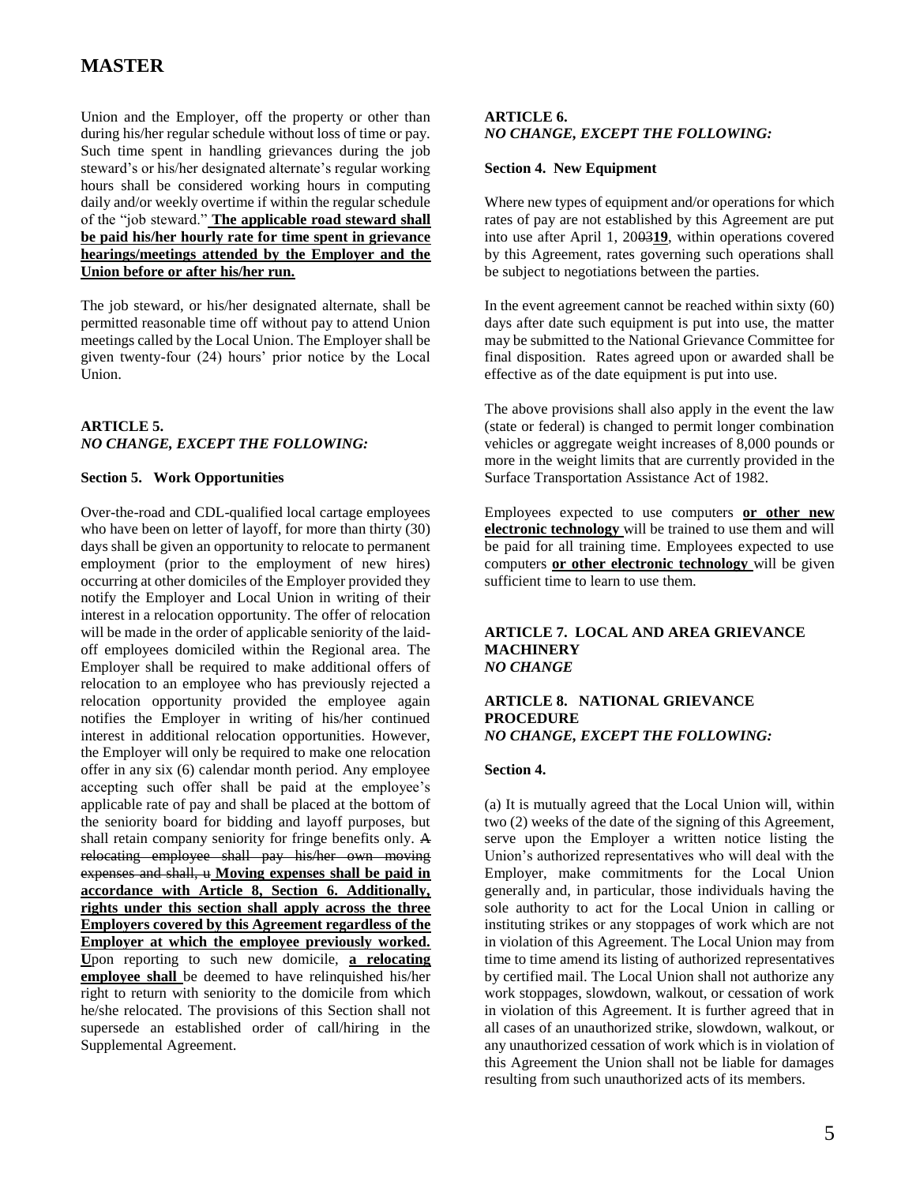Union and the Employer, off the property or other than during his/her regular schedule without loss of time or pay. Such time spent in handling grievances during the job steward's or his/her designated alternate's regular working hours shall be considered working hours in computing daily and/or weekly overtime if within the regular schedule of the "job steward." **The applicable road steward shall be paid his/her hourly rate for time spent in grievance hearings/meetings attended by the Employer and the Union before or after his/her run.**

The job steward, or his/her designated alternate, shall be permitted reasonable time off without pay to attend Union meetings called by the Local Union. The Employer shall be given twenty-four (24) hours' prior notice by the Local Union.

### **ARTICLE 5.**  *NO CHANGE, EXCEPT THE FOLLOWING:*

### **Section 5. Work Opportunities**

Over-the-road and CDL-qualified local cartage employees who have been on letter of layoff, for more than thirty (30) days shall be given an opportunity to relocate to permanent employment (prior to the employment of new hires) occurring at other domiciles of the Employer provided they notify the Employer and Local Union in writing of their interest in a relocation opportunity. The offer of relocation will be made in the order of applicable seniority of the laidoff employees domiciled within the Regional area. The Employer shall be required to make additional offers of relocation to an employee who has previously rejected a relocation opportunity provided the employee again notifies the Employer in writing of his/her continued interest in additional relocation opportunities. However, the Employer will only be required to make one relocation offer in any six (6) calendar month period. Any employee accepting such offer shall be paid at the employee's applicable rate of pay and shall be placed at the bottom of the seniority board for bidding and layoff purposes, but shall retain company seniority for fringe benefits only. A relocating employee shall pay his/her own moving expenses and shall, u **Moving expenses shall be paid in accordance with Article 8, Section 6. Additionally, rights under this section shall apply across the three Employers covered by this Agreement regardless of the Employer at which the employee previously worked. U**pon reporting to such new domicile, **a relocating employee shall** be deemed to have relinquished his/her right to return with seniority to the domicile from which he/she relocated. The provisions of this Section shall not supersede an established order of call/hiring in the Supplemental Agreement.

### **ARTICLE 6.** *NO CHANGE, EXCEPT THE FOLLOWING:*

#### **Section 4. New Equipment**

Where new types of equipment and/or operations for which rates of pay are not established by this Agreement are put into use after April 1, 2003**19**, within operations covered by this Agreement, rates governing such operations shall be subject to negotiations between the parties.

In the event agreement cannot be reached within sixty (60) days after date such equipment is put into use, the matter may be submitted to the National Grievance Committee for final disposition. Rates agreed upon or awarded shall be effective as of the date equipment is put into use.

The above provisions shall also apply in the event the law (state or federal) is changed to permit longer combination vehicles or aggregate weight increases of 8,000 pounds or more in the weight limits that are currently provided in the Surface Transportation Assistance Act of 1982.

Employees expected to use computers **or other new electronic technology** will be trained to use them and will be paid for all training time. Employees expected to use computers **or other electronic technology** will be given sufficient time to learn to use them.

#### **ARTICLE 7. LOCAL AND AREA GRIEVANCE MACHINERY** *NO CHANGE*

#### **ARTICLE 8. NATIONAL GRIEVANCE PROCEDURE** *NO CHANGE, EXCEPT THE FOLLOWING:*

#### **Section 4.**

(a) It is mutually agreed that the Local Union will, within two (2) weeks of the date of the signing of this Agreement, serve upon the Employer a written notice listing the Union's authorized representatives who will deal with the Employer, make commitments for the Local Union generally and, in particular, those individuals having the sole authority to act for the Local Union in calling or instituting strikes or any stoppages of work which are not in violation of this Agreement. The Local Union may from time to time amend its listing of authorized representatives by certified mail. The Local Union shall not authorize any work stoppages, slowdown, walkout, or cessation of work in violation of this Agreement. It is further agreed that in all cases of an unauthorized strike, slowdown, walkout, or any unauthorized cessation of work which is in violation of this Agreement the Union shall not be liable for damages resulting from such unauthorized acts of its members.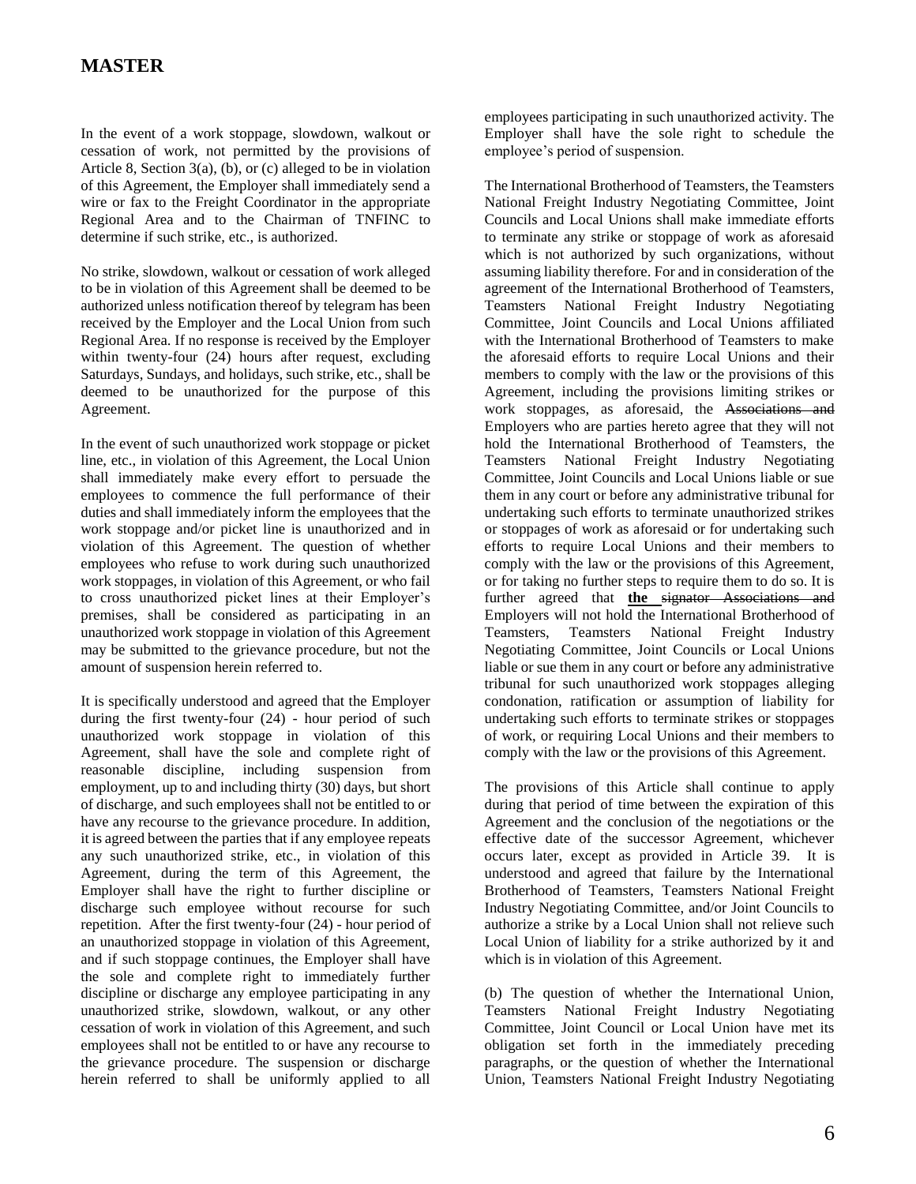In the event of a work stoppage, slowdown, walkout or cessation of work, not permitted by the provisions of Article 8, Section 3(a), (b), or (c) alleged to be in violation of this Agreement, the Employer shall immediately send a wire or fax to the Freight Coordinator in the appropriate Regional Area and to the Chairman of TNFINC to determine if such strike, etc., is authorized.

No strike, slowdown, walkout or cessation of work alleged to be in violation of this Agreement shall be deemed to be authorized unless notification thereof by telegram has been received by the Employer and the Local Union from such Regional Area. If no response is received by the Employer within twenty-four (24) hours after request, excluding Saturdays, Sundays, and holidays, such strike, etc., shall be deemed to be unauthorized for the purpose of this Agreement.

In the event of such unauthorized work stoppage or picket line, etc., in violation of this Agreement, the Local Union shall immediately make every effort to persuade the employees to commence the full performance of their duties and shall immediately inform the employees that the work stoppage and/or picket line is unauthorized and in violation of this Agreement. The question of whether employees who refuse to work during such unauthorized work stoppages, in violation of this Agreement, or who fail to cross unauthorized picket lines at their Employer's premises, shall be considered as participating in an unauthorized work stoppage in violation of this Agreement may be submitted to the grievance procedure, but not the amount of suspension herein referred to.

It is specifically understood and agreed that the Employer during the first twenty-four (24) - hour period of such unauthorized work stoppage in violation of this Agreement, shall have the sole and complete right of reasonable discipline, including suspension from employment, up to and including thirty (30) days, but short of discharge, and such employees shall not be entitled to or have any recourse to the grievance procedure. In addition, it is agreed between the parties that if any employee repeats any such unauthorized strike, etc., in violation of this Agreement, during the term of this Agreement, the Employer shall have the right to further discipline or discharge such employee without recourse for such repetition. After the first twenty-four (24) - hour period of an unauthorized stoppage in violation of this Agreement, and if such stoppage continues, the Employer shall have the sole and complete right to immediately further discipline or discharge any employee participating in any unauthorized strike, slowdown, walkout, or any other cessation of work in violation of this Agreement, and such employees shall not be entitled to or have any recourse to the grievance procedure. The suspension or discharge herein referred to shall be uniformly applied to all employees participating in such unauthorized activity. The Employer shall have the sole right to schedule the employee's period of suspension.

The International Brotherhood of Teamsters, the Teamsters National Freight Industry Negotiating Committee, Joint Councils and Local Unions shall make immediate efforts to terminate any strike or stoppage of work as aforesaid which is not authorized by such organizations, without assuming liability therefore. For and in consideration of the agreement of the International Brotherhood of Teamsters, Teamsters National Freight Industry Negotiating Committee, Joint Councils and Local Unions affiliated with the International Brotherhood of Teamsters to make the aforesaid efforts to require Local Unions and their members to comply with the law or the provisions of this Agreement, including the provisions limiting strikes or work stoppages, as aforesaid, the Associations and Employers who are parties hereto agree that they will not hold the International Brotherhood of Teamsters, the Teamsters National Freight Industry Negotiating Committee, Joint Councils and Local Unions liable or sue them in any court or before any administrative tribunal for undertaking such efforts to terminate unauthorized strikes or stoppages of work as aforesaid or for undertaking such efforts to require Local Unions and their members to comply with the law or the provisions of this Agreement, or for taking no further steps to require them to do so. It is further agreed that **the** signator Associations and Employers will not hold the International Brotherhood of Teamsters, Teamsters National Freight Industry Negotiating Committee, Joint Councils or Local Unions liable or sue them in any court or before any administrative tribunal for such unauthorized work stoppages alleging condonation, ratification or assumption of liability for undertaking such efforts to terminate strikes or stoppages of work, or requiring Local Unions and their members to comply with the law or the provisions of this Agreement.

The provisions of this Article shall continue to apply during that period of time between the expiration of this Agreement and the conclusion of the negotiations or the effective date of the successor Agreement, whichever occurs later, except as provided in Article 39. It is understood and agreed that failure by the International Brotherhood of Teamsters, Teamsters National Freight Industry Negotiating Committee, and/or Joint Councils to authorize a strike by a Local Union shall not relieve such Local Union of liability for a strike authorized by it and which is in violation of this Agreement.

(b) The question of whether the International Union, Teamsters National Freight Industry Negotiating Committee, Joint Council or Local Union have met its obligation set forth in the immediately preceding paragraphs, or the question of whether the International Union, Teamsters National Freight Industry Negotiating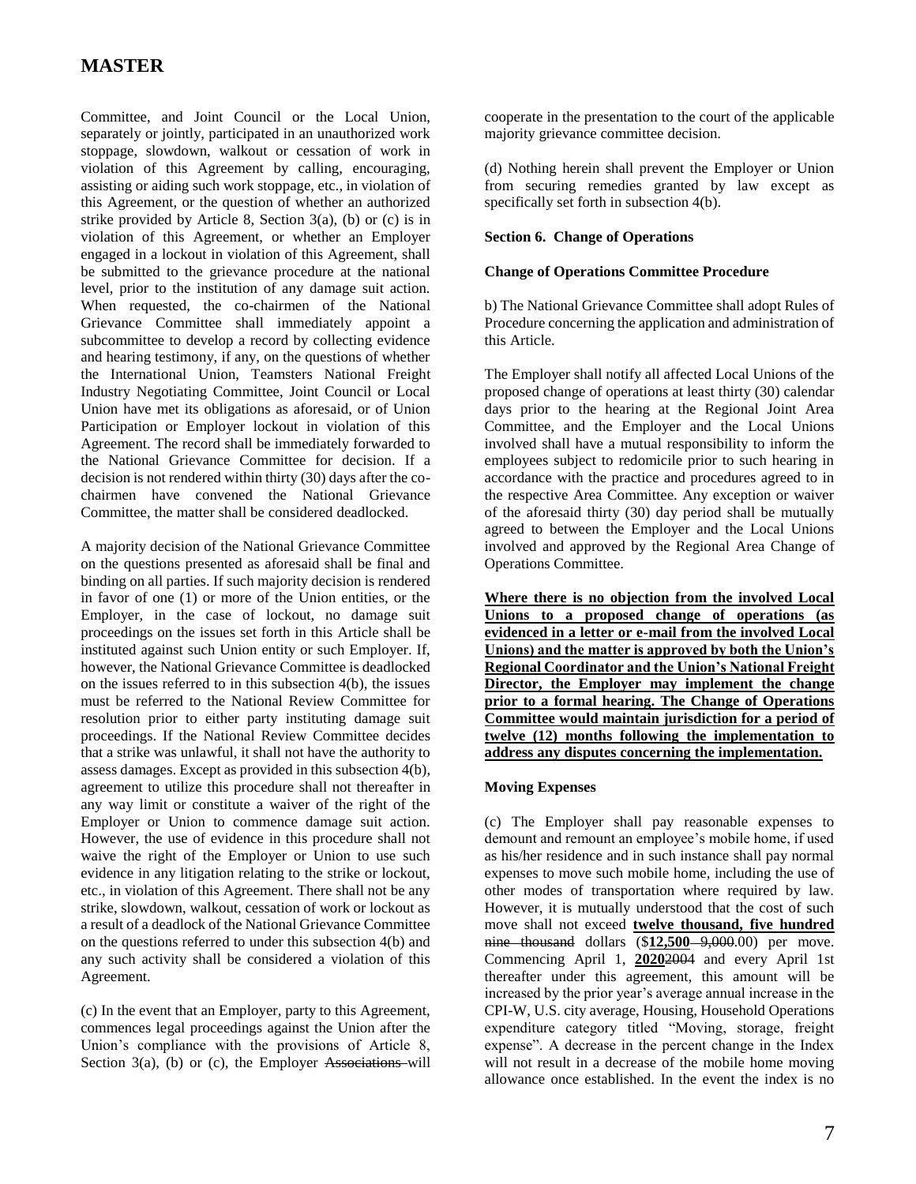Committee, and Joint Council or the Local Union, separately or jointly, participated in an unauthorized work stoppage, slowdown, walkout or cessation of work in violation of this Agreement by calling, encouraging, assisting or aiding such work stoppage, etc., in violation of this Agreement, or the question of whether an authorized strike provided by Article 8, Section 3(a), (b) or (c) is in violation of this Agreement, or whether an Employer engaged in a lockout in violation of this Agreement, shall be submitted to the grievance procedure at the national level, prior to the institution of any damage suit action. When requested, the co-chairmen of the National Grievance Committee shall immediately appoint a subcommittee to develop a record by collecting evidence and hearing testimony, if any, on the questions of whether the International Union, Teamsters National Freight Industry Negotiating Committee, Joint Council or Local Union have met its obligations as aforesaid, or of Union Participation or Employer lockout in violation of this Agreement. The record shall be immediately forwarded to the National Grievance Committee for decision. If a decision is not rendered within thirty (30) days after the cochairmen have convened the National Grievance Committee, the matter shall be considered deadlocked.

A majority decision of the National Grievance Committee on the questions presented as aforesaid shall be final and binding on all parties. If such majority decision is rendered in favor of one (1) or more of the Union entities, or the Employer, in the case of lockout, no damage suit proceedings on the issues set forth in this Article shall be instituted against such Union entity or such Employer. If, however, the National Grievance Committee is deadlocked on the issues referred to in this subsection 4(b), the issues must be referred to the National Review Committee for resolution prior to either party instituting damage suit proceedings. If the National Review Committee decides that a strike was unlawful, it shall not have the authority to assess damages. Except as provided in this subsection 4(b), agreement to utilize this procedure shall not thereafter in any way limit or constitute a waiver of the right of the Employer or Union to commence damage suit action. However, the use of evidence in this procedure shall not waive the right of the Employer or Union to use such evidence in any litigation relating to the strike or lockout, etc., in violation of this Agreement. There shall not be any strike, slowdown, walkout, cessation of work or lockout as a result of a deadlock of the National Grievance Committee on the questions referred to under this subsection 4(b) and any such activity shall be considered a violation of this Agreement.

(c) In the event that an Employer, party to this Agreement, commences legal proceedings against the Union after the Union's compliance with the provisions of Article 8, Section  $3(a)$ , (b) or (c), the Employer Associations will cooperate in the presentation to the court of the applicable majority grievance committee decision.

(d) Nothing herein shall prevent the Employer or Union from securing remedies granted by law except as specifically set forth in subsection 4(b).

### **Section 6. Change of Operations**

#### **Change of Operations Committee Procedure**

b) The National Grievance Committee shall adopt Rules of Procedure concerning the application and administration of this Article.

The Employer shall notify all affected Local Unions of the proposed change of operations at least thirty (30) calendar days prior to the hearing at the Regional Joint Area Committee, and the Employer and the Local Unions involved shall have a mutual responsibility to inform the employees subject to redomicile prior to such hearing in accordance with the practice and procedures agreed to in the respective Area Committee. Any exception or waiver of the aforesaid thirty (30) day period shall be mutually agreed to between the Employer and the Local Unions involved and approved by the Regional Area Change of Operations Committee.

**Where there is no objection from the involved Local Unions to a proposed change of operations (as evidenced in a letter or e-mail from the involved Local Unions) and the matter is approved by both the Union's Regional Coordinator and the Union's National Freight Director, the Employer may implement the change prior to a formal hearing. The Change of Operations Committee would maintain jurisdiction for a period of twelve (12) months following the implementation to address any disputes concerning the implementation.**

### **Moving Expenses**

(c) The Employer shall pay reasonable expenses to demount and remount an employee's mobile home, if used as his/her residence and in such instance shall pay normal expenses to move such mobile home, including the use of other modes of transportation where required by law. However, it is mutually understood that the cost of such move shall not exceed **twelve thousand, five hundred**  nine thousand dollars (\$**12,500** 9,000.00) per move. Commencing April 1, **2020**2004 and every April 1st thereafter under this agreement, this amount will be increased by the prior year's average annual increase in the CPI-W, U.S. city average, Housing, Household Operations expenditure category titled "Moving, storage, freight expense". A decrease in the percent change in the Index will not result in a decrease of the mobile home moving allowance once established. In the event the index is no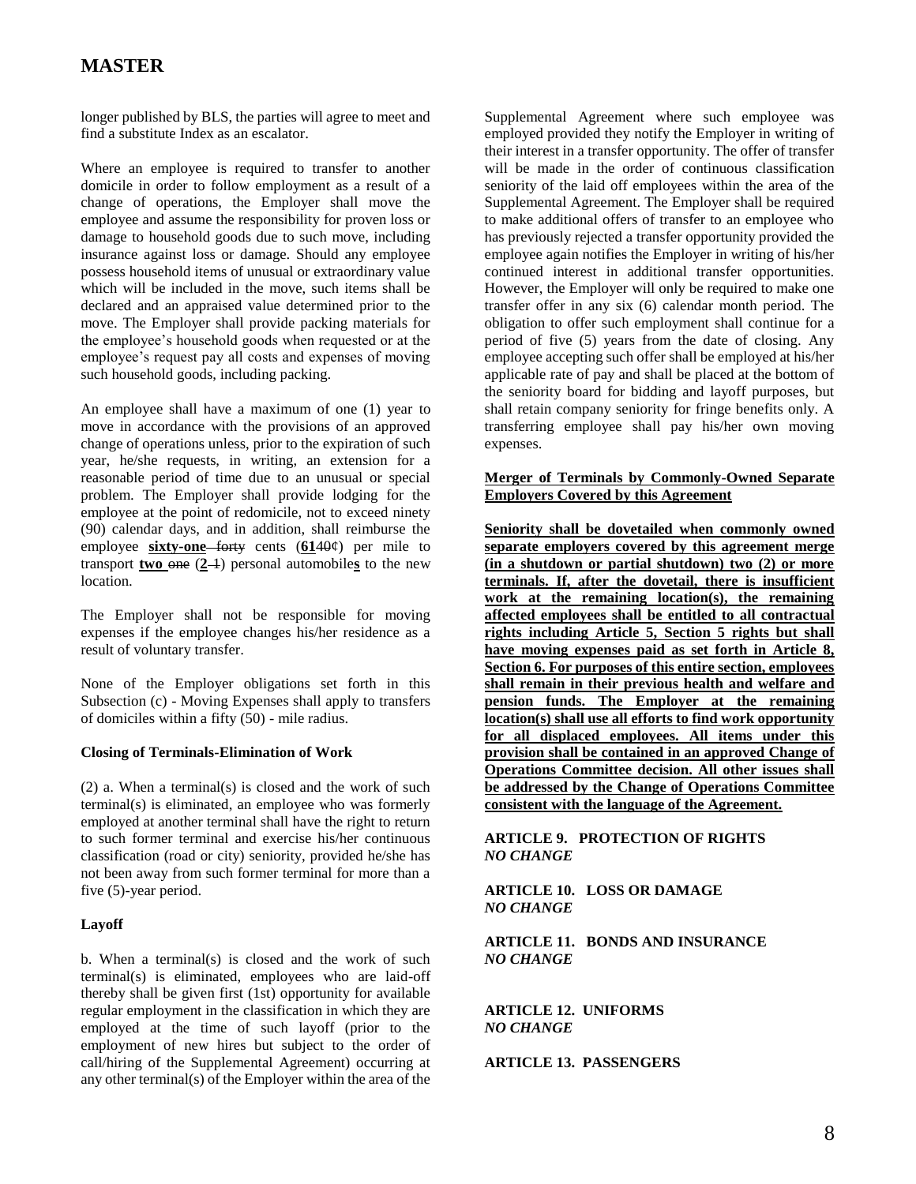longer published by BLS, the parties will agree to meet and find a substitute Index as an escalator.

Where an employee is required to transfer to another domicile in order to follow employment as a result of a change of operations, the Employer shall move the employee and assume the responsibility for proven loss or damage to household goods due to such move, including insurance against loss or damage. Should any employee possess household items of unusual or extraordinary value which will be included in the move, such items shall be declared and an appraised value determined prior to the move. The Employer shall provide packing materials for the employee's household goods when requested or at the employee's request pay all costs and expenses of moving such household goods, including packing.

An employee shall have a maximum of one (1) year to move in accordance with the provisions of an approved change of operations unless, prior to the expiration of such year, he/she requests, in writing, an extension for a reasonable period of time due to an unusual or special problem. The Employer shall provide lodging for the employee at the point of redomicile, not to exceed ninety (90) calendar days, and in addition, shall reimburse the employee **sixty-one** forty cents (**61**40¢) per mile to transport **two**  $\Theta$  (2<sup>1</sup>) personal automobiles to the new location.

The Employer shall not be responsible for moving expenses if the employee changes his/her residence as a result of voluntary transfer.

None of the Employer obligations set forth in this Subsection (c) - Moving Expenses shall apply to transfers of domiciles within a fifty (50) - mile radius.

#### **Closing of Terminals-Elimination of Work**

(2) a. When a terminal(s) is closed and the work of such terminal(s) is eliminated, an employee who was formerly employed at another terminal shall have the right to return to such former terminal and exercise his/her continuous classification (road or city) seniority, provided he/she has not been away from such former terminal for more than a five (5)-year period.

#### **Layoff**

b. When a terminal(s) is closed and the work of such terminal(s) is eliminated, employees who are laid-off thereby shall be given first (1st) opportunity for available regular employment in the classification in which they are employed at the time of such layoff (prior to the employment of new hires but subject to the order of call/hiring of the Supplemental Agreement) occurring at any other terminal(s) of the Employer within the area of the Supplemental Agreement where such employee was employed provided they notify the Employer in writing of their interest in a transfer opportunity. The offer of transfer will be made in the order of continuous classification seniority of the laid off employees within the area of the Supplemental Agreement. The Employer shall be required to make additional offers of transfer to an employee who has previously rejected a transfer opportunity provided the employee again notifies the Employer in writing of his/her continued interest in additional transfer opportunities. However, the Employer will only be required to make one transfer offer in any six (6) calendar month period. The obligation to offer such employment shall continue for a period of five (5) years from the date of closing. Any employee accepting such offer shall be employed at his/her applicable rate of pay and shall be placed at the bottom of the seniority board for bidding and layoff purposes, but shall retain company seniority for fringe benefits only. A transferring employee shall pay his/her own moving expenses.

### **Merger of Terminals by Commonly-Owned Separate Employers Covered by this Agreement**

**Seniority shall be dovetailed when commonly owned separate employers covered by this agreement merge (in a shutdown or partial shutdown) two (2) or more terminals. If, after the dovetail, there is insufficient work at the remaining location(s), the remaining affected employees shall be entitled to all contractual rights including Article 5, Section 5 rights but shall have moving expenses paid as set forth in Article 8, Section 6. For purposes of this entire section, employees shall remain in their previous health and welfare and pension funds. The Employer at the remaining location(s) shall use all efforts to find work opportunity for all displaced employees. All items under this provision shall be contained in an approved Change of Operations Committee decision. All other issues shall be addressed by the Change of Operations Committee consistent with the language of the Agreement.**

### **ARTICLE 9. PROTECTION OF RIGHTS**  *NO CHANGE*

**ARTICLE 10. LOSS OR DAMAGE** *NO CHANGE*

**ARTICLE 11. BONDS AND INSURANCE** *NO CHANGE*

**ARTICLE 12. UNIFORMS** *NO CHANGE*

**ARTICLE 13. PASSENGERS**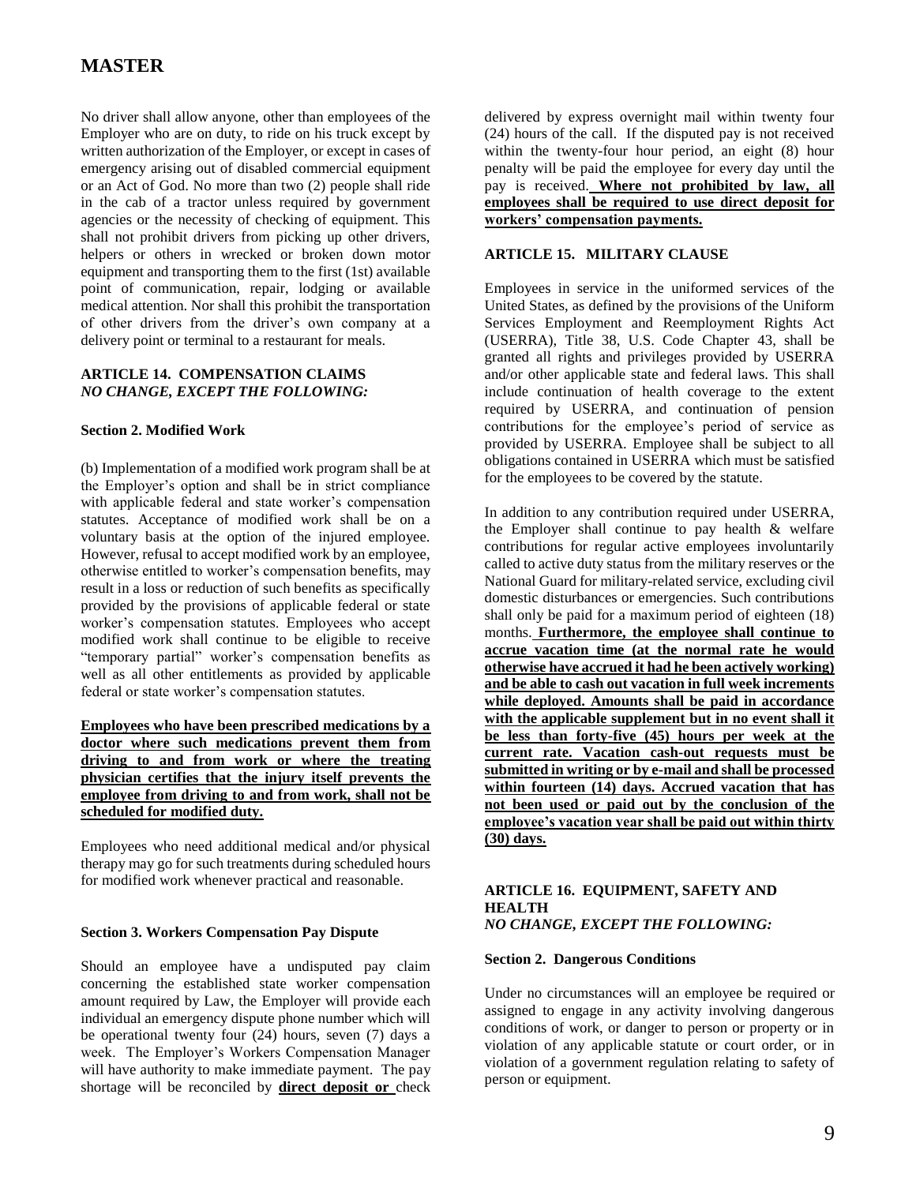No driver shall allow anyone, other than employees of the Employer who are on duty, to ride on his truck except by written authorization of the Employer, or except in cases of emergency arising out of disabled commercial equipment or an Act of God. No more than two (2) people shall ride in the cab of a tractor unless required by government agencies or the necessity of checking of equipment. This shall not prohibit drivers from picking up other drivers, helpers or others in wrecked or broken down motor equipment and transporting them to the first (1st) available point of communication, repair, lodging or available medical attention. Nor shall this prohibit the transportation of other drivers from the driver's own company at a delivery point or terminal to a restaurant for meals.

### **ARTICLE 14. COMPENSATION CLAIMS** *NO CHANGE, EXCEPT THE FOLLOWING:*

#### **Section 2. Modified Work**

(b) Implementation of a modified work program shall be at the Employer's option and shall be in strict compliance with applicable federal and state worker's compensation statutes. Acceptance of modified work shall be on a voluntary basis at the option of the injured employee. However, refusal to accept modified work by an employee, otherwise entitled to worker's compensation benefits, may result in a loss or reduction of such benefits as specifically provided by the provisions of applicable federal or state worker's compensation statutes. Employees who accept modified work shall continue to be eligible to receive "temporary partial" worker's compensation benefits as well as all other entitlements as provided by applicable federal or state worker's compensation statutes.

**Employees who have been prescribed medications by a doctor where such medications prevent them from driving to and from work or where the treating physician certifies that the injury itself prevents the employee from driving to and from work, shall not be scheduled for modified duty.**

Employees who need additional medical and/or physical therapy may go for such treatments during scheduled hours for modified work whenever practical and reasonable.

#### **Section 3. Workers Compensation Pay Dispute**

Should an employee have a undisputed pay claim concerning the established state worker compensation amount required by Law, the Employer will provide each individual an emergency dispute phone number which will be operational twenty four (24) hours, seven (7) days a week. The Employer's Workers Compensation Manager will have authority to make immediate payment. The pay shortage will be reconciled by **direct deposit or** check delivered by express overnight mail within twenty four (24) hours of the call. If the disputed pay is not received within the twenty-four hour period, an eight (8) hour penalty will be paid the employee for every day until the pay is received. Where not prohibited by law, all **employees shall be required to use direct deposit for workers' compensation payments.**

### **ARTICLE 15. MILITARY CLAUSE**

Employees in service in the uniformed services of the United States, as defined by the provisions of the Uniform Services Employment and Reemployment Rights Act (USERRA), Title 38, U.S. Code Chapter 43, shall be granted all rights and privileges provided by USERRA and/or other applicable state and federal laws. This shall include continuation of health coverage to the extent required by USERRA, and continuation of pension contributions for the employee's period of service as provided by USERRA. Employee shall be subject to all obligations contained in USERRA which must be satisfied for the employees to be covered by the statute.

In addition to any contribution required under USERRA, the Employer shall continue to pay health & welfare contributions for regular active employees involuntarily called to active duty status from the military reserves or the National Guard for military-related service, excluding civil domestic disturbances or emergencies. Such contributions shall only be paid for a maximum period of eighteen (18) months. **Furthermore, the employee shall continue to accrue vacation time (at the normal rate he would otherwise have accrued it had he been actively working) and be able to cash out vacation in full week increments while deployed. Amounts shall be paid in accordance with the applicable supplement but in no event shall it be less than forty-five (45) hours per week at the current rate. Vacation cash-out requests must be submitted in writing or by e-mail and shall be processed within fourteen (14) days. Accrued vacation that has not been used or paid out by the conclusion of the employee's vacation year shall be paid out within thirty (30) days.**

#### **ARTICLE 16. EQUIPMENT, SAFETY AND HEALTH** *NO CHANGE, EXCEPT THE FOLLOWING:*

#### **Section 2. Dangerous Conditions**

Under no circumstances will an employee be required or assigned to engage in any activity involving dangerous conditions of work, or danger to person or property or in violation of any applicable statute or court order, or in violation of a government regulation relating to safety of person or equipment.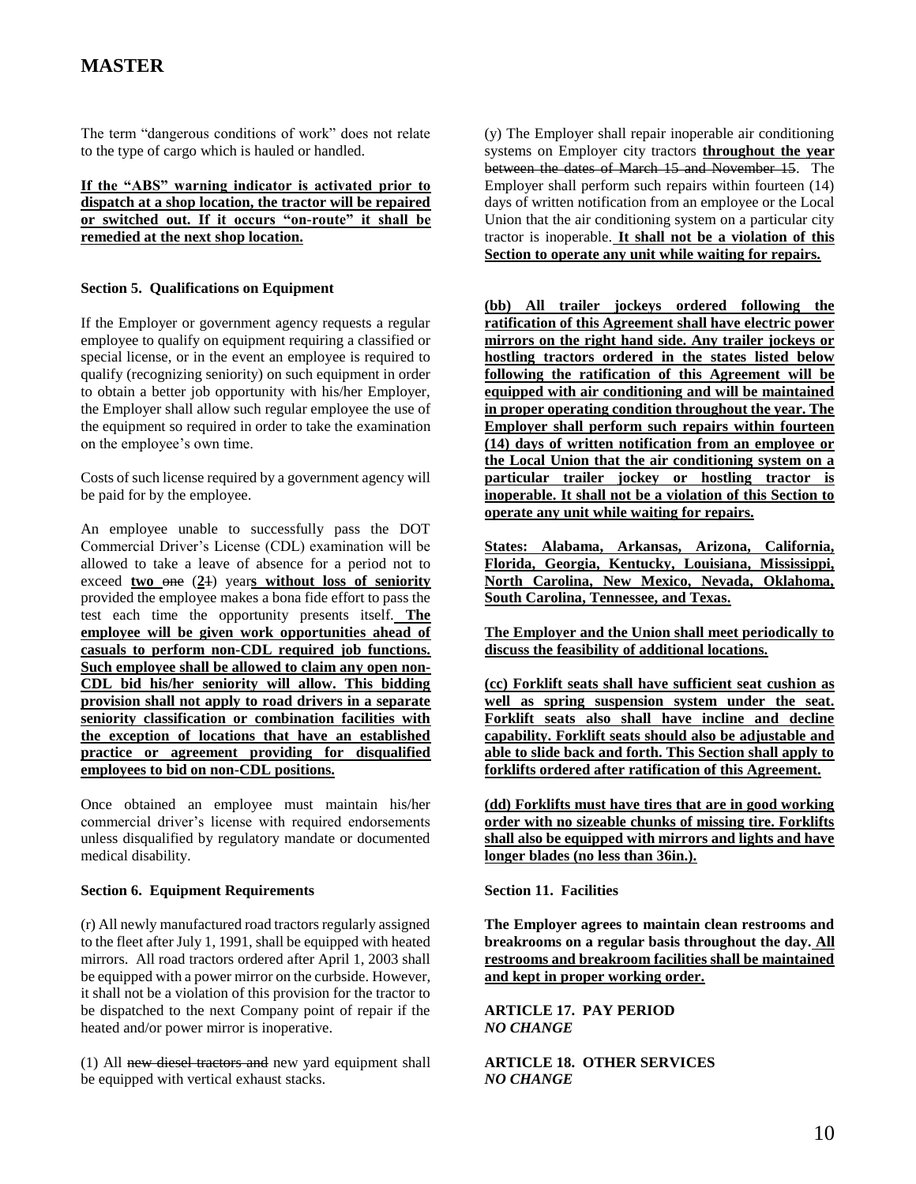The term "dangerous conditions of work" does not relate to the type of cargo which is hauled or handled.

**If the "ABS" warning indicator is activated prior to dispatch at a shop location, the tractor will be repaired or switched out. If it occurs "on-route" it shall be remedied at the next shop location.**

#### **Section 5. Qualifications on Equipment**

If the Employer or government agency requests a regular employee to qualify on equipment requiring a classified or special license, or in the event an employee is required to qualify (recognizing seniority) on such equipment in order to obtain a better job opportunity with his/her Employer, the Employer shall allow such regular employee the use of the equipment so required in order to take the examination on the employee's own time.

Costs of such license required by a government agency will be paid for by the employee.

An employee unable to successfully pass the DOT Commercial Driver's License (CDL) examination will be allowed to take a leave of absence for a period not to exceed **two** one (**2**1) year**s without loss of seniority** provided the employee makes a bona fide effort to pass the test each time the opportunity presents itself. **The employee will be given work opportunities ahead of casuals to perform non-CDL required job functions. Such employee shall be allowed to claim any open non-CDL bid his/her seniority will allow. This bidding provision shall not apply to road drivers in a separate seniority classification or combination facilities with the exception of locations that have an established practice or agreement providing for disqualified employees to bid on non-CDL positions.**

Once obtained an employee must maintain his/her commercial driver's license with required endorsements unless disqualified by regulatory mandate or documented medical disability.

#### **Section 6. Equipment Requirements**

(r) All newly manufactured road tractors regularly assigned to the fleet after July 1, 1991, shall be equipped with heated mirrors. All road tractors ordered after April 1, 2003 shall be equipped with a power mirror on the curbside. However, it shall not be a violation of this provision for the tractor to be dispatched to the next Company point of repair if the heated and/or power mirror is inoperative.

(1) All new diesel tractors and new yard equipment shall be equipped with vertical exhaust stacks.

(y) The Employer shall repair inoperable air conditioning systems on Employer city tractors **throughout the year**  between the dates of March 15 and November 15. The Employer shall perform such repairs within fourteen (14) days of written notification from an employee or the Local Union that the air conditioning system on a particular city tractor is inoperable. **It shall not be a violation of this Section to operate any unit while waiting for repairs.**

**(bb) All trailer jockeys ordered following the ratification of this Agreement shall have electric power mirrors on the right hand side. Any trailer jockeys or hostling tractors ordered in the states listed below following the ratification of this Agreement will be equipped with air conditioning and will be maintained in proper operating condition throughout the year. The Employer shall perform such repairs within fourteen (14) days of written notification from an employee or the Local Union that the air conditioning system on a particular trailer jockey or hostling tractor is inoperable. It shall not be a violation of this Section to operate any unit while waiting for repairs.**

**States: Alabama, Arkansas, Arizona, California, Florida, Georgia, Kentucky, Louisiana, Mississippi, North Carolina, New Mexico, Nevada, Oklahoma, South Carolina, Tennessee, and Texas.**

**The Employer and the Union shall meet periodically to discuss the feasibility of additional locations.**

**(cc) Forklift seats shall have sufficient seat cushion as well as spring suspension system under the seat. Forklift seats also shall have incline and decline capability. Forklift seats should also be adjustable and able to slide back and forth. This Section shall apply to forklifts ordered after ratification of this Agreement.**

**(dd) Forklifts must have tires that are in good working order with no sizeable chunks of missing tire. Forklifts shall also be equipped with mirrors and lights and have longer blades (no less than 36in.).**

**Section 11. Facilities**

**The Employer agrees to maintain clean restrooms and breakrooms on a regular basis throughout the day. All restrooms and breakroom facilities shall be maintained and kept in proper working order.**

**ARTICLE 17. PAY PERIOD**  *NO CHANGE*

**ARTICLE 18. OTHER SERVICES** *NO CHANGE*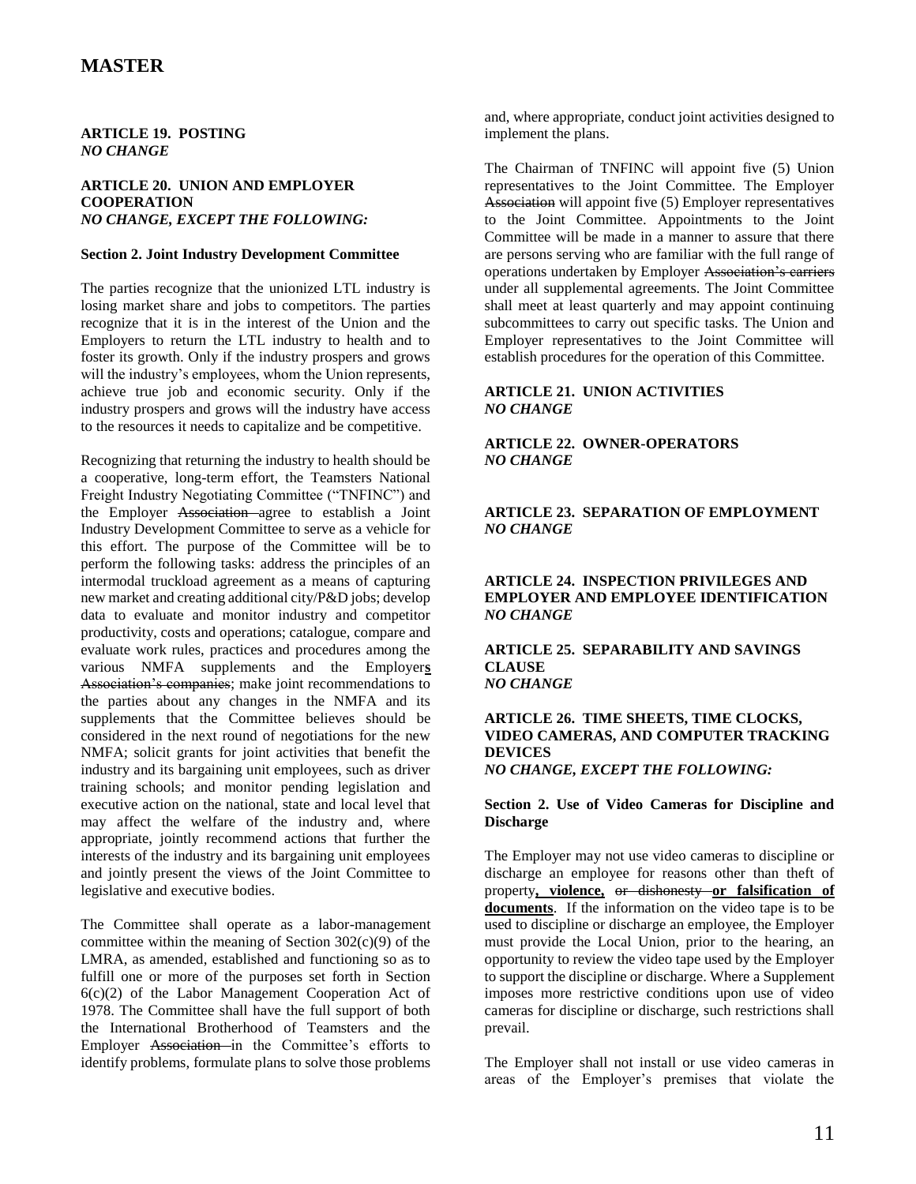#### **ARTICLE 19. POSTING**  *NO CHANGE*

#### **ARTICLE 20. UNION AND EMPLOYER COOPERATION**  *NO CHANGE, EXCEPT THE FOLLOWING:*

#### **Section 2. Joint Industry Development Committee**

The parties recognize that the unionized LTL industry is losing market share and jobs to competitors. The parties recognize that it is in the interest of the Union and the Employers to return the LTL industry to health and to foster its growth. Only if the industry prospers and grows will the industry's employees, whom the Union represents, achieve true job and economic security. Only if the industry prospers and grows will the industry have access to the resources it needs to capitalize and be competitive.

Recognizing that returning the industry to health should be a cooperative, long-term effort, the Teamsters National Freight Industry Negotiating Committee ("TNFINC") and the Employer Association agree to establish a Joint Industry Development Committee to serve as a vehicle for this effort. The purpose of the Committee will be to perform the following tasks: address the principles of an intermodal truckload agreement as a means of capturing new market and creating additional city/P&D jobs; develop data to evaluate and monitor industry and competitor productivity, costs and operations; catalogue, compare and evaluate work rules, practices and procedures among the various NMFA supplements and the Employer**s** Association's companies; make joint recommendations to the parties about any changes in the NMFA and its supplements that the Committee believes should be considered in the next round of negotiations for the new NMFA; solicit grants for joint activities that benefit the industry and its bargaining unit employees, such as driver training schools; and monitor pending legislation and executive action on the national, state and local level that may affect the welfare of the industry and, where appropriate, jointly recommend actions that further the interests of the industry and its bargaining unit employees and jointly present the views of the Joint Committee to legislative and executive bodies.

The Committee shall operate as a labor-management committee within the meaning of Section  $302(c)(9)$  of the LMRA, as amended, established and functioning so as to fulfill one or more of the purposes set forth in Section 6(c)(2) of the Labor Management Cooperation Act of 1978. The Committee shall have the full support of both the International Brotherhood of Teamsters and the Employer Association in the Committee's efforts to identify problems, formulate plans to solve those problems

and, where appropriate, conduct joint activities designed to implement the plans.

The Chairman of TNFINC will appoint five (5) Union representatives to the Joint Committee. The Employer Association will appoint five (5) Employer representatives to the Joint Committee. Appointments to the Joint Committee will be made in a manner to assure that there are persons serving who are familiar with the full range of operations undertaken by Employer Association's carriers under all supplemental agreements. The Joint Committee shall meet at least quarterly and may appoint continuing subcommittees to carry out specific tasks. The Union and Employer representatives to the Joint Committee will establish procedures for the operation of this Committee.

#### **ARTICLE 21. UNION ACTIVITIES**  *NO CHANGE*

### **ARTICLE 22. OWNER-OPERATORS**  *NO CHANGE*

### **ARTICLE 23. SEPARATION OF EMPLOYMENT**  *NO CHANGE*

### **ARTICLE 24. INSPECTION PRIVILEGES AND EMPLOYER AND EMPLOYEE IDENTIFICATION**  *NO CHANGE*

**ARTICLE 25. SEPARABILITY AND SAVINGS CLAUSE**  *NO CHANGE*

#### **ARTICLE 26. TIME SHEETS, TIME CLOCKS, VIDEO CAMERAS, AND COMPUTER TRACKING DEVICES**  *NO CHANGE, EXCEPT THE FOLLOWING:*

#### **Section 2. Use of Video Cameras for Discipline and Discharge**

The Employer may not use video cameras to discipline or discharge an employee for reasons other than theft of property**, violence,** or dishonesty **or falsification of documents**. If the information on the video tape is to be used to discipline or discharge an employee, the Employer must provide the Local Union, prior to the hearing, an opportunity to review the video tape used by the Employer to support the discipline or discharge. Where a Supplement imposes more restrictive conditions upon use of video cameras for discipline or discharge, such restrictions shall prevail.

The Employer shall not install or use video cameras in areas of the Employer's premises that violate the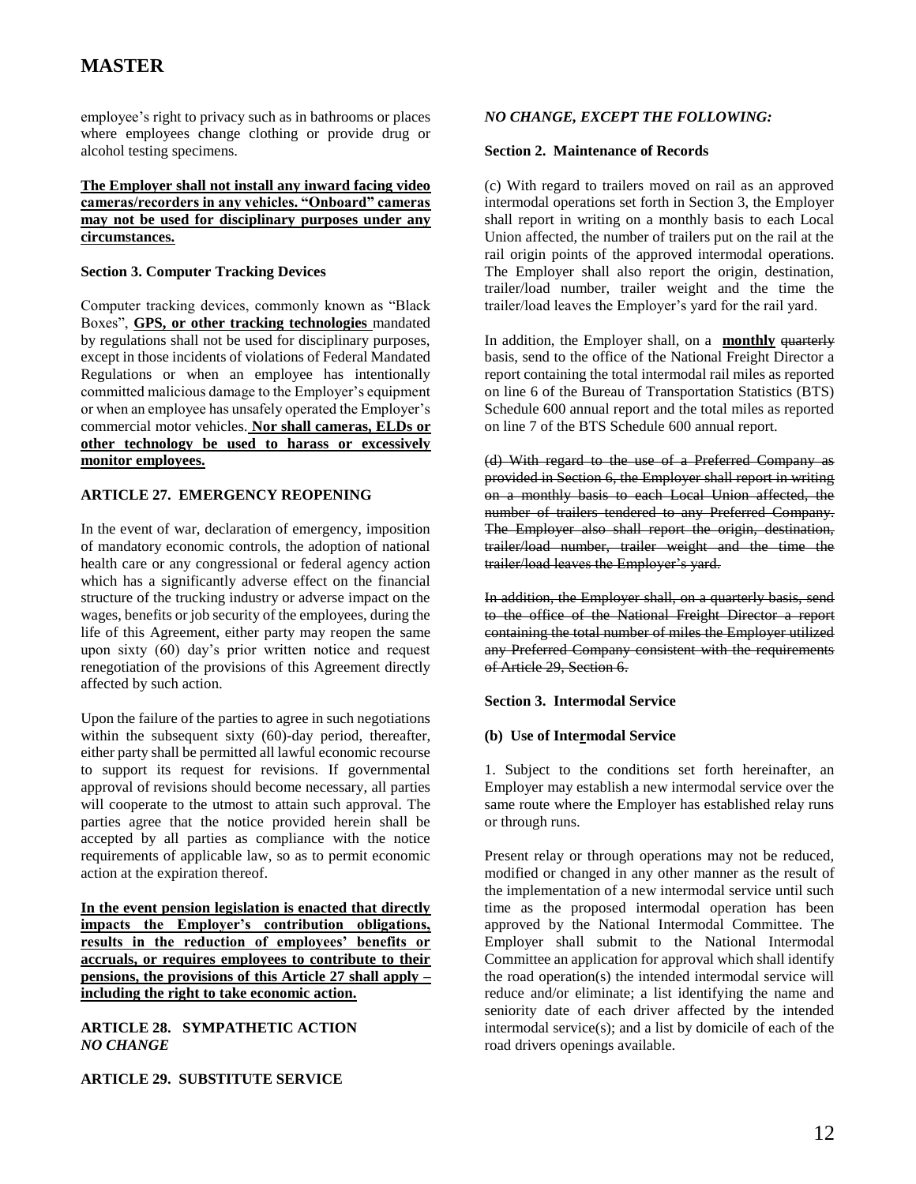employee's right to privacy such as in bathrooms or places where employees change clothing or provide drug or alcohol testing specimens.

#### **The Employer shall not install any inward facing video cameras/recorders in any vehicles. "Onboard" cameras may not be used for disciplinary purposes under any circumstances.**

#### **Section 3. Computer Tracking Devices**

Computer tracking devices, commonly known as "Black Boxes", **GPS, or other tracking technologies** mandated by regulations shall not be used for disciplinary purposes, except in those incidents of violations of Federal Mandated Regulations or when an employee has intentionally committed malicious damage to the Employer's equipment or when an employee has unsafely operated the Employer's commercial motor vehicles. **Nor shall cameras, ELDs or other technology be used to harass or excessively monitor employees.**

### **ARTICLE 27. EMERGENCY REOPENING**

In the event of war, declaration of emergency, imposition of mandatory economic controls, the adoption of national health care or any congressional or federal agency action which has a significantly adverse effect on the financial structure of the trucking industry or adverse impact on the wages, benefits or job security of the employees, during the life of this Agreement, either party may reopen the same upon sixty (60) day's prior written notice and request renegotiation of the provisions of this Agreement directly affected by such action.

Upon the failure of the parties to agree in such negotiations within the subsequent sixty (60)-day period, thereafter, either party shall be permitted all lawful economic recourse to support its request for revisions. If governmental approval of revisions should become necessary, all parties will cooperate to the utmost to attain such approval. The parties agree that the notice provided herein shall be accepted by all parties as compliance with the notice requirements of applicable law, so as to permit economic action at the expiration thereof.

**In the event pension legislation is enacted that directly impacts the Employer's contribution obligations, results in the reduction of employees' benefits or accruals, or requires employees to contribute to their pensions, the provisions of this Article 27 shall apply – including the right to take economic action.**

**ARTICLE 28. SYMPATHETIC ACTION**  *NO CHANGE*

**ARTICLE 29. SUBSTITUTE SERVICE**

### *NO CHANGE, EXCEPT THE FOLLOWING:*

#### **Section 2. Maintenance of Records**

(c) With regard to trailers moved on rail as an approved intermodal operations set forth in Section 3, the Employer shall report in writing on a monthly basis to each Local Union affected, the number of trailers put on the rail at the rail origin points of the approved intermodal operations. The Employer shall also report the origin, destination, trailer/load number, trailer weight and the time the trailer/load leaves the Employer's yard for the rail yard.

In addition, the Employer shall, on a **monthly** quarterly basis, send to the office of the National Freight Director a report containing the total intermodal rail miles as reported on line 6 of the Bureau of Transportation Statistics (BTS) Schedule 600 annual report and the total miles as reported on line 7 of the BTS Schedule 600 annual report.

(d) With regard to the use of a Preferred Company as provided in Section 6, the Employer shall report in writing on a monthly basis to each Local Union affected, the number of trailers tendered to any Preferred Company. The Employer also shall report the origin, destination, trailer/load number, trailer weight and the time the trailer/load leaves the Employer's yard.

In addition, the Employer shall, on a quarterly basis, send to the office of the National Freight Director a report containing the total number of miles the Employer utilized any Preferred Company consistent with the requirements of Article 29, Section 6.

### **Section 3. Intermodal Service**

#### **(b) Use of Intermodal Service**

1. Subject to the conditions set forth hereinafter, an Employer may establish a new intermodal service over the same route where the Employer has established relay runs or through runs.

Present relay or through operations may not be reduced, modified or changed in any other manner as the result of the implementation of a new intermodal service until such time as the proposed intermodal operation has been approved by the National Intermodal Committee. The Employer shall submit to the National Intermodal Committee an application for approval which shall identify the road operation(s) the intended intermodal service will reduce and/or eliminate; a list identifying the name and seniority date of each driver affected by the intended intermodal service(s); and a list by domicile of each of the road drivers openings available.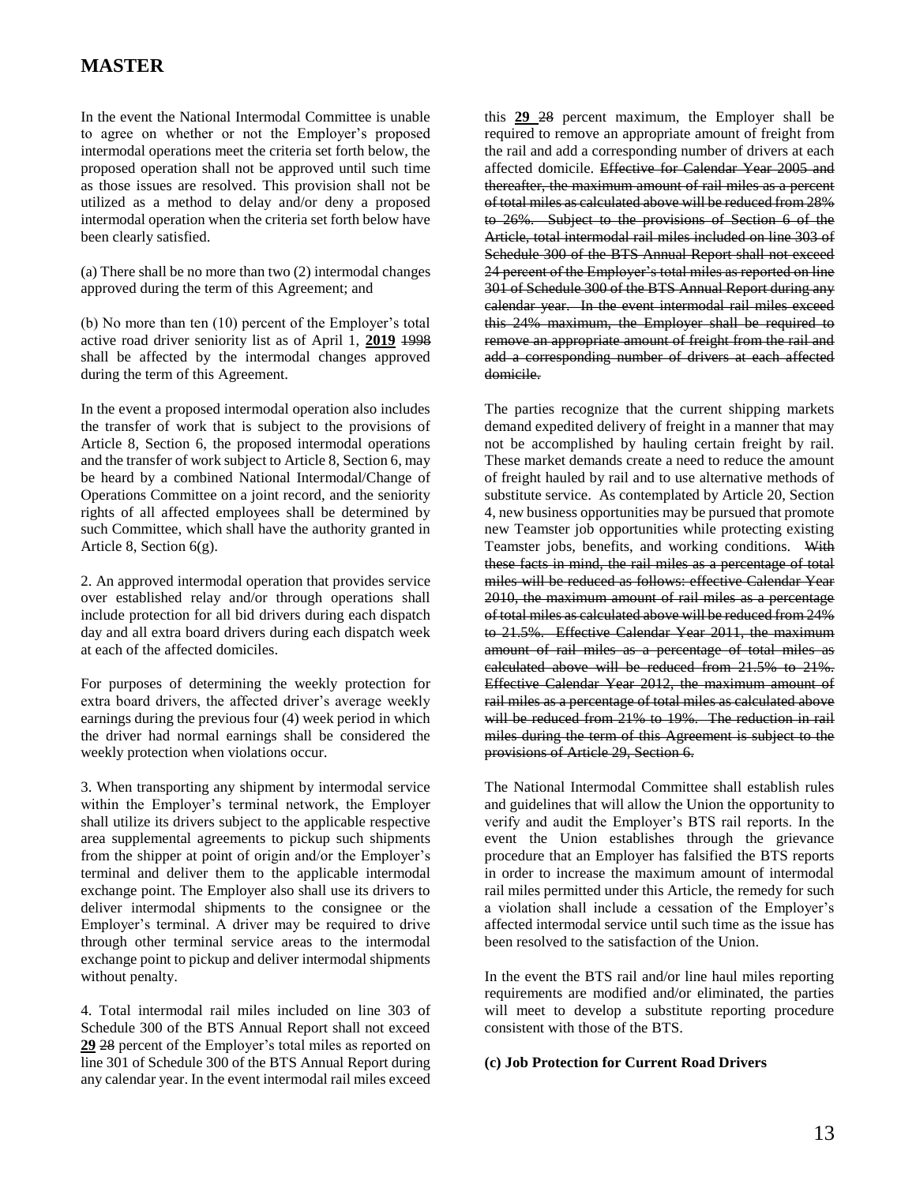In the event the National Intermodal Committee is unable to agree on whether or not the Employer's proposed intermodal operations meet the criteria set forth below, the proposed operation shall not be approved until such time as those issues are resolved. This provision shall not be utilized as a method to delay and/or deny a proposed intermodal operation when the criteria set forth below have been clearly satisfied.

(a) There shall be no more than two (2) intermodal changes approved during the term of this Agreement; and

(b) No more than ten (10) percent of the Employer's total active road driver seniority list as of April 1, **2019** 1998 shall be affected by the intermodal changes approved during the term of this Agreement.

In the event a proposed intermodal operation also includes the transfer of work that is subject to the provisions of Article 8, Section 6, the proposed intermodal operations and the transfer of work subject to Article 8, Section 6, may be heard by a combined National Intermodal/Change of Operations Committee on a joint record, and the seniority rights of all affected employees shall be determined by such Committee, which shall have the authority granted in Article 8, Section 6(g).

2. An approved intermodal operation that provides service over established relay and/or through operations shall include protection for all bid drivers during each dispatch day and all extra board drivers during each dispatch week at each of the affected domiciles.

For purposes of determining the weekly protection for extra board drivers, the affected driver's average weekly earnings during the previous four (4) week period in which the driver had normal earnings shall be considered the weekly protection when violations occur.

3. When transporting any shipment by intermodal service within the Employer's terminal network, the Employer shall utilize its drivers subject to the applicable respective area supplemental agreements to pickup such shipments from the shipper at point of origin and/or the Employer's terminal and deliver them to the applicable intermodal exchange point. The Employer also shall use its drivers to deliver intermodal shipments to the consignee or the Employer's terminal. A driver may be required to drive through other terminal service areas to the intermodal exchange point to pickup and deliver intermodal shipments without penalty.

4. Total intermodal rail miles included on line 303 of Schedule 300 of the BTS Annual Report shall not exceed **29** 28 percent of the Employer's total miles as reported on line 301 of Schedule 300 of the BTS Annual Report during any calendar year. In the event intermodal rail miles exceed this **29** 28 percent maximum, the Employer shall be required to remove an appropriate amount of freight from the rail and add a corresponding number of drivers at each affected domicile. Effective for Calendar Year 2005 and thereafter, the maximum amount of rail miles as a percent of total miles as calculated above will be reduced from 28% to 26%. Subject to the provisions of Section 6 of the Article, total intermodal rail miles included on line 303 of Schedule 300 of the BTS Annual Report shall not exceed 24 percent of the Employer's total miles as reported on line 301 of Schedule 300 of the BTS Annual Report during any calendar year. In the event intermodal rail miles exceed this 24% maximum, the Employer shall be required to remove an appropriate amount of freight from the rail and add a corresponding number of drivers at each affected domicile.

The parties recognize that the current shipping markets demand expedited delivery of freight in a manner that may not be accomplished by hauling certain freight by rail. These market demands create a need to reduce the amount of freight hauled by rail and to use alternative methods of substitute service. As contemplated by Article 20, Section 4, new business opportunities may be pursued that promote new Teamster job opportunities while protecting existing Teamster jobs, benefits, and working conditions. With these facts in mind, the rail miles as a percentage of total miles will be reduced as follows: effective Calendar Year 2010, the maximum amount of rail miles as a percentage of total miles as calculated above will be reduced from 24% to 21.5%. Effective Calendar Year 2011, the maximum amount of rail miles as a percentage of total miles as calculated above will be reduced from 21.5% to 21%. Effective Calendar Year 2012, the maximum amount of rail miles as a percentage of total miles as calculated above will be reduced from 21% to 19%. The reduction in rail miles during the term of this Agreement is subject to the provisions of Article 29, Section 6.

The National Intermodal Committee shall establish rules and guidelines that will allow the Union the opportunity to verify and audit the Employer's BTS rail reports. In the event the Union establishes through the grievance procedure that an Employer has falsified the BTS reports in order to increase the maximum amount of intermodal rail miles permitted under this Article, the remedy for such a violation shall include a cessation of the Employer's affected intermodal service until such time as the issue has been resolved to the satisfaction of the Union.

In the event the BTS rail and/or line haul miles reporting requirements are modified and/or eliminated, the parties will meet to develop a substitute reporting procedure consistent with those of the BTS.

#### **(c) Job Protection for Current Road Drivers**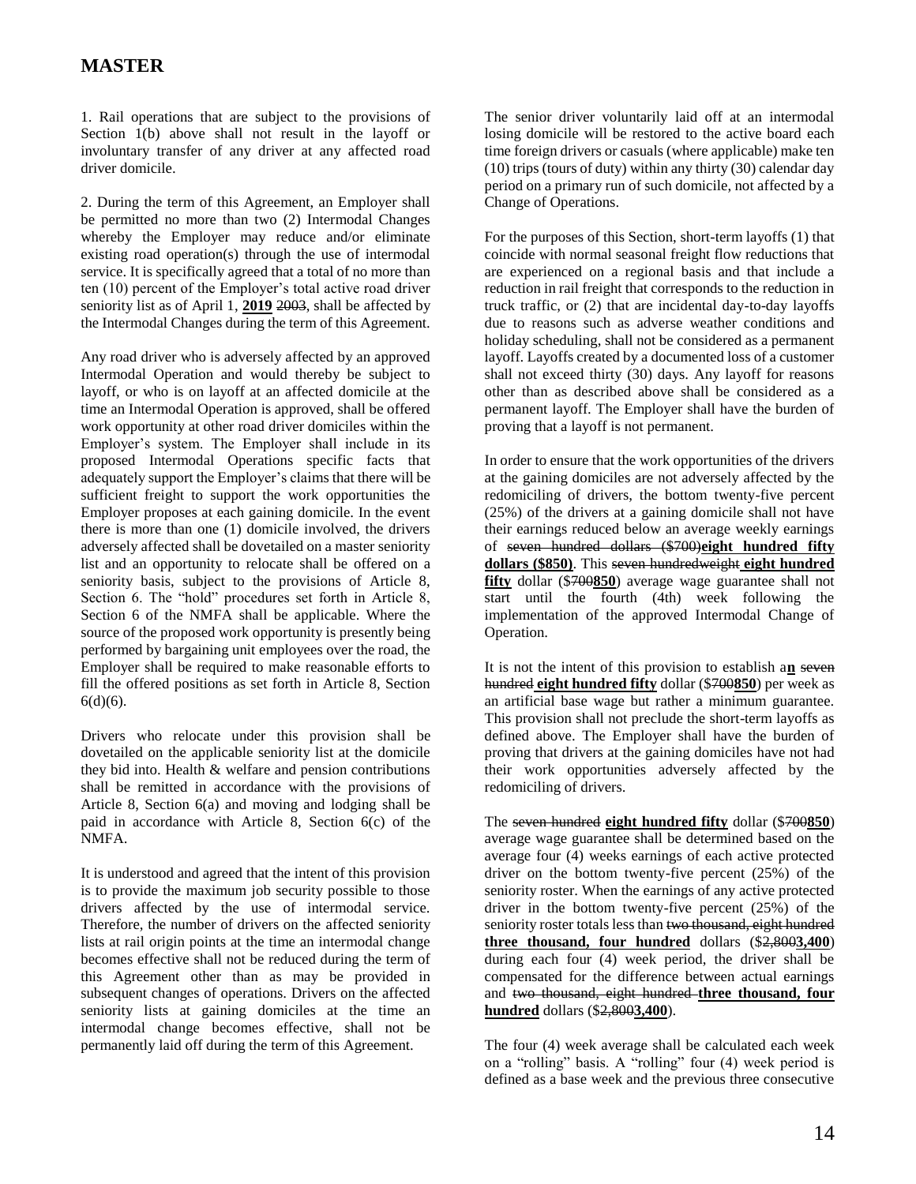1. Rail operations that are subject to the provisions of Section 1(b) above shall not result in the layoff or involuntary transfer of any driver at any affected road driver domicile.

2. During the term of this Agreement, an Employer shall be permitted no more than two (2) Intermodal Changes whereby the Employer may reduce and/or eliminate existing road operation(s) through the use of intermodal service. It is specifically agreed that a total of no more than ten (10) percent of the Employer's total active road driver seniority list as of April 1, **2019** 2003, shall be affected by the Intermodal Changes during the term of this Agreement.

Any road driver who is adversely affected by an approved Intermodal Operation and would thereby be subject to layoff, or who is on layoff at an affected domicile at the time an Intermodal Operation is approved, shall be offered work opportunity at other road driver domiciles within the Employer's system. The Employer shall include in its proposed Intermodal Operations specific facts that adequately support the Employer's claims that there will be sufficient freight to support the work opportunities the Employer proposes at each gaining domicile. In the event there is more than one (1) domicile involved, the drivers adversely affected shall be dovetailed on a master seniority list and an opportunity to relocate shall be offered on a seniority basis, subject to the provisions of Article 8, Section 6. The "hold" procedures set forth in Article 8, Section 6 of the NMFA shall be applicable. Where the source of the proposed work opportunity is presently being performed by bargaining unit employees over the road, the Employer shall be required to make reasonable efforts to fill the offered positions as set forth in Article 8, Section 6(d)(6).

Drivers who relocate under this provision shall be dovetailed on the applicable seniority list at the domicile they bid into. Health & welfare and pension contributions shall be remitted in accordance with the provisions of Article 8, Section 6(a) and moving and lodging shall be paid in accordance with Article 8, Section 6(c) of the NMFA.

It is understood and agreed that the intent of this provision is to provide the maximum job security possible to those drivers affected by the use of intermodal service. Therefore, the number of drivers on the affected seniority lists at rail origin points at the time an intermodal change becomes effective shall not be reduced during the term of this Agreement other than as may be provided in subsequent changes of operations. Drivers on the affected seniority lists at gaining domiciles at the time an intermodal change becomes effective, shall not be permanently laid off during the term of this Agreement.

The senior driver voluntarily laid off at an intermodal losing domicile will be restored to the active board each time foreign drivers or casuals (where applicable) make ten (10) trips (tours of duty) within any thirty (30) calendar day period on a primary run of such domicile, not affected by a Change of Operations.

For the purposes of this Section, short-term layoffs (1) that coincide with normal seasonal freight flow reductions that are experienced on a regional basis and that include a reduction in rail freight that corresponds to the reduction in truck traffic, or (2) that are incidental day-to-day layoffs due to reasons such as adverse weather conditions and holiday scheduling, shall not be considered as a permanent layoff. Layoffs created by a documented loss of a customer shall not exceed thirty (30) days. Any layoff for reasons other than as described above shall be considered as a permanent layoff. The Employer shall have the burden of proving that a layoff is not permanent.

In order to ensure that the work opportunities of the drivers at the gaining domiciles are not adversely affected by the redomiciling of drivers, the bottom twenty-five percent (25%) of the drivers at a gaining domicile shall not have their earnings reduced below an average weekly earnings of seven hundred dollars (\$700)**eight hundred fifty dollars (\$850)**. This seven hundredweight **eight hundred fifty** dollar (\$700**850**) average wage guarantee shall not start until the fourth (4th) week following the implementation of the approved Intermodal Change of Operation.

It is not the intent of this provision to establish a**n** seven hundred **eight hundred fifty** dollar (\$700**850**) per week as an artificial base wage but rather a minimum guarantee. This provision shall not preclude the short-term layoffs as defined above. The Employer shall have the burden of proving that drivers at the gaining domiciles have not had their work opportunities adversely affected by the redomiciling of drivers.

The seven hundred **eight hundred fifty** dollar (\$700**850**) average wage guarantee shall be determined based on the average four (4) weeks earnings of each active protected driver on the bottom twenty-five percent (25%) of the seniority roster. When the earnings of any active protected driver in the bottom twenty-five percent (25%) of the seniority roster totals less than two thousand, eight hundred **three thousand, four hundred** dollars (\$2,800**3,400**) during each four (4) week period, the driver shall be compensated for the difference between actual earnings and two thousand, eight hundred **three thousand, four hundred** dollars (\$2,800**3,400**).

The four (4) week average shall be calculated each week on a "rolling" basis. A "rolling" four (4) week period is defined as a base week and the previous three consecutive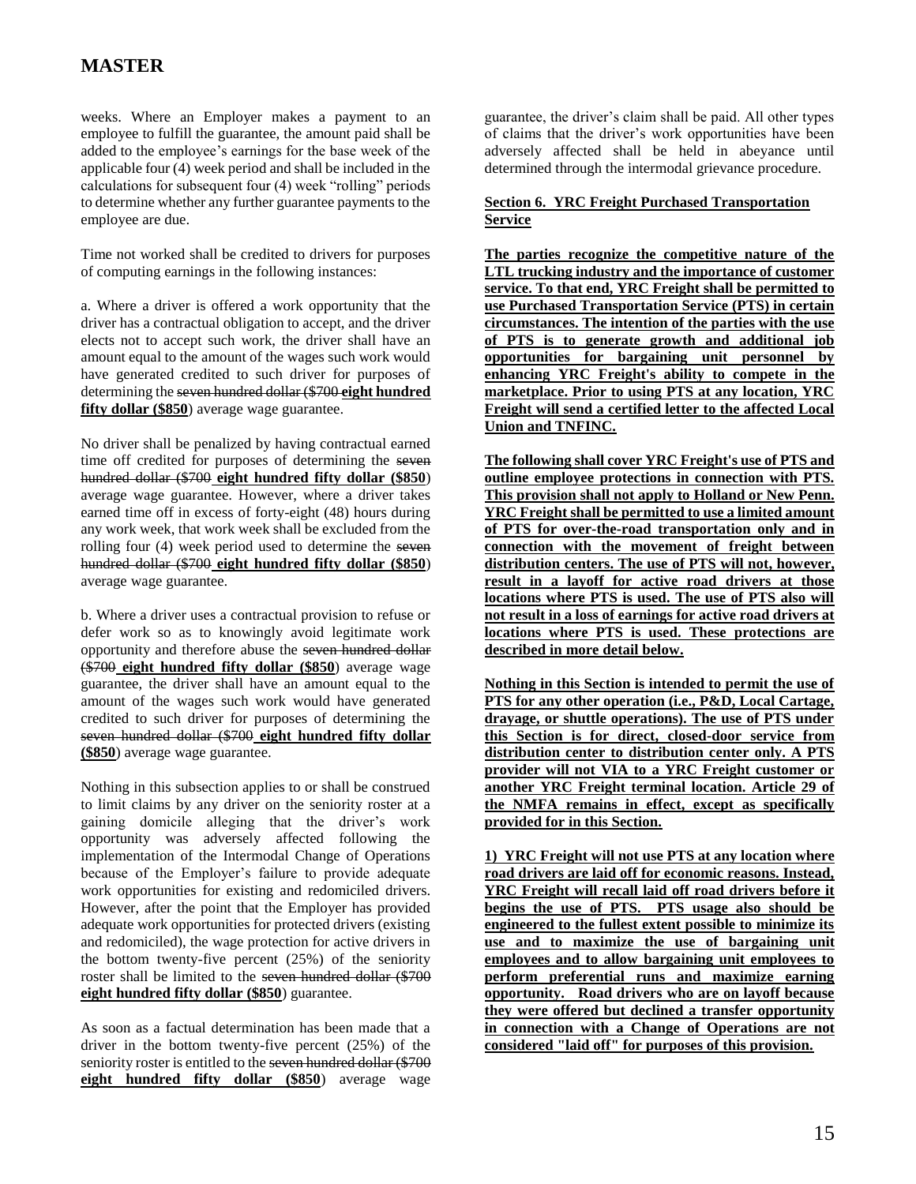weeks. Where an Employer makes a payment to an employee to fulfill the guarantee, the amount paid shall be added to the employee's earnings for the base week of the applicable four (4) week period and shall be included in the calculations for subsequent four (4) week "rolling" periods to determine whether any further guarantee payments to the employee are due.

Time not worked shall be credited to drivers for purposes of computing earnings in the following instances:

a. Where a driver is offered a work opportunity that the driver has a contractual obligation to accept, and the driver elects not to accept such work, the driver shall have an amount equal to the amount of the wages such work would have generated credited to such driver for purposes of determining the seven hundred dollar (\$700 **eight hundred fifty dollar (\$850**) average wage guarantee.

No driver shall be penalized by having contractual earned time off credited for purposes of determining the seven hundred dollar (\$700 **eight hundred fifty dollar (\$850**) average wage guarantee. However, where a driver takes earned time off in excess of forty-eight (48) hours during any work week, that work week shall be excluded from the rolling four (4) week period used to determine the seven hundred dollar (\$700 **eight hundred fifty dollar (\$850**) average wage guarantee.

b. Where a driver uses a contractual provision to refuse or defer work so as to knowingly avoid legitimate work opportunity and therefore abuse the seven hundred dollar (\$700 **eight hundred fifty dollar (\$850**) average wage guarantee, the driver shall have an amount equal to the amount of the wages such work would have generated credited to such driver for purposes of determining the seven hundred dollar (\$700 **eight hundred fifty dollar (\$850**) average wage guarantee.

Nothing in this subsection applies to or shall be construed to limit claims by any driver on the seniority roster at a gaining domicile alleging that the driver's work opportunity was adversely affected following the implementation of the Intermodal Change of Operations because of the Employer's failure to provide adequate work opportunities for existing and redomiciled drivers. However, after the point that the Employer has provided adequate work opportunities for protected drivers (existing and redomiciled), the wage protection for active drivers in the bottom twenty-five percent (25%) of the seniority roster shall be limited to the seven hundred dollar (\$700 **eight hundred fifty dollar (\$850**) guarantee.

As soon as a factual determination has been made that a driver in the bottom twenty-five percent (25%) of the seniority roster is entitled to the seven hundred dollar (\$700) **eight hundred fifty dollar (\$850**) average wage

guarantee, the driver's claim shall be paid. All other types of claims that the driver's work opportunities have been adversely affected shall be held in abeyance until determined through the intermodal grievance procedure.

### **Section 6. YRC Freight Purchased Transportation Service**

**The parties recognize the competitive nature of the LTL trucking industry and the importance of customer service. To that end, YRC Freight shall be permitted to use Purchased Transportation Service (PTS) in certain circumstances. The intention of the parties with the use of PTS is to generate growth and additional job opportunities for bargaining unit personnel by enhancing YRC Freight's ability to compete in the marketplace. Prior to using PTS at any location, YRC Freight will send a certified letter to the affected Local Union and TNFINC.**

**The following shall cover YRC Freight's use of PTS and outline employee protections in connection with PTS. This provision shall not apply to Holland or New Penn. YRC Freight shall be permitted to use a limited amount of PTS for over-the-road transportation only and in connection with the movement of freight between distribution centers. The use of PTS will not, however, result in a layoff for active road drivers at those locations where PTS is used. The use of PTS also will not result in a loss of earnings for active road drivers at locations where PTS is used. These protections are described in more detail below.**

**Nothing in this Section is intended to permit the use of PTS for any other operation (i.e., P&D, Local Cartage, drayage, or shuttle operations). The use of PTS under this Section is for direct, closed-door service from distribution center to distribution center only. A PTS provider will not VIA to a YRC Freight customer or another YRC Freight terminal location. Article 29 of the NMFA remains in effect, except as specifically provided for in this Section.**

**1) YRC Freight will not use PTS at any location where road drivers are laid off for economic reasons. Instead, YRC Freight will recall laid off road drivers before it begins the use of PTS. PTS usage also should be engineered to the fullest extent possible to minimize its use and to maximize the use of bargaining unit employees and to allow bargaining unit employees to perform preferential runs and maximize earning opportunity. Road drivers who are on layoff because they were offered but declined a transfer opportunity in connection with a Change of Operations are not considered "laid off" for purposes of this provision.**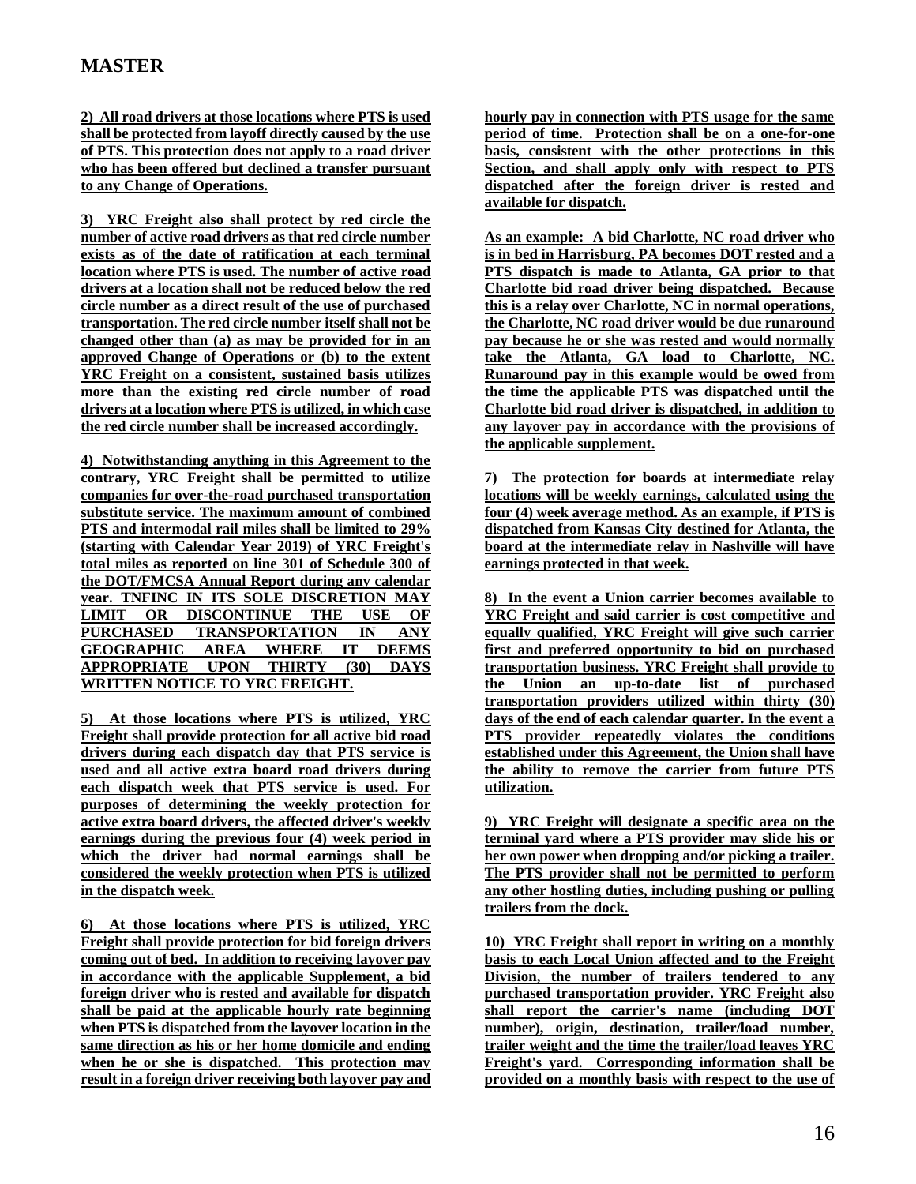**2) All road drivers at those locations where PTS is used shall be protected from layoff directly caused by the use of PTS. This protection does not apply to a road driver who has been offered but declined a transfer pursuant to any Change of Operations.**

**3) YRC Freight also shall protect by red circle the number of active road drivers as that red circle number exists as of the date of ratification at each terminal location where PTS is used. The number of active road drivers at a location shall not be reduced below the red circle number as a direct result of the use of purchased transportation. The red circle number itself shall not be changed other than (a) as may be provided for in an approved Change of Operations or (b) to the extent YRC Freight on a consistent, sustained basis utilizes more than the existing red circle number of road drivers at a location where PTS is utilized, in which case the red circle number shall be increased accordingly.**

**4) Notwithstanding anything in this Agreement to the contrary, YRC Freight shall be permitted to utilize companies for over-the-road purchased transportation substitute service. The maximum amount of combined PTS and intermodal rail miles shall be limited to 29% (starting with Calendar Year 2019) of YRC Freight's total miles as reported on line 301 of Schedule 300 of the DOT/FMCSA Annual Report during any calendar year. TNFINC IN ITS SOLE DISCRETION MAY LIMIT OR DISCONTINUE THE USE OF PURCHASED TRANSPORTATION IN ANY GEOGRAPHIC AREA WHERE IT DEEMS APPROPRIATE UPON THIRTY (30) DAYS WRITTEN NOTICE TO YRC FREIGHT.** 

**5) At those locations where PTS is utilized, YRC Freight shall provide protection for all active bid road drivers during each dispatch day that PTS service is used and all active extra board road drivers during each dispatch week that PTS service is used. For purposes of determining the weekly protection for active extra board drivers, the affected driver's weekly earnings during the previous four (4) week period in which the driver had normal earnings shall be considered the weekly protection when PTS is utilized in the dispatch week.** 

**6) At those locations where PTS is utilized, YRC Freight shall provide protection for bid foreign drivers coming out of bed. In addition to receiving layover pay in accordance with the applicable Supplement, a bid foreign driver who is rested and available for dispatch shall be paid at the applicable hourly rate beginning when PTS is dispatched from the layover location in the same direction as his or her home domicile and ending when he or she is dispatched. This protection may result in a foreign driver receiving both layover pay and**  **hourly pay in connection with PTS usage for the same period of time. Protection shall be on a one-for-one basis, consistent with the other protections in this Section, and shall apply only with respect to PTS dispatched after the foreign driver is rested and available for dispatch.** 

**As an example: A bid Charlotte, NC road driver who is in bed in Harrisburg, PA becomes DOT rested and a PTS dispatch is made to Atlanta, GA prior to that Charlotte bid road driver being dispatched. Because this is a relay over Charlotte, NC in normal operations, the Charlotte, NC road driver would be due runaround pay because he or she was rested and would normally take the Atlanta, GA load to Charlotte, NC. Runaround pay in this example would be owed from the time the applicable PTS was dispatched until the Charlotte bid road driver is dispatched, in addition to any layover pay in accordance with the provisions of the applicable supplement.**

**7) The protection for boards at intermediate relay locations will be weekly earnings, calculated using the four (4) week average method. As an example, if PTS is dispatched from Kansas City destined for Atlanta, the board at the intermediate relay in Nashville will have earnings protected in that week.**

**8) In the event a Union carrier becomes available to YRC Freight and said carrier is cost competitive and equally qualified, YRC Freight will give such carrier first and preferred opportunity to bid on purchased transportation business. YRC Freight shall provide to the Union an up-to-date list of purchased transportation providers utilized within thirty (30) days of the end of each calendar quarter. In the event a PTS provider repeatedly violates the conditions established under this Agreement, the Union shall have the ability to remove the carrier from future PTS utilization.**

**9) YRC Freight will designate a specific area on the terminal yard where a PTS provider may slide his or her own power when dropping and/or picking a trailer. The PTS provider shall not be permitted to perform any other hostling duties, including pushing or pulling trailers from the dock.** 

**10) YRC Freight shall report in writing on a monthly basis to each Local Union affected and to the Freight Division, the number of trailers tendered to any purchased transportation provider. YRC Freight also shall report the carrier's name (including DOT number), origin, destination, trailer/load number, trailer weight and the time the trailer/load leaves YRC Freight's yard. Corresponding information shall be provided on a monthly basis with respect to the use of**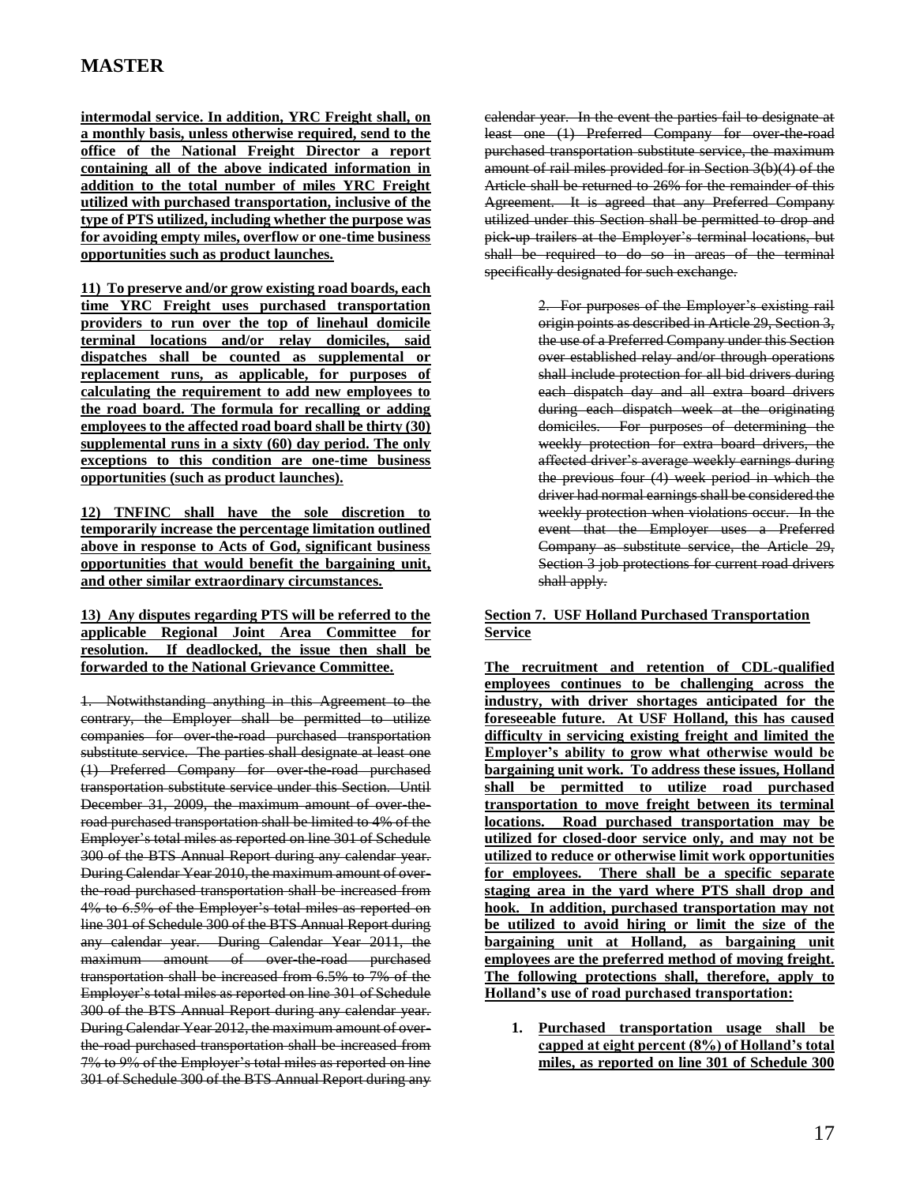**intermodal service. In addition, YRC Freight shall, on a monthly basis, unless otherwise required, send to the office of the National Freight Director a report containing all of the above indicated information in addition to the total number of miles YRC Freight utilized with purchased transportation, inclusive of the type of PTS utilized, including whether the purpose was for avoiding empty miles, overflow or one-time business opportunities such as product launches.**

**11) To preserve and/or grow existing road boards, each time YRC Freight uses purchased transportation providers to run over the top of linehaul domicile terminal locations and/or relay domiciles, said dispatches shall be counted as supplemental or replacement runs, as applicable, for purposes of calculating the requirement to add new employees to the road board. The formula for recalling or adding employees to the affected road board shall be thirty (30) supplemental runs in a sixty (60) day period. The only exceptions to this condition are one-time business opportunities (such as product launches).**

**12) TNFINC shall have the sole discretion to temporarily increase the percentage limitation outlined above in response to Acts of God, significant business opportunities that would benefit the bargaining unit, and other similar extraordinary circumstances.** 

**13) Any disputes regarding PTS will be referred to the applicable Regional Joint Area Committee for resolution. If deadlocked, the issue then shall be forwarded to the National Grievance Committee.**

1. Notwithstanding anything in this Agreement to the contrary, the Employer shall be permitted to utilize companies for over-the-road purchased transportation substitute service. The parties shall designate at least one (1) Preferred Company for over-the-road purchased transportation substitute service under this Section. Until December 31, 2009, the maximum amount of over theroad purchased transportation shall be limited to 4% of the Employer's total miles as reported on line 301 of Schedule 300 of the BTS Annual Report during any calendar year. During Calendar Year 2010, the maximum amount of overthe road purchased transportation shall be increased from 4% to 6.5% of the Employer's total miles as reported on line 301 of Schedule 300 of the BTS Annual Report during any calendar year. During Calendar Year 2011, the maximum amount of over-the-road purchased transportation shall be increased from 6.5% to 7% of the Employer's total miles as reported on line 301 of Schedule 300 of the BTS Annual Report during any calendar year. During Calendar Year 2012, the maximum amount of overthe road purchased transportation shall be increased from 7% to 9% of the Employer's total miles as reported on line 301 of Schedule 300 of the BTS Annual Report during any calendar year. In the event the parties fail to designate at least one (1) Preferred Company for over-the-road purchased transportation substitute service, the maximum amount of rail miles provided for in Section 3(b)(4) of the Article shall be returned to 26% for the remainder of this Agreement. It is agreed that any Preferred Company utilized under this Section shall be permitted to drop and pick-up trailers at the Employer's terminal locations, but shall be required to do so in areas of the terminal specifically designated for such exchange.

> 2. For purposes of the Employer's existing rail origin points as described in Article 29, Section 3, the use of a Preferred Company under this Section over established relay and/or through operations shall include protection for all bid drivers during each dispatch day and all extra board drivers during each dispatch week at the originating domiciles. For purposes of determining the weekly protection for extra board drivers, the affected driver's average weekly earnings during the previous four (4) week period in which the driver had normal earnings shall be considered the weekly protection when violations occur. In the event that the Employer uses a Preferred Company as substitute service, the Article 29, Section 3 job protections for current road drivers shall apply.

### **Section 7. USF Holland Purchased Transportation Service**

**The recruitment and retention of CDL-qualified employees continues to be challenging across the industry, with driver shortages anticipated for the foreseeable future. At USF Holland, this has caused difficulty in servicing existing freight and limited the Employer's ability to grow what otherwise would be bargaining unit work. To address these issues, Holland shall be permitted to utilize road purchased transportation to move freight between its terminal locations. Road purchased transportation may be utilized for closed-door service only, and may not be utilized to reduce or otherwise limit work opportunities for employees. There shall be a specific separate staging area in the yard where PTS shall drop and hook. In addition, purchased transportation may not be utilized to avoid hiring or limit the size of the bargaining unit at Holland, as bargaining unit employees are the preferred method of moving freight. The following protections shall, therefore, apply to Holland's use of road purchased transportation:**

**1. Purchased transportation usage shall be capped at eight percent (8%) of Holland's total miles, as reported on line 301 of Schedule 300**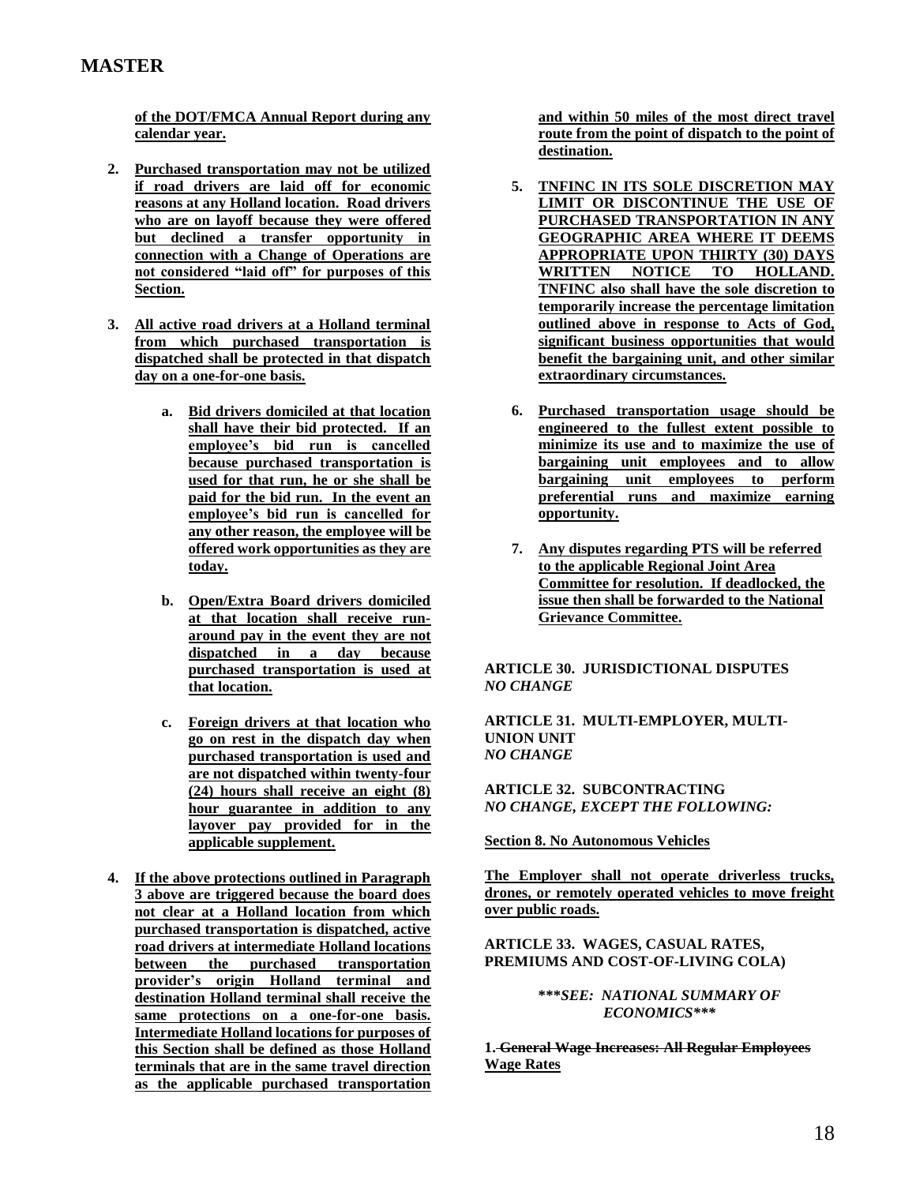**of the DOT/FMCA Annual Report during any calendar year.** 

- **2. Purchased transportation may not be utilized if road drivers are laid off for economic reasons at any Holland location. Road drivers who are on layoff because they were offered but declined a transfer opportunity in connection with a Change of Operations are not considered "laid off" for purposes of this Section.**
- **3. All active road drivers at a Holland terminal from which purchased transportation is dispatched shall be protected in that dispatch day on a one-for-one basis.** 
	- **a. Bid drivers domiciled at that location shall have their bid protected. If an employee's bid run is cancelled because purchased transportation is used for that run, he or she shall be paid for the bid run. In the event an employee's bid run is cancelled for any other reason, the employee will be offered work opportunities as they are today.**
	- **b. Open/Extra Board drivers domiciled at that location shall receive runaround pay in the event they are not dispatched in a day because purchased transportation is used at that location.**
	- **c. Foreign drivers at that location who go on rest in the dispatch day when purchased transportation is used and are not dispatched within twenty-four (24) hours shall receive an eight (8) hour guarantee in addition to any layover pay provided for in the applicable supplement.**
- **4. If the above protections outlined in Paragraph 3 above are triggered because the board does not clear at a Holland location from which purchased transportation is dispatched, active road drivers at intermediate Holland locations between the purchased transportation provider's origin Holland terminal and destination Holland terminal shall receive the same protections on a one-for-one basis. Intermediate Holland locations for purposes of this Section shall be defined as those Holland terminals that are in the same travel direction as the applicable purchased transportation**

**and within 50 miles of the most direct travel route from the point of dispatch to the point of destination.** 

- **5. TNFINC IN ITS SOLE DISCRETION MAY LIMIT OR DISCONTINUE THE USE OF PURCHASED TRANSPORTATION IN ANY GEOGRAPHIC AREA WHERE IT DEEMS APPROPRIATE UPON THIRTY (30) DAYS WRITTEN NOTICE TO HOLLAND. TNFINC also shall have the sole discretion to temporarily increase the percentage limitation outlined above in response to Acts of God, significant business opportunities that would benefit the bargaining unit, and other similar extraordinary circumstances.**
- **6. Purchased transportation usage should be engineered to the fullest extent possible to minimize its use and to maximize the use of bargaining unit employees and to allow bargaining unit employees to perform preferential runs and maximize earning opportunity.**
- **7. Any disputes regarding PTS will be referred to the applicable Regional Joint Area Committee for resolution. If deadlocked, the issue then shall be forwarded to the National Grievance Committee.**

**ARTICLE 30. JURISDICTIONAL DISPUTES**  *NO CHANGE*

**ARTICLE 31. MULTI-EMPLOYER, MULTI-UNION UNIT**  *NO CHANGE*

**ARTICLE 32. SUBCONTRACTING**  *NO CHANGE, EXCEPT THE FOLLOWING:*

**Section 8. No Autonomous Vehicles**

**The Employer shall not operate driverless trucks, drones, or remotely operated vehicles to move freight over public roads.**

**ARTICLE 33. WAGES, CASUAL RATES, PREMIUMS AND COST-OF-LIVING COLA)** 

> **\*\*\****SEE: NATIONAL SUMMARY OF ECONOMICS\*\*\**

**1. General Wage Increases: All Regular Employees Wage Rates**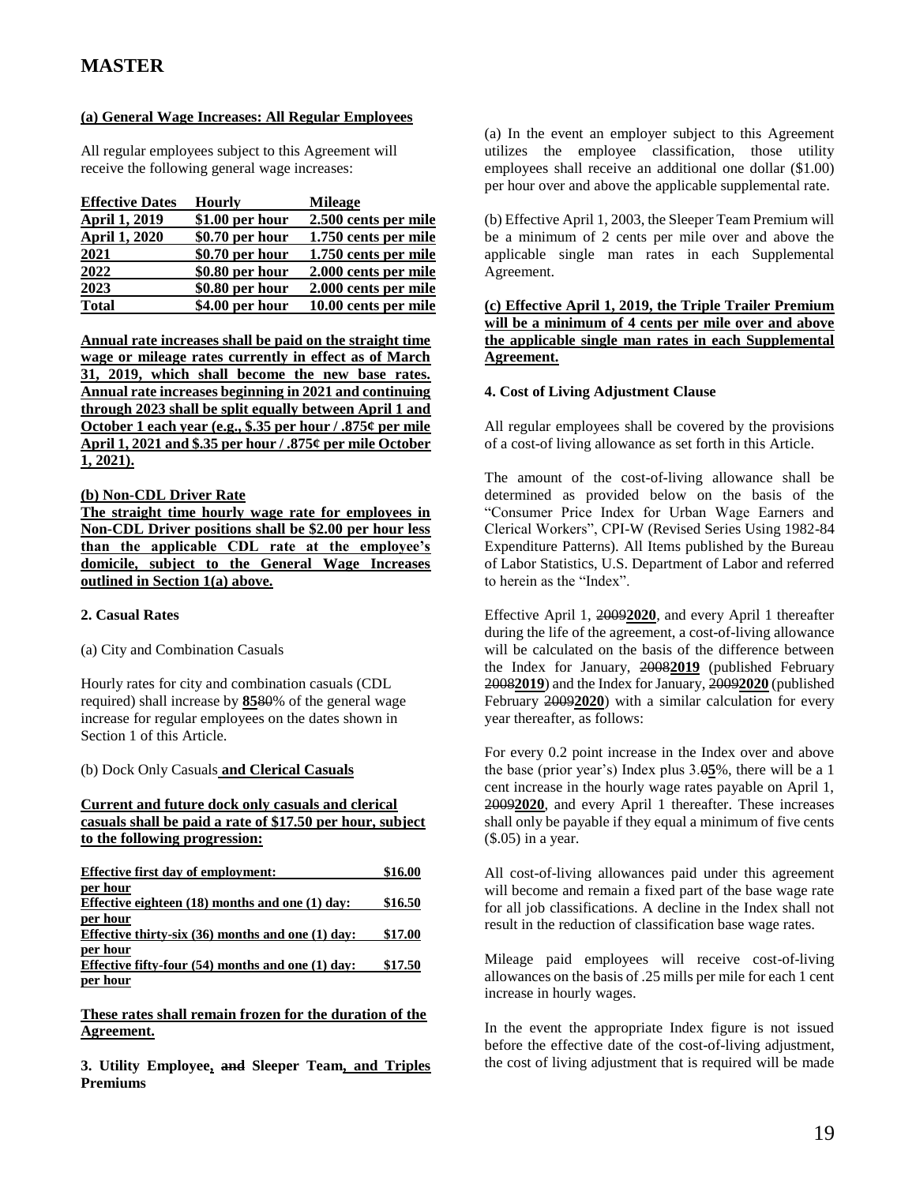### **(a) General Wage Increases: All Regular Employees**

All regular employees subject to this Agreement will receive the following general wage increases:

| <b>Effective Dates</b> | Hourly           | <b>Mileage</b>       |
|------------------------|------------------|----------------------|
| <b>April 1, 2019</b>   | $$1.00$ per hour | 2.500 cents per mile |
| <b>April 1, 2020</b>   | \$0.70 per hour  | 1.750 cents per mile |
| 2021                   | \$0.70 per hour  | 1.750 cents per mile |
| 2022                   | \$0.80 per hour  | 2.000 cents per mile |
| 2023                   | \$0.80 per hour  | 2.000 cents per mile |
| <b>Total</b>           | \$4.00 per hour  | 10.00 cents per mile |

**Annual rate increases shall be paid on the straight time wage or mileage rates currently in effect as of March 31, 2019, which shall become the new base rates. Annual rate increases beginning in 2021 and continuing through 2023 shall be split equally between April 1 and October 1 each year (e.g., \$.35 per hour / .875¢ per mile April 1, 2021 and \$.35 per hour / .875¢ per mile October 1, 2021).**

#### **(b) Non-CDL Driver Rate**

**The straight time hourly wage rate for employees in Non-CDL Driver positions shall be \$2.00 per hour less than the applicable CDL rate at the employee's domicile, subject to the General Wage Increases outlined in Section 1(a) above.**

### **2. Casual Rates**

#### (a) City and Combination Casuals

Hourly rates for city and combination casuals (CDL required) shall increase by **85**80% of the general wage increase for regular employees on the dates shown in Section 1 of this Article.

### (b) Dock Only Casuals **and Clerical Casuals**

#### **Current and future dock only casuals and clerical casuals shall be paid a rate of \$17.50 per hour, subject to the following progression:**

| <b>Effective first day of employment:</b>             | \$16.00 |
|-------------------------------------------------------|---------|
| per hour                                              |         |
| Effective eighteen $(18)$ months and one $(1)$ day:   | \$16.50 |
| per hour                                              |         |
| Effective thirty-six $(36)$ months and one $(1)$ day: | \$17.00 |
| per hour                                              |         |
| Effective fifty-four $(54)$ months and one $(1)$ day: | \$17.50 |
| per hour                                              |         |

#### **These rates shall remain frozen for the duration of the Agreement.**

**3. Utility Employee, and Sleeper Team, and Triples Premiums**

(a) In the event an employer subject to this Agreement utilizes the employee classification, those utility employees shall receive an additional one dollar (\$1.00) per hour over and above the applicable supplemental rate.

(b) Effective April 1, 2003, the Sleeper Team Premium will be a minimum of 2 cents per mile over and above the applicable single man rates in each Supplemental Agreement.

**(c) Effective April 1, 2019, the Triple Trailer Premium will be a minimum of 4 cents per mile over and above the applicable single man rates in each Supplemental Agreement.** 

#### **4. Cost of Living Adjustment Clause**

All regular employees shall be covered by the provisions of a cost-of living allowance as set forth in this Article.

The amount of the cost-of-living allowance shall be determined as provided below on the basis of the "Consumer Price Index for Urban Wage Earners and Clerical Workers", CPI-W (Revised Series Using 1982-84 Expenditure Patterns). All Items published by the Bureau of Labor Statistics, U.S. Department of Labor and referred to herein as the "Index".

Effective April 1, 2009**2020**, and every April 1 thereafter during the life of the agreement, a cost-of-living allowance will be calculated on the basis of the difference between the Index for January, 2008**2019** (published February 2008**2019**) and the Index for January, 2009**2020** (published February 2009**2020**) with a similar calculation for every year thereafter, as follows:

For every 0.2 point increase in the Index over and above the base (prior year's) Index plus 3.0**5**%, there will be a 1 cent increase in the hourly wage rates payable on April 1, 2009**2020**, and every April 1 thereafter. These increases shall only be payable if they equal a minimum of five cents (\$.05) in a year.

All cost-of-living allowances paid under this agreement will become and remain a fixed part of the base wage rate for all job classifications. A decline in the Index shall not result in the reduction of classification base wage rates.

Mileage paid employees will receive cost-of-living allowances on the basis of .25 mills per mile for each 1 cent increase in hourly wages.

In the event the appropriate Index figure is not issued before the effective date of the cost-of-living adjustment, the cost of living adjustment that is required will be made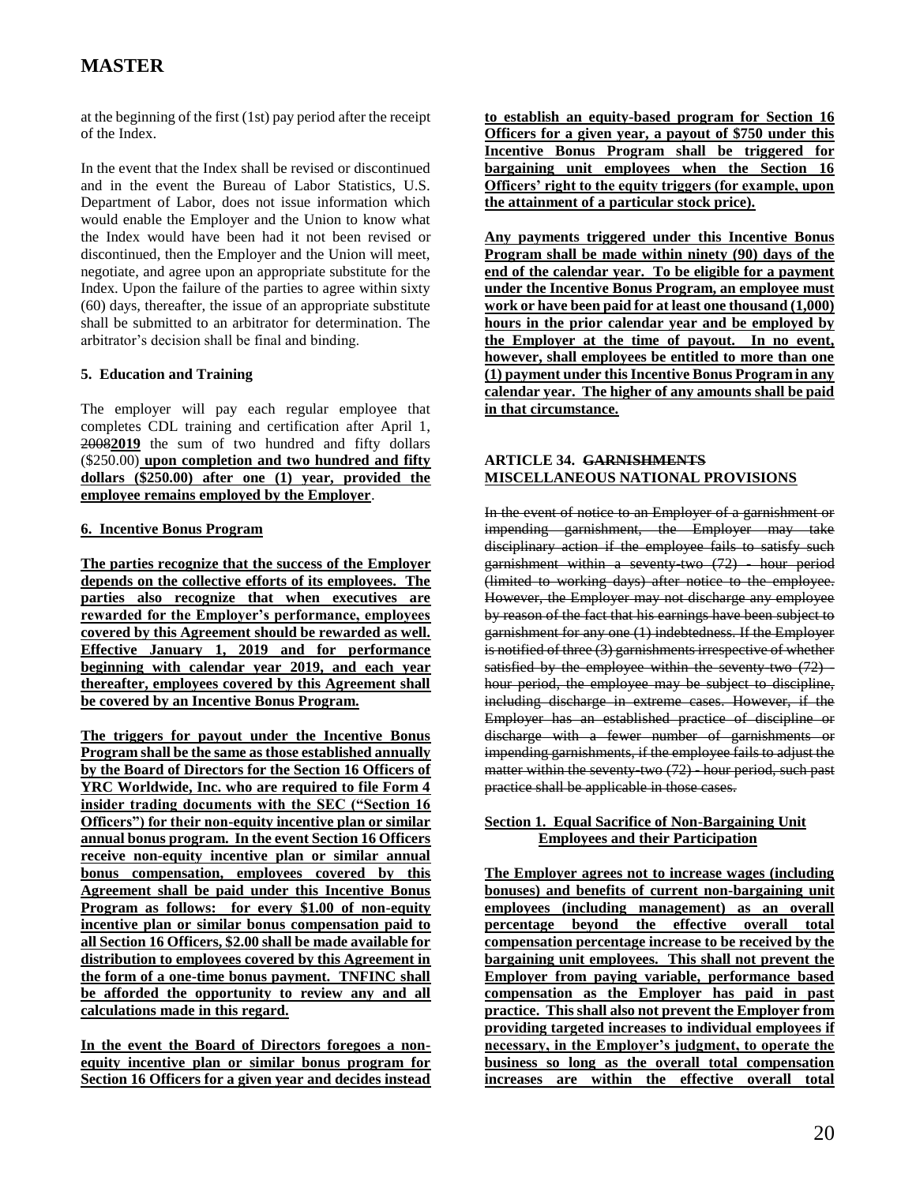at the beginning of the first (1st) pay period after the receipt of the Index.

In the event that the Index shall be revised or discontinued and in the event the Bureau of Labor Statistics, U.S. Department of Labor, does not issue information which would enable the Employer and the Union to know what the Index would have been had it not been revised or discontinued, then the Employer and the Union will meet, negotiate, and agree upon an appropriate substitute for the Index. Upon the failure of the parties to agree within sixty (60) days, thereafter, the issue of an appropriate substitute shall be submitted to an arbitrator for determination. The arbitrator's decision shall be final and binding.

### **5. Education and Training**

The employer will pay each regular employee that completes CDL training and certification after April 1, 2008**2019** the sum of two hundred and fifty dollars (\$250.00) **upon completion and two hundred and fifty dollars (\$250.00) after one (1) year, provided the employee remains employed by the Employer**.

### **6. Incentive Bonus Program**

**The parties recognize that the success of the Employer depends on the collective efforts of its employees. The parties also recognize that when executives are rewarded for the Employer's performance, employees covered by this Agreement should be rewarded as well. Effective January 1, 2019 and for performance beginning with calendar year 2019, and each year thereafter, employees covered by this Agreement shall be covered by an Incentive Bonus Program.**

**The triggers for payout under the Incentive Bonus Program shall be the same as those established annually by the Board of Directors for the Section 16 Officers of YRC Worldwide, Inc. who are required to file Form 4 insider trading documents with the SEC ("Section 16 Officers") for their non-equity incentive plan or similar annual bonus program. In the event Section 16 Officers receive non-equity incentive plan or similar annual bonus compensation, employees covered by this Agreement shall be paid under this Incentive Bonus Program as follows: for every \$1.00 of non-equity incentive plan or similar bonus compensation paid to all Section 16 Officers, \$2.00 shall be made available for distribution to employees covered by this Agreement in the form of a one-time bonus payment. TNFINC shall be afforded the opportunity to review any and all calculations made in this regard.** 

**In the event the Board of Directors foregoes a nonequity incentive plan or similar bonus program for Section 16 Officers for a given year and decides instead**  **to establish an equity-based program for Section 16 Officers for a given year, a payout of \$750 under this Incentive Bonus Program shall be triggered for bargaining unit employees when the Section 16 Officers' right to the equity triggers (for example, upon the attainment of a particular stock price).**

**Any payments triggered under this Incentive Bonus Program shall be made within ninety (90) days of the end of the calendar year. To be eligible for a payment under the Incentive Bonus Program, an employee must work or have been paid for at least one thousand (1,000) hours in the prior calendar year and be employed by the Employer at the time of payout. In no event, however, shall employees be entitled to more than one (1) payment under this Incentive Bonus Program in any calendar year. The higher of any amounts shall be paid in that circumstance.**

### **ARTICLE 34. GARNISHMENTS MISCELLANEOUS NATIONAL PROVISIONS**

In the event of notice to an Employer of a garnishment or impending garnishment, the Employer may take disciplinary action if the employee fails to satisfy such garnishment within a seventy-two (72) hour period (limited to working days) after notice to the employee. However, the Employer may not discharge any employee by reason of the fact that his earnings have been subject to garnishment for any one (1) indebtedness. If the Employer is notified of three (3) garnishments irrespective of whether satisfied by the employee within the seventy two  $(72)$  hour period, the employee may be subject to discipline, including discharge in extreme cases. However, if the Employer has an established practice of discipline or discharge with a fewer number of garnishments or impending garnishments, if the employee fails to adjust the matter within the seventy-two (72) - hour period, such past practice shall be applicable in those cases.

### **Section 1. Equal Sacrifice of Non-Bargaining Unit Employees and their Participation**

**The Employer agrees not to increase wages (including bonuses) and benefits of current non-bargaining unit employees (including management) as an overall percentage beyond the effective overall total compensation percentage increase to be received by the bargaining unit employees. This shall not prevent the Employer from paying variable, performance based compensation as the Employer has paid in past practice. This shall also not prevent the Employer from providing targeted increases to individual employees if necessary, in the Employer's judgment, to operate the business so long as the overall total compensation increases are within the effective overall total**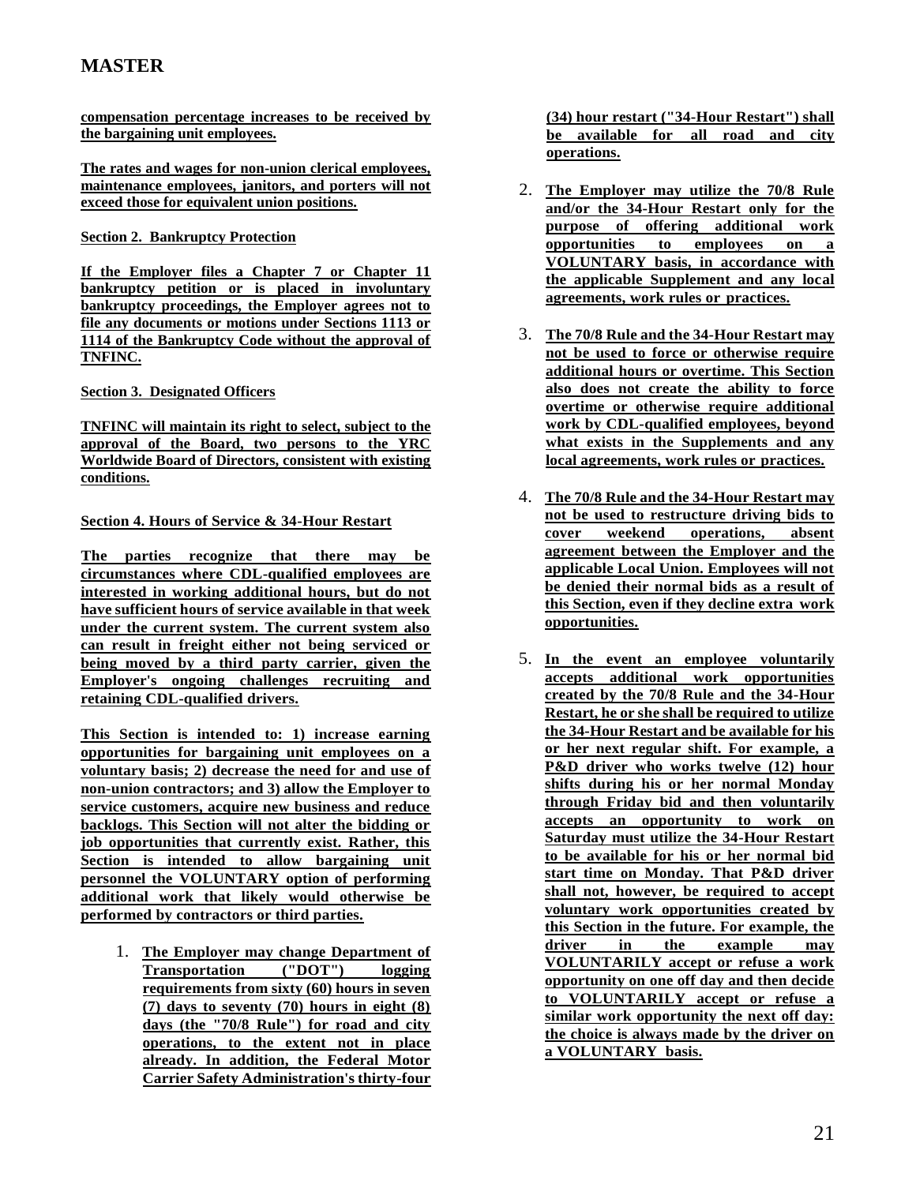**compensation percentage increases to be received by the bargaining unit employees.** 

**The rates and wages for non-union clerical employees, maintenance employees, janitors, and porters will not exceed those for equivalent union positions.** 

### **Section 2. Bankruptcy Protection**

**If the Employer files a Chapter 7 or Chapter 11 bankruptcy petition or is placed in involuntary bankruptcy proceedings, the Employer agrees not to file any documents or motions under Sections 1113 or 1114 of the Bankruptcy Code without the approval of TNFINC.** 

### **Section 3. Designated Officers**

**TNFINC will maintain its right to select, subject to the approval of the Board, two persons to the YRC Worldwide Board of Directors, consistent with existing conditions.**

### **Section 4. Hours of Service & 34-Hour Restart**

**The parties recognize that there may be circumstances where CDL-qualified employees are interested in working additional hours, but do not have sufficient hours of service available in that week under the current system. The current system also can result in freight either not being serviced or being moved by a third party carrier, given the Employer's ongoing challenges recruiting and retaining CDL-qualified drivers.**

**This Section is intended to: 1) increase earning opportunities for bargaining unit employees on a voluntary basis; 2) decrease the need for and use of non-union contractors; and 3) allow the Employer to service customers, acquire new business and reduce backlogs. This Section will not alter the bidding or job opportunities that currently exist. Rather, this Section is intended to allow bargaining unit personnel the VOLUNTARY option of performing additional work that likely would otherwise be performed by contractors or third parties.**

1. **The Employer may change Department of Transportation ("DOT") logging requirements from sixty (60) hours in seven (7) days to seventy (70) hours in eight (8) days (the "70/8 Rule") for road and city operations, to the extent not in place already. In addition, the Federal Motor Carrier Safety Administration's thirty-four**  **(34) hour restart ("34-Hour Restart") shall be available for all road and city operations.**

- 2. **The Employer may utilize the 70/8 Rule and/or the 34-Hour Restart only for the purpose of offering additional work opportunities to employees on a VOLUNTARY basis, in accordance with the applicable Supplement and any local agreements, work rules or practices.**
- 3. **The 70/8 Rule and the 34-Hour Restart may not be used to force or otherwise require additional hours or overtime. This Section also does not create the ability to force overtime or otherwise require additional work by CDL-qualified employees, beyond what exists in the Supplements and any local agreements, work rules or practices.**
- 4. **The 70/8 Rule and the 34-Hour Restart may not be used to restructure driving bids to cover weekend operations, absent agreement between the Employer and the applicable Local Union. Employees will not be denied their normal bids as a result of this Section, even if they decline extra work opportunities.**
- 5. **In the event an employee voluntarily accepts additional work opportunities created by the 70/8 Rule and the 34-Hour Restart, he or she shall be required to utilize the 34-Hour Restart and be available for his or her next regular shift. For example, a P&D driver who works twelve (12) hour shifts during his or her normal Monday through Friday bid and then voluntarily accepts an opportunity to work on Saturday must utilize the 34-Hour Restart to be available for his or her normal bid start time on Monday. That P&D driver shall not, however, be required to accept voluntary work opportunities created by this Section in the future. For example, the driver in the example may VOLUNTARILY accept or refuse a work opportunity on one off day and then decide to VOLUNTARILY accept or refuse a similar work opportunity the next off day: the choice is always made by the driver on a VOLUNTARY basis.**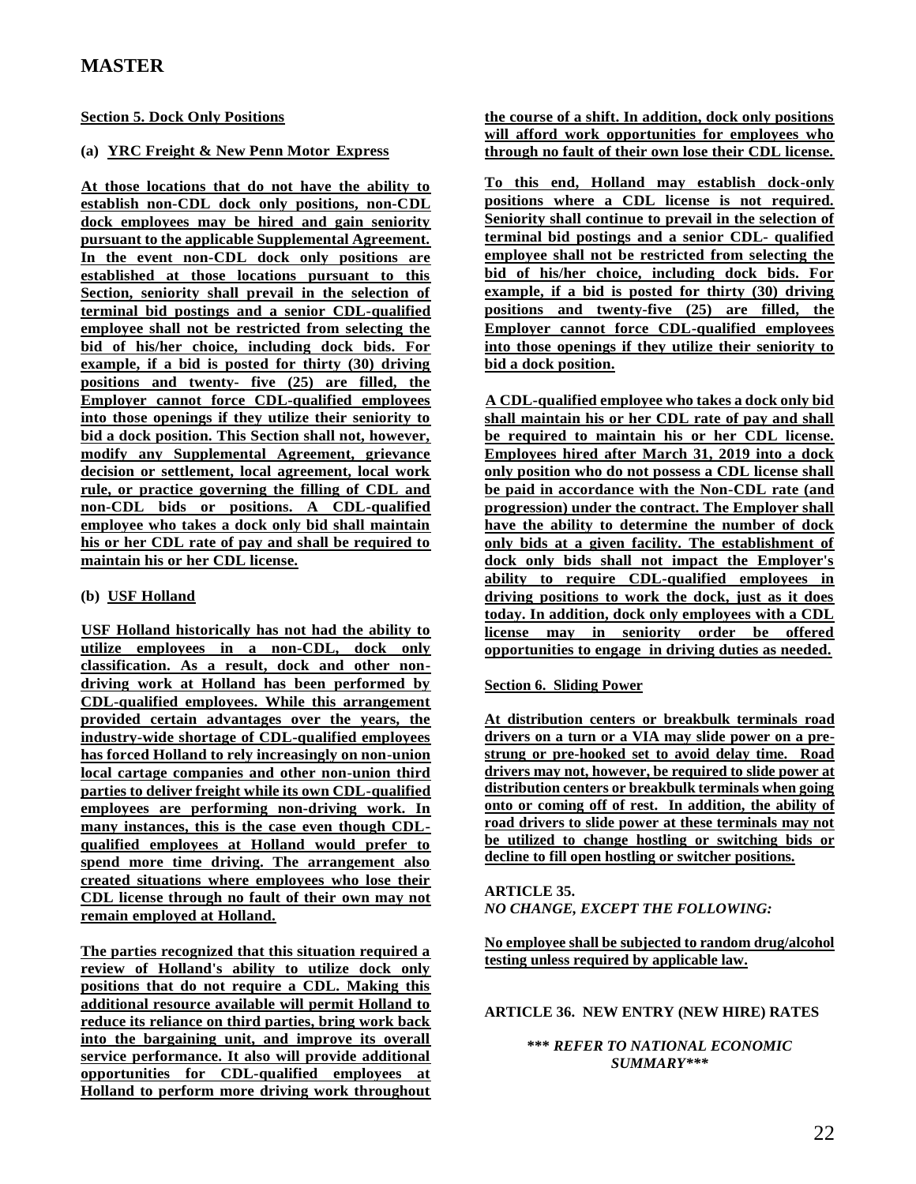### **Section 5. Dock Only Positions**

### **(a) YRC Freight & New Penn Motor Express**

**At those locations that do not have the ability to establish non-CDL dock only positions, non-CDL dock employees may be hired and gain seniority pursuant to the applicable Supplemental Agreement. In the event non-CDL dock only positions are established at those locations pursuant to this Section, seniority shall prevail in the selection of terminal bid postings and a senior CDL-qualified employee shall not be restricted from selecting the bid of his/her choice, including dock bids. For example, if a bid is posted for thirty (30) driving positions and twenty- five (25) are filled, the Employer cannot force CDL-qualified employees into those openings if they utilize their seniority to bid a dock position. This Section shall not, however, modify any Supplemental Agreement, grievance decision or settlement, local agreement, local work rule, or practice governing the filling of CDL and non-CDL bids or positions. A CDL-qualified employee who takes a dock only bid shall maintain his or her CDL rate of pay and shall be required to maintain his or her CDL license.**

### **(b) USF Holland**

**USF Holland historically has not had the ability to utilize employees in a non-CDL, dock only classification. As a result, dock and other nondriving work at Holland has been performed by CDL-qualified employees. While this arrangement provided certain advantages over the years, the industry-wide shortage of CDL-qualified employees has forced Holland to rely increasingly on non-union local cartage companies and other non-union third parties to deliver freight while its own CDL-qualified employees are performing non-driving work. In many instances, this is the case even though CDLqualified employees at Holland would prefer to spend more time driving. The arrangement also created situations where employees who lose their CDL license through no fault of their own may not remain employed at Holland.**

**The parties recognized that this situation required a review of Holland's ability to utilize dock only positions that do not require a CDL. Making this additional resource available will permit Holland to reduce its reliance on third parties, bring work back into the bargaining unit, and improve its overall service performance. It also will provide additional opportunities for CDL-qualified employees at Holland to perform more driving work throughout**  **the course of a shift. In addition, dock only positions will afford work opportunities for employees who through no fault of their own lose their CDL license.**

**To this end, Holland may establish dock-only positions where a CDL license is not required. Seniority shall continue to prevail in the selection of terminal bid postings and a senior CDL- qualified employee shall not be restricted from selecting the bid of his/her choice, including dock bids. For example, if a bid is posted for thirty (30) driving positions and twenty-five (25) are filled, the Employer cannot force CDL-qualified employees into those openings if they utilize their seniority to bid a dock position.**

**A CDL-qualified employee who takes a dock only bid shall maintain his or her CDL rate of pay and shall be required to maintain his or her CDL license. Employees hired after March 31, 2019 into a dock only position who do not possess a CDL license shall be paid in accordance with the Non-CDL rate (and progression) under the contract. The Employer shall have the ability to determine the number of dock only bids at a given facility. The establishment of dock only bids shall not impact the Employer's ability to require CDL-qualified employees in driving positions to work the dock, just as it does today. In addition, dock only employees with a CDL license may in seniority order be offered opportunities to engage in driving duties as needed.**

### **Section 6. Sliding Power**

**At distribution centers or breakbulk terminals road drivers on a turn or a VIA may slide power on a prestrung or pre-hooked set to avoid delay time. Road drivers may not, however, be required to slide power at distribution centers or breakbulk terminals when going onto or coming off of rest. In addition, the ability of road drivers to slide power at these terminals may not be utilized to change hostling or switching bids or decline to fill open hostling or switcher positions.**

#### **ARTICLE 35.**  *NO CHANGE, EXCEPT THE FOLLOWING:*

**No employee shall be subjected to random drug/alcohol testing unless required by applicable law.**

### **ARTICLE 36. NEW ENTRY (NEW HIRE) RATES**

### **\*\*\*** *REFER TO NATIONAL ECONOMIC SUMMARY\*\*\**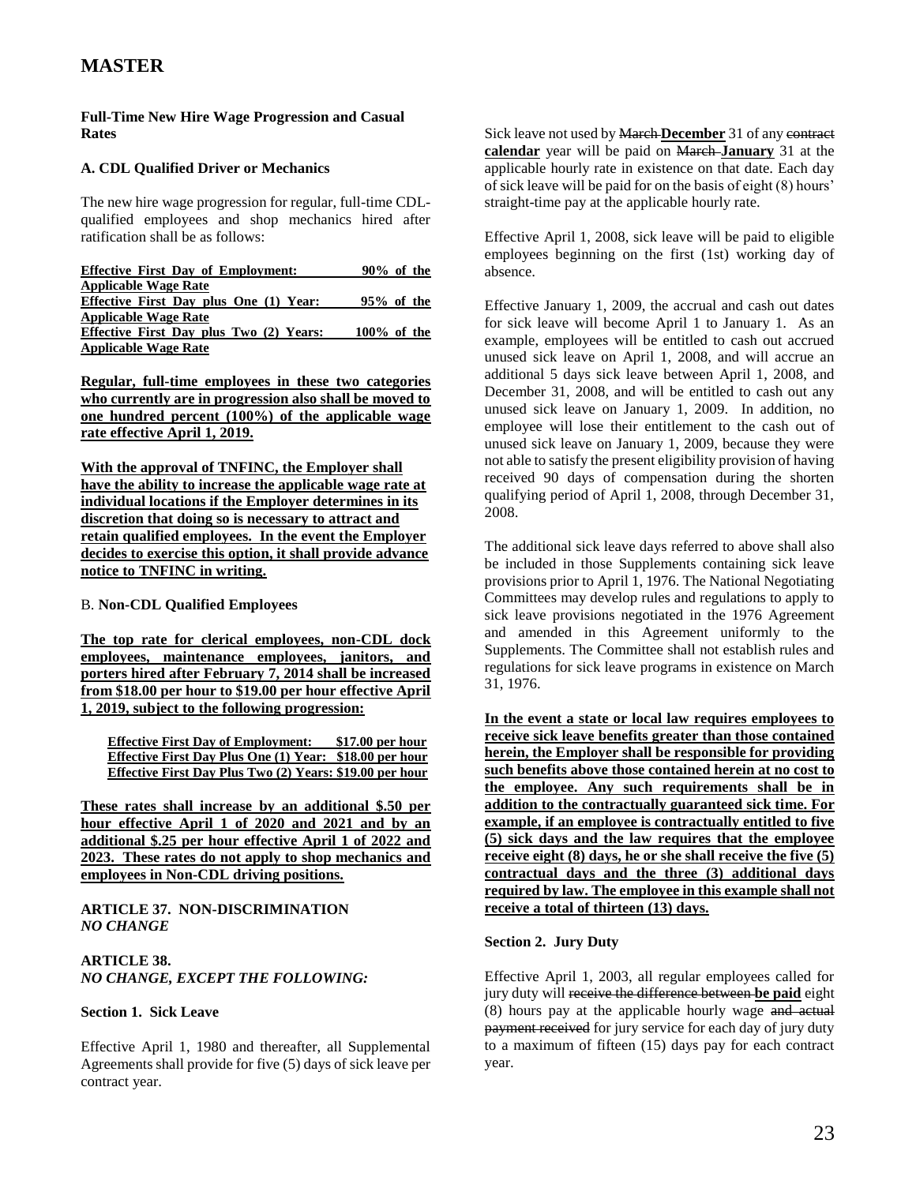### **Full-Time New Hire Wage Progression and Casual Rates**

### **A. CDL Qualified Driver or Mechanics**

The new hire wage progression for regular, full-time CDLqualified employees and shop mechanics hired after ratification shall be as follows:

| <b>Effective First Day of Employment:</b>     | $90\%$ of the  |
|-----------------------------------------------|----------------|
| <b>Applicable Wage Rate</b>                   |                |
| <b>Effective First Day plus One (1) Year:</b> | $95\%$ of the  |
| <b>Applicable Wage Rate</b>                   |                |
| Effective First Day plus Two (2) Years:       | $100\%$ of the |
| <b>Applicable Wage Rate</b>                   |                |

**Regular, full-time employees in these two categories who currently are in progression also shall be moved to one hundred percent (100%) of the applicable wage rate effective April 1, 2019.**

**With the approval of TNFINC, the Employer shall have the ability to increase the applicable wage rate at individual locations if the Employer determines in its discretion that doing so is necessary to attract and retain qualified employees. In the event the Employer decides to exercise this option, it shall provide advance notice to TNFINC in writing.**

### B. **Non-CDL Qualified Employees**

**The top rate for clerical employees, non-CDL dock employees, maintenance employees, janitors, and porters hired after February 7, 2014 shall be increased from \$18.00 per hour to \$19.00 per hour effective April 1, 2019, subject to the following progression:**

**Effective First Day of Employment: \$17.00 per hour Effective First Day Plus One (1) Year: \$18.00 per hour Effective First Day Plus Two (2) Years: \$19.00 per hour**

**These rates shall increase by an additional \$.50 per hour effective April 1 of 2020 and 2021 and by an additional \$.25 per hour effective April 1 of 2022 and 2023. These rates do not apply to shop mechanics and employees in Non-CDL driving positions.**

### **ARTICLE 37. NON-DISCRIMINATION**  *NO CHANGE*

### **ARTICLE 38.** *NO CHANGE, EXCEPT THE FOLLOWING:*

### **Section 1. Sick Leave**

Effective April 1, 1980 and thereafter, all Supplemental Agreements shall provide for five (5) days of sick leave per contract year.

Sick leave not used by March **December** 31 of any contract **calendar** year will be paid on March **January** 31 at the applicable hourly rate in existence on that date. Each day of sick leave will be paid for on the basis of eight (8) hours' straight-time pay at the applicable hourly rate.

Effective April 1, 2008, sick leave will be paid to eligible employees beginning on the first (1st) working day of absence.

Effective January 1, 2009, the accrual and cash out dates for sick leave will become April 1 to January 1. As an example, employees will be entitled to cash out accrued unused sick leave on April 1, 2008, and will accrue an additional 5 days sick leave between April 1, 2008, and December 31, 2008, and will be entitled to cash out any unused sick leave on January 1, 2009. In addition, no employee will lose their entitlement to the cash out of unused sick leave on January 1, 2009, because they were not able to satisfy the present eligibility provision of having received 90 days of compensation during the shorten qualifying period of April 1, 2008, through December 31, 2008.

The additional sick leave days referred to above shall also be included in those Supplements containing sick leave provisions prior to April 1, 1976. The National Negotiating Committees may develop rules and regulations to apply to sick leave provisions negotiated in the 1976 Agreement and amended in this Agreement uniformly to the Supplements. The Committee shall not establish rules and regulations for sick leave programs in existence on March 31, 1976.

**In the event a state or local law requires employees to receive sick leave benefits greater than those contained herein, the Employer shall be responsible for providing such benefits above those contained herein at no cost to the employee. Any such requirements shall be in addition to the contractually guaranteed sick time. For example, if an employee is contractually entitled to five (5) sick days and the law requires that the employee receive eight (8) days, he or she shall receive the five (5) contractual days and the three (3) additional days required by law. The employee in this example shall not receive a total of thirteen (13) days.**

### **Section 2. Jury Duty**

Effective April 1, 2003, all regular employees called for jury duty will receive the difference between **be paid** eight (8) hours pay at the applicable hourly wage and actual payment received for jury service for each day of jury duty to a maximum of fifteen (15) days pay for each contract year.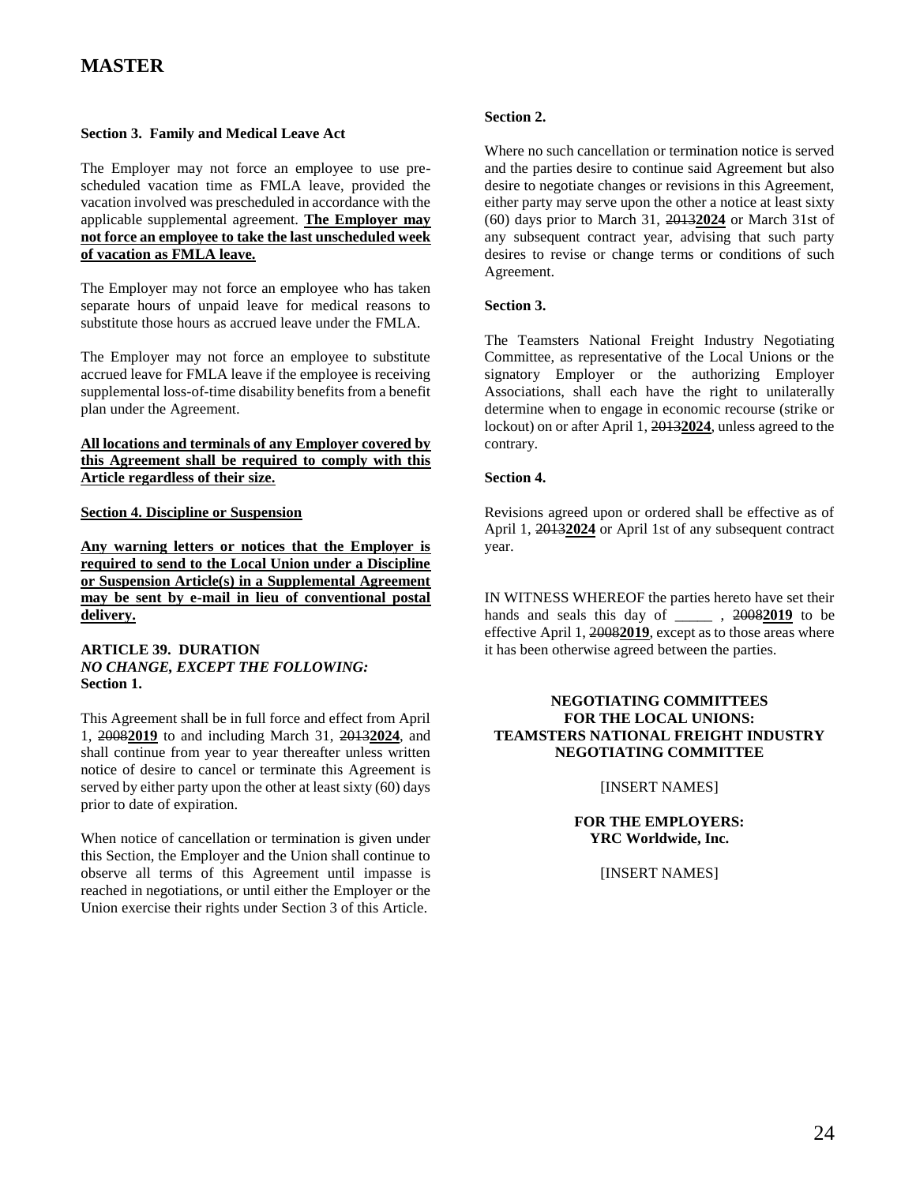### **Section 3. Family and Medical Leave Act**

The Employer may not force an employee to use prescheduled vacation time as FMLA leave, provided the vacation involved was prescheduled in accordance with the applicable supplemental agreement. **The Employer may not force an employee to take the last unscheduled week of vacation as FMLA leave.**

The Employer may not force an employee who has taken separate hours of unpaid leave for medical reasons to substitute those hours as accrued leave under the FMLA.

The Employer may not force an employee to substitute accrued leave for FMLA leave if the employee is receiving supplemental loss-of-time disability benefits from a benefit plan under the Agreement.

### **All locations and terminals of any Employer covered by this Agreement shall be required to comply with this Article regardless of their size.**

#### **Section 4. Discipline or Suspension**

**Any warning letters or notices that the Employer is required to send to the Local Union under a Discipline or Suspension Article(s) in a Supplemental Agreement may be sent by e-mail in lieu of conventional postal delivery.**

#### **ARTICLE 39. DURATION** *NO CHANGE, EXCEPT THE FOLLOWING:* **Section 1.**

This Agreement shall be in full force and effect from April 1, 2008**2019** to and including March 31, 2013**2024**, and shall continue from year to year thereafter unless written notice of desire to cancel or terminate this Agreement is served by either party upon the other at least sixty (60) days prior to date of expiration.

When notice of cancellation or termination is given under this Section, the Employer and the Union shall continue to observe all terms of this Agreement until impasse is reached in negotiations, or until either the Employer or the Union exercise their rights under Section 3 of this Article.

### **Section 2.**

Where no such cancellation or termination notice is served and the parties desire to continue said Agreement but also desire to negotiate changes or revisions in this Agreement, either party may serve upon the other a notice at least sixty (60) days prior to March 31, 2013**2024** or March 31st of any subsequent contract year, advising that such party desires to revise or change terms or conditions of such Agreement.

### **Section 3.**

The Teamsters National Freight Industry Negotiating Committee, as representative of the Local Unions or the signatory Employer or the authorizing Employer Associations, shall each have the right to unilaterally determine when to engage in economic recourse (strike or lockout) on or after April 1, 2013**2024**, unless agreed to the contrary.

#### **Section 4.**

Revisions agreed upon or ordered shall be effective as of April 1, 2013**2024** or April 1st of any subsequent contract year.

IN WITNESS WHEREOF the parties hereto have set their hands and seals this day of \_\_\_\_\_ , 2008**2019** to be effective April 1, 2008**2019**, except as to those areas where it has been otherwise agreed between the parties.

### **NEGOTIATING COMMITTEES FOR THE LOCAL UNIONS: TEAMSTERS NATIONAL FREIGHT INDUSTRY NEGOTIATING COMMITTEE**

#### [INSERT NAMES]

### **FOR THE EMPLOYERS: YRC Worldwide, Inc.**

[INSERT NAMES]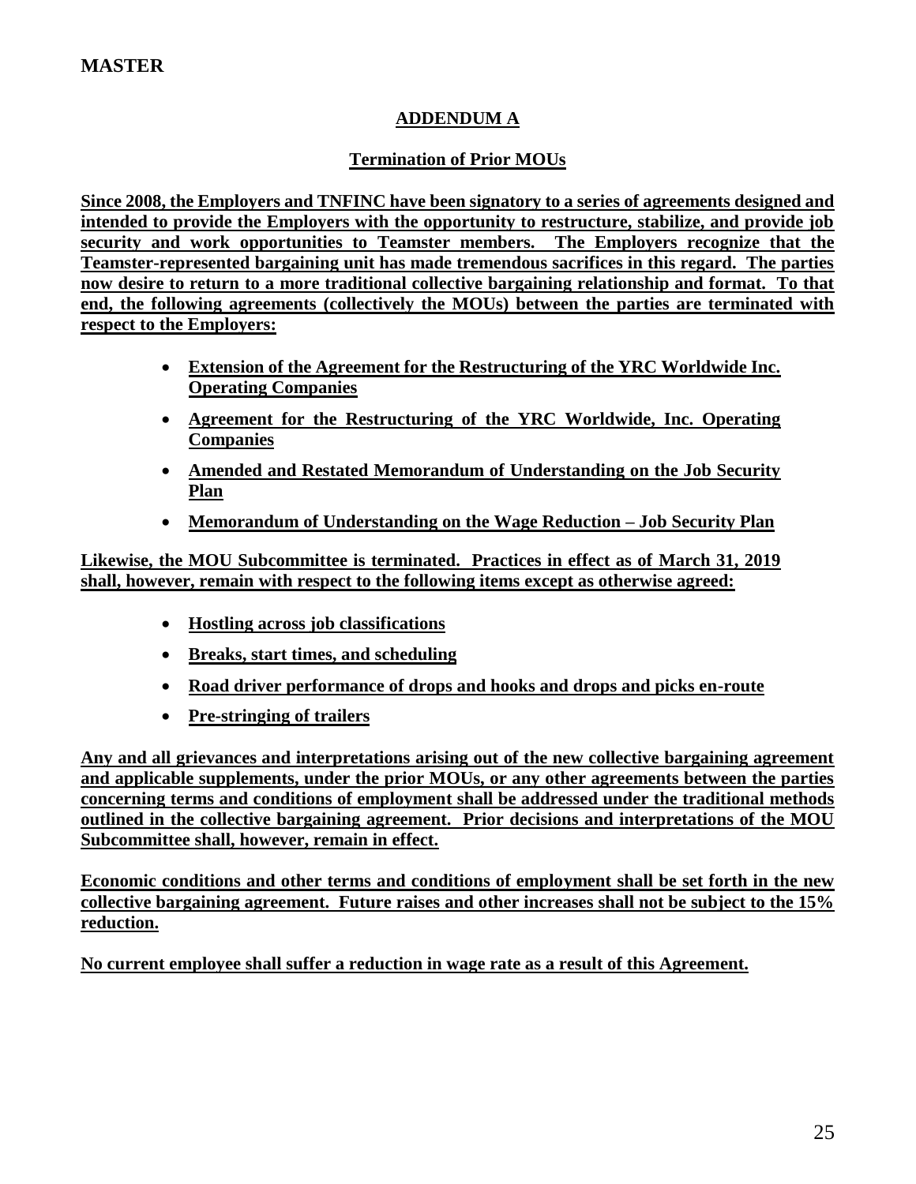## **ADDENDUM A**

## **Termination of Prior MOUs**

**Since 2008, the Employers and TNFINC have been signatory to a series of agreements designed and intended to provide the Employers with the opportunity to restructure, stabilize, and provide job security and work opportunities to Teamster members. The Employers recognize that the Teamster-represented bargaining unit has made tremendous sacrifices in this regard. The parties now desire to return to a more traditional collective bargaining relationship and format. To that end, the following agreements (collectively the MOUs) between the parties are terminated with respect to the Employers:**

- **Extension of the Agreement for the Restructuring of the YRC Worldwide Inc. Operating Companies**
- **Agreement for the Restructuring of the YRC Worldwide, Inc. Operating Companies**
- **Amended and Restated Memorandum of Understanding on the Job Security Plan**
- **Memorandum of Understanding on the Wage Reduction – Job Security Plan**

**Likewise, the MOU Subcommittee is terminated. Practices in effect as of March 31, 2019 shall, however, remain with respect to the following items except as otherwise agreed:**

- **Hostling across job classifications**
- **Breaks, start times, and scheduling**
- **Road driver performance of drops and hooks and drops and picks en-route**
- **Pre-stringing of trailers**

**Any and all grievances and interpretations arising out of the new collective bargaining agreement and applicable supplements, under the prior MOUs, or any other agreements between the parties concerning terms and conditions of employment shall be addressed under the traditional methods outlined in the collective bargaining agreement. Prior decisions and interpretations of the MOU Subcommittee shall, however, remain in effect.** 

**Economic conditions and other terms and conditions of employment shall be set forth in the new collective bargaining agreement. Future raises and other increases shall not be subject to the 15% reduction.** 

**No current employee shall suffer a reduction in wage rate as a result of this Agreement.**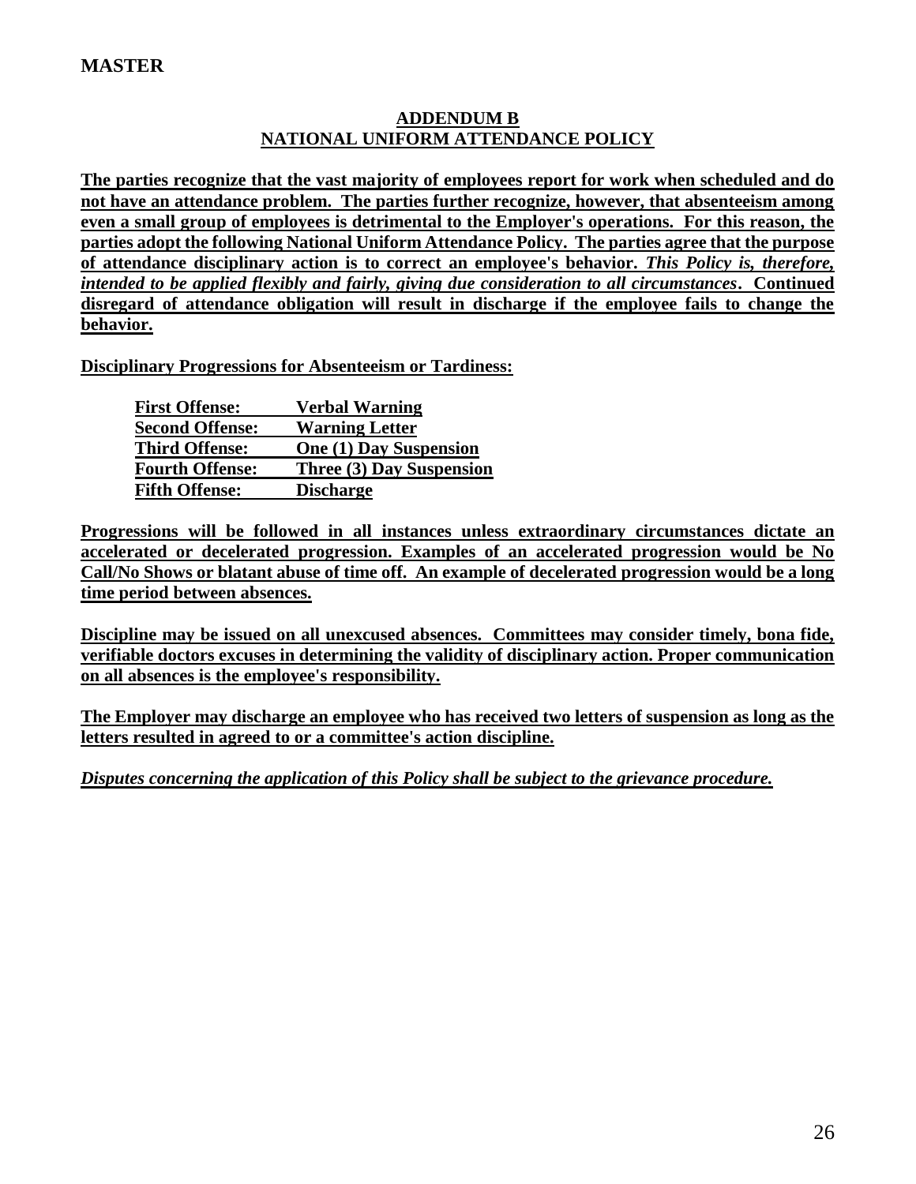## **ADDENDUM B NATIONAL UNIFORM ATTENDANCE POLICY**

**The parties recognize that the vast majority of employees report for work when scheduled and do not have an attendance problem. The parties further recognize, however, that absenteeism among even a small group of employees is detrimental to the Employer's operations. For this reason, the parties adopt the following National Uniform Attendance Policy. The parties agree that the purpose of attendance disciplinary action is to correct an employee's behavior.** *This Policy is, therefore, intended to be applied flexibly and fairly, giving due consideration to all circumstances***. Continued disregard of attendance obligation will result in discharge if the employee fails to change the behavior.**

**Disciplinary Progressions for Absenteeism or Tardiness:**

| <b>First Offense:</b>  | <b>Verbal Warning</b>         |
|------------------------|-------------------------------|
| <b>Second Offense:</b> | <b>Warning Letter</b>         |
| <b>Third Offense:</b>  | <b>One (1) Day Suspension</b> |
| <b>Fourth Offense:</b> | Three (3) Day Suspension      |
| <b>Fifth Offense:</b>  | <b>Discharge</b>              |

**Progressions will be followed in all instances unless extraordinary circumstances dictate an accelerated or decelerated progression. Examples of an accelerated progression would be No Call/No Shows or blatant abuse of time off. An example of decelerated progression would be a long time period between absences.**

**Discipline may be issued on all unexcused absences. Committees may consider timely, bona fide, verifiable doctors excuses in determining the validity of disciplinary action. Proper communication on all absences is the employee's responsibility.**

**The Employer may discharge an employee who has received two letters of suspension as long as the letters resulted in agreed to or a committee's action discipline.**

*Disputes concerning the application of this Policy shall be subject to the grievance procedure.*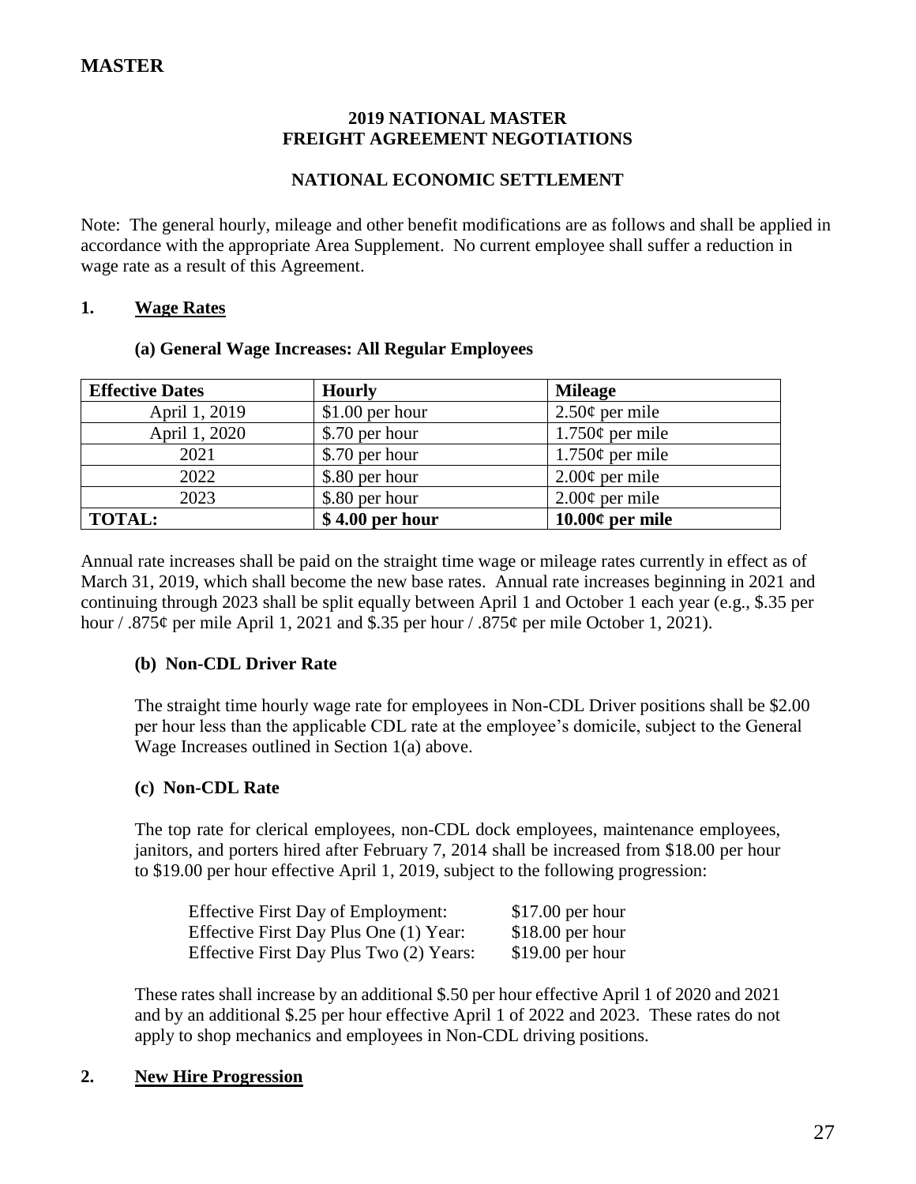### **2019 NATIONAL MASTER FREIGHT AGREEMENT NEGOTIATIONS**

## **NATIONAL ECONOMIC SETTLEMENT**

Note: The general hourly, mileage and other benefit modifications are as follows and shall be applied in accordance with the appropriate Area Supplement. No current employee shall suffer a reduction in wage rate as a result of this Agreement.

### **1. Wage Rates**

### **(a) General Wage Increases: All Regular Employees**

| <b>Effective Dates</b> | <b>Hourly</b>    | <b>Mileage</b>       |
|------------------------|------------------|----------------------|
| April 1, 2019          | $$1.00$ per hour | $2.50¢$ per mile     |
| April 1, 2020          | \$.70 per hour   | $1.750\phi$ per mile |
| 2021                   | \$.70 per hour   | $1.750\phi$ per mile |
| 2022                   | \$.80 per hour   | $2.00¢$ per mile     |
| 2023                   | \$.80 per hour   | $2.00¢$ per mile     |
| <b>TOTAL:</b>          | $$4.00$ per hour | $10.00¢$ per mile    |

Annual rate increases shall be paid on the straight time wage or mileage rates currently in effect as of March 31, 2019, which shall become the new base rates. Annual rate increases beginning in 2021 and continuing through 2023 shall be split equally between April 1 and October 1 each year (e.g., \$.35 per hour / .875¢ per mile April 1, 2021 and \$.35 per hour / .875¢ per mile October 1, 2021).

## **(b) Non-CDL Driver Rate**

The straight time hourly wage rate for employees in Non-CDL Driver positions shall be \$2.00 per hour less than the applicable CDL rate at the employee's domicile, subject to the General Wage Increases outlined in Section 1(a) above.

### **(c) Non-CDL Rate**

The top rate for clerical employees, non-CDL dock employees, maintenance employees, janitors, and porters hired after February 7, 2014 shall be increased from \$18.00 per hour to \$19.00 per hour effective April 1, 2019, subject to the following progression:

| <b>Effective First Day of Employment:</b> | $$17.00$ per hour |
|-------------------------------------------|-------------------|
| Effective First Day Plus One (1) Year:    | $$18.00$ per hour |
| Effective First Day Plus Two (2) Years:   | $$19.00$ per hour |

These rates shall increase by an additional \$.50 per hour effective April 1 of 2020 and 2021 and by an additional \$.25 per hour effective April 1 of 2022 and 2023. These rates do not apply to shop mechanics and employees in Non-CDL driving positions.

## **2. New Hire Progression**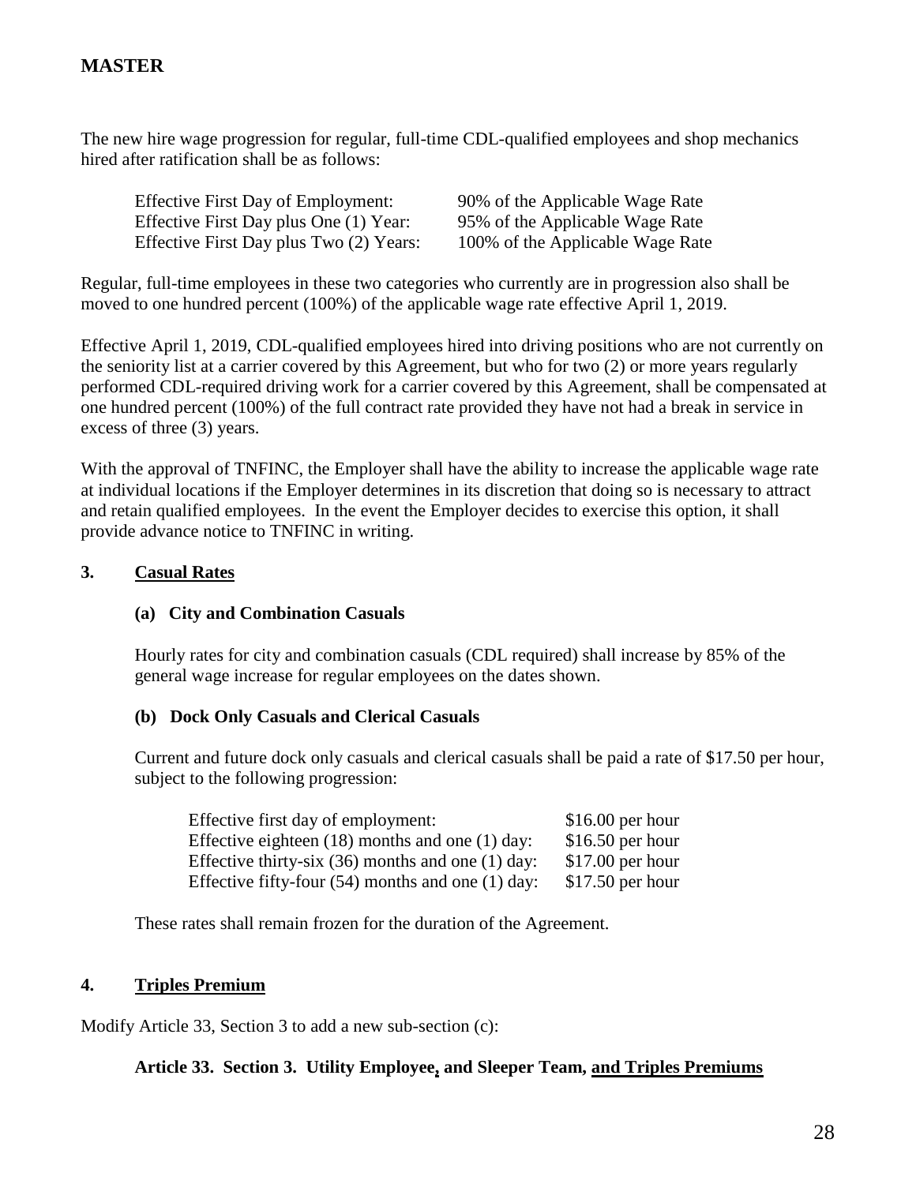The new hire wage progression for regular, full-time CDL-qualified employees and shop mechanics hired after ratification shall be as follows:

| <b>Effective First Day of Employment:</b> | 90% of the Applicable Wage Rate  |
|-------------------------------------------|----------------------------------|
| Effective First Day plus One (1) Year:    | 95% of the Applicable Wage Rate  |
| Effective First Day plus Two (2) Years:   | 100% of the Applicable Wage Rate |

Regular, full-time employees in these two categories who currently are in progression also shall be moved to one hundred percent (100%) of the applicable wage rate effective April 1, 2019.

Effective April 1, 2019, CDL-qualified employees hired into driving positions who are not currently on the seniority list at a carrier covered by this Agreement, but who for two (2) or more years regularly performed CDL-required driving work for a carrier covered by this Agreement, shall be compensated at one hundred percent (100%) of the full contract rate provided they have not had a break in service in excess of three (3) years.

With the approval of TNFINC, the Employer shall have the ability to increase the applicable wage rate at individual locations if the Employer determines in its discretion that doing so is necessary to attract and retain qualified employees. In the event the Employer decides to exercise this option, it shall provide advance notice to TNFINC in writing.

## **3. Casual Rates**

## **(a) City and Combination Casuals**

Hourly rates for city and combination casuals (CDL required) shall increase by 85% of the general wage increase for regular employees on the dates shown.

## **(b) Dock Only Casuals and Clerical Casuals**

Current and future dock only casuals and clerical casuals shall be paid a rate of \$17.50 per hour, subject to the following progression:

| Effective first day of employment:                    | $$16.00$ per hour |
|-------------------------------------------------------|-------------------|
| Effective eighteen $(18)$ months and one $(1)$ day:   | $$16.50$ per hour |
| Effective thirty-six $(36)$ months and one $(1)$ day: | $$17.00$ per hour |
| Effective fifty-four $(54)$ months and one $(1)$ day: | $$17.50$ per hour |

These rates shall remain frozen for the duration of the Agreement.

## **4. Triples Premium**

Modify Article 33, Section 3 to add a new sub-section (c):

## **Article 33. Section 3. Utility Employee, and Sleeper Team, and Triples Premiums**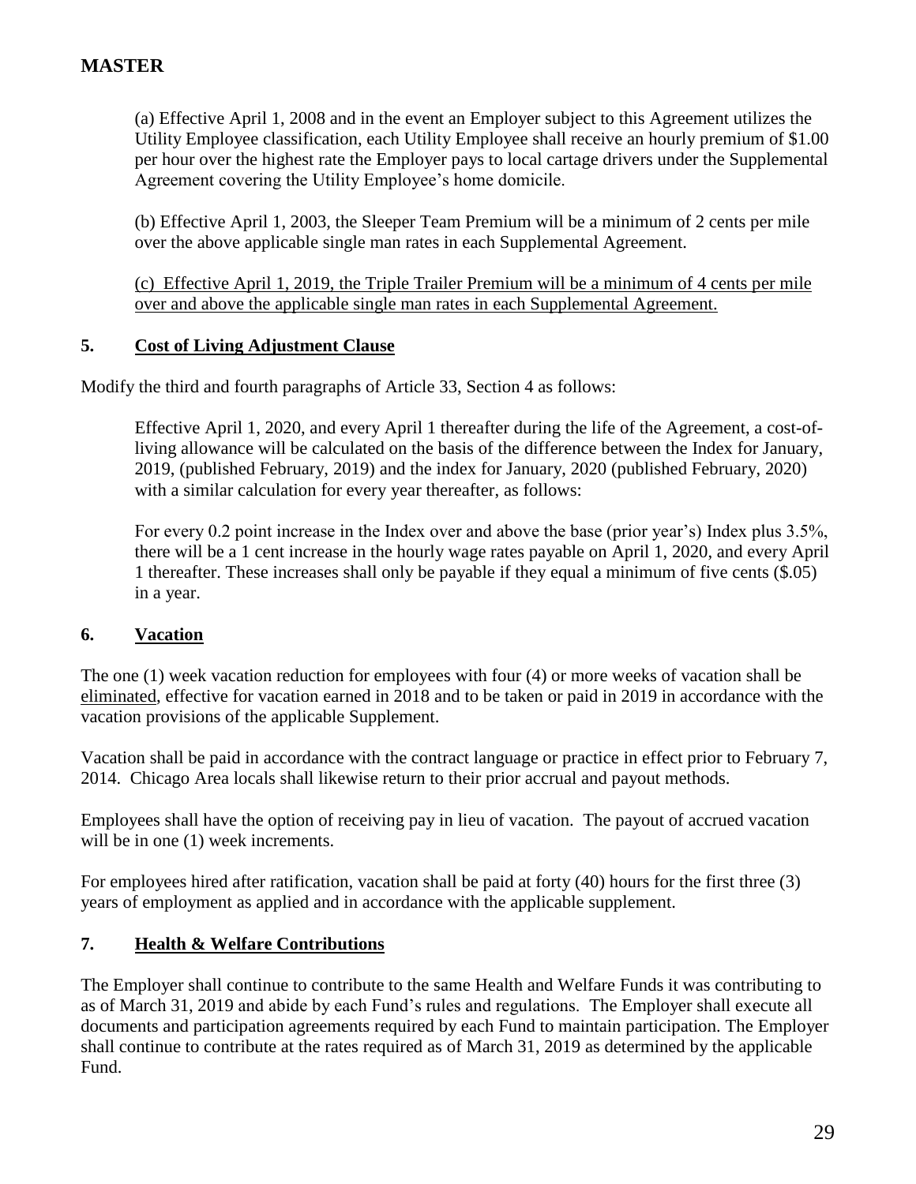(a) Effective April 1, 2008 and in the event an Employer subject to this Agreement utilizes the Utility Employee classification, each Utility Employee shall receive an hourly premium of \$1.00 per hour over the highest rate the Employer pays to local cartage drivers under the Supplemental Agreement covering the Utility Employee's home domicile.

(b) Effective April 1, 2003, the Sleeper Team Premium will be a minimum of 2 cents per mile over the above applicable single man rates in each Supplemental Agreement.

(c) Effective April 1, 2019, the Triple Trailer Premium will be a minimum of 4 cents per mile over and above the applicable single man rates in each Supplemental Agreement.

## **5. Cost of Living Adjustment Clause**

Modify the third and fourth paragraphs of Article 33, Section 4 as follows:

Effective April 1, 2020, and every April 1 thereafter during the life of the Agreement, a cost-ofliving allowance will be calculated on the basis of the difference between the Index for January, 2019, (published February, 2019) and the index for January, 2020 (published February, 2020) with a similar calculation for every year thereafter, as follows:

For every 0.2 point increase in the Index over and above the base (prior year's) Index plus 3.5%, there will be a 1 cent increase in the hourly wage rates payable on April 1, 2020, and every April 1 thereafter. These increases shall only be payable if they equal a minimum of five cents (\$.05) in a year.

## **6. Vacation**

The one (1) week vacation reduction for employees with four (4) or more weeks of vacation shall be eliminated, effective for vacation earned in 2018 and to be taken or paid in 2019 in accordance with the vacation provisions of the applicable Supplement.

Vacation shall be paid in accordance with the contract language or practice in effect prior to February 7, 2014. Chicago Area locals shall likewise return to their prior accrual and payout methods.

Employees shall have the option of receiving pay in lieu of vacation. The payout of accrued vacation will be in one  $(1)$  week increments.

For employees hired after ratification, vacation shall be paid at forty (40) hours for the first three (3) years of employment as applied and in accordance with the applicable supplement.

## **7. Health & Welfare Contributions**

The Employer shall continue to contribute to the same Health and Welfare Funds it was contributing to as of March 31, 2019 and abide by each Fund's rules and regulations. The Employer shall execute all documents and participation agreements required by each Fund to maintain participation. The Employer shall continue to contribute at the rates required as of March 31, 2019 as determined by the applicable Fund.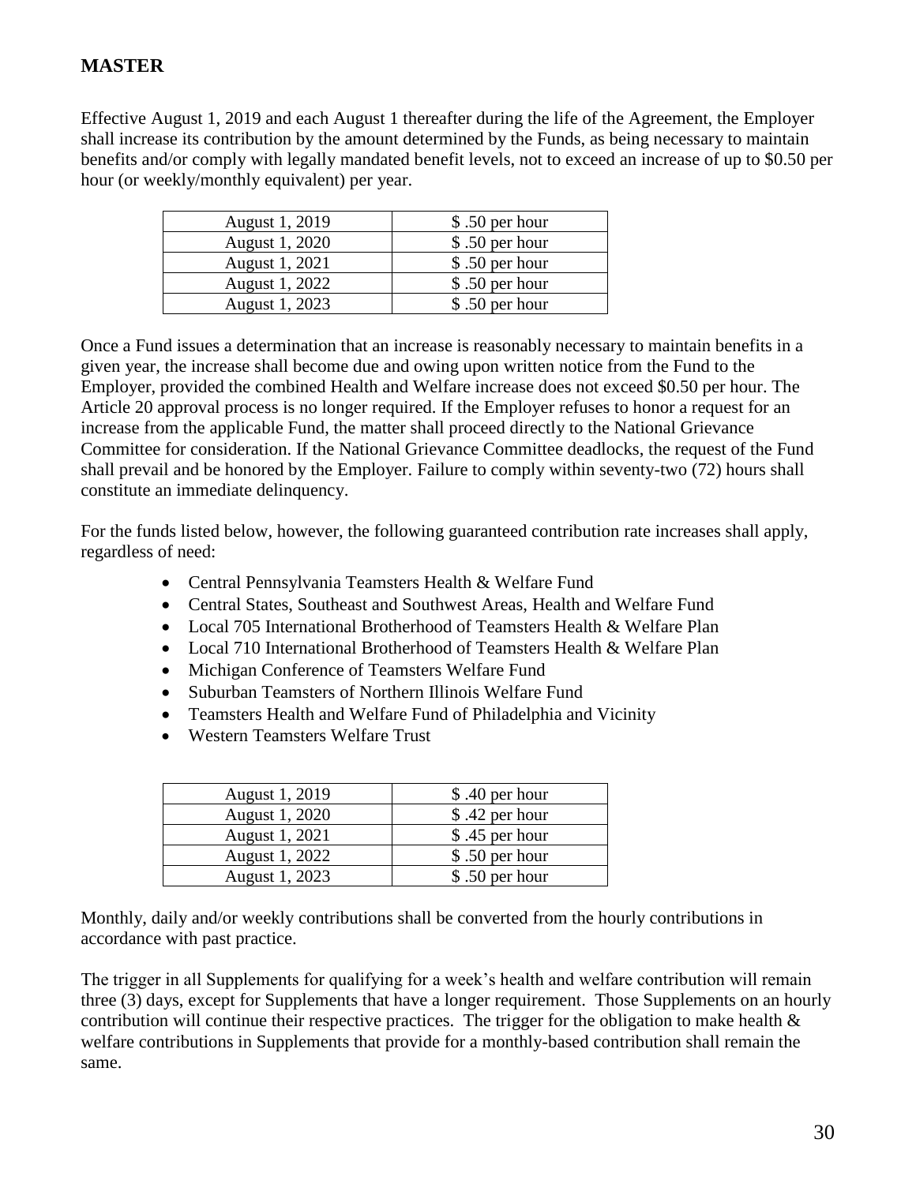Effective August 1, 2019 and each August 1 thereafter during the life of the Agreement, the Employer shall increase its contribution by the amount determined by the Funds, as being necessary to maintain benefits and/or comply with legally mandated benefit levels, not to exceed an increase of up to \$0.50 per hour (or weekly/monthly equivalent) per year.

| August 1, 2019 | $$.50$ per hour |
|----------------|-----------------|
| August 1, 2020 | \$.50 per hour  |
| August 1, 2021 | \$.50 per hour  |
| August 1, 2022 | \$.50 per hour  |
| August 1, 2023 | \$.50 per hour  |

Once a Fund issues a determination that an increase is reasonably necessary to maintain benefits in a given year, the increase shall become due and owing upon written notice from the Fund to the Employer, provided the combined Health and Welfare increase does not exceed \$0.50 per hour. The Article 20 approval process is no longer required. If the Employer refuses to honor a request for an increase from the applicable Fund, the matter shall proceed directly to the National Grievance Committee for consideration. If the National Grievance Committee deadlocks, the request of the Fund shall prevail and be honored by the Employer. Failure to comply within seventy-two (72) hours shall constitute an immediate delinquency.

For the funds listed below, however, the following guaranteed contribution rate increases shall apply, regardless of need:

- Central Pennsylvania Teamsters Health & Welfare Fund
- Central States, Southeast and Southwest Areas, Health and Welfare Fund
- Local 705 International Brotherhood of Teamsters Health & Welfare Plan
- Local 710 International Brotherhood of Teamsters Health & Welfare Plan
- Michigan Conference of Teamsters Welfare Fund
- Suburban Teamsters of Northern Illinois Welfare Fund
- Teamsters Health and Welfare Fund of Philadelphia and Vicinity
- Western Teamsters Welfare Trust

| August 1, 2019 | \$.40 per hour  |
|----------------|-----------------|
| August 1, 2020 | \$.42 per hour  |
| August 1, 2021 | \$.45 per hour  |
| August 1, 2022 | \$.50 per hour  |
| August 1, 2023 | $$.50$ per hour |

Monthly, daily and/or weekly contributions shall be converted from the hourly contributions in accordance with past practice.

The trigger in all Supplements for qualifying for a week's health and welfare contribution will remain three (3) days, except for Supplements that have a longer requirement. Those Supplements on an hourly contribution will continue their respective practices. The trigger for the obligation to make health  $\&$ welfare contributions in Supplements that provide for a monthly-based contribution shall remain the same.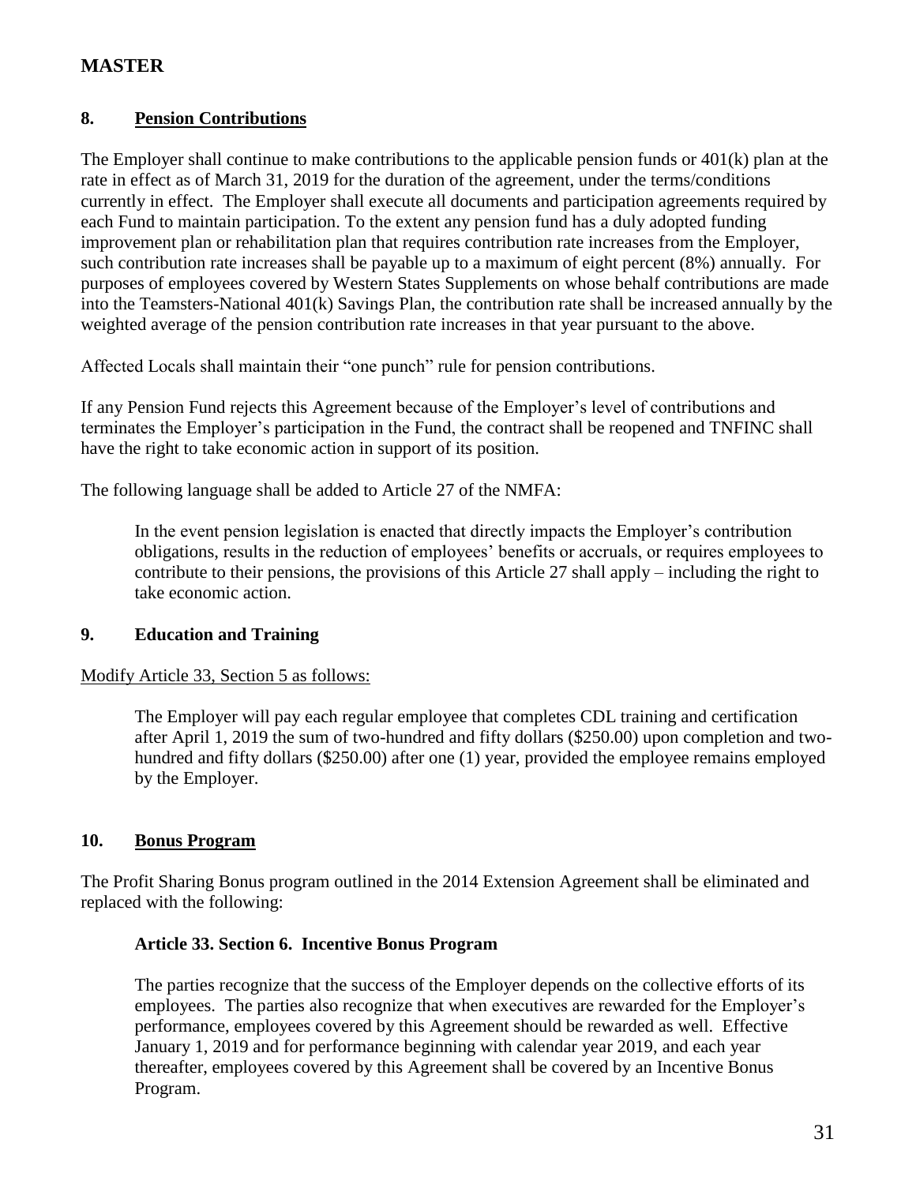## **8. Pension Contributions**

The Employer shall continue to make contributions to the applicable pension funds or 401(k) plan at the rate in effect as of March 31, 2019 for the duration of the agreement, under the terms/conditions currently in effect. The Employer shall execute all documents and participation agreements required by each Fund to maintain participation. To the extent any pension fund has a duly adopted funding improvement plan or rehabilitation plan that requires contribution rate increases from the Employer, such contribution rate increases shall be payable up to a maximum of eight percent (8%) annually. For purposes of employees covered by Western States Supplements on whose behalf contributions are made into the Teamsters-National 401(k) Savings Plan, the contribution rate shall be increased annually by the weighted average of the pension contribution rate increases in that year pursuant to the above.

Affected Locals shall maintain their "one punch" rule for pension contributions.

If any Pension Fund rejects this Agreement because of the Employer's level of contributions and terminates the Employer's participation in the Fund, the contract shall be reopened and TNFINC shall have the right to take economic action in support of its position.

The following language shall be added to Article 27 of the NMFA:

In the event pension legislation is enacted that directly impacts the Employer's contribution obligations, results in the reduction of employees' benefits or accruals, or requires employees to contribute to their pensions, the provisions of this Article 27 shall apply – including the right to take economic action.

## **9. Education and Training**

## Modify Article 33, Section 5 as follows:

The Employer will pay each regular employee that completes CDL training and certification after April 1, 2019 the sum of two-hundred and fifty dollars (\$250.00) upon completion and twohundred and fifty dollars (\$250.00) after one (1) year, provided the employee remains employed by the Employer.

## **10. Bonus Program**

The Profit Sharing Bonus program outlined in the 2014 Extension Agreement shall be eliminated and replaced with the following:

### **Article 33. Section 6. Incentive Bonus Program**

The parties recognize that the success of the Employer depends on the collective efforts of its employees. The parties also recognize that when executives are rewarded for the Employer's performance, employees covered by this Agreement should be rewarded as well. Effective January 1, 2019 and for performance beginning with calendar year 2019, and each year thereafter, employees covered by this Agreement shall be covered by an Incentive Bonus Program.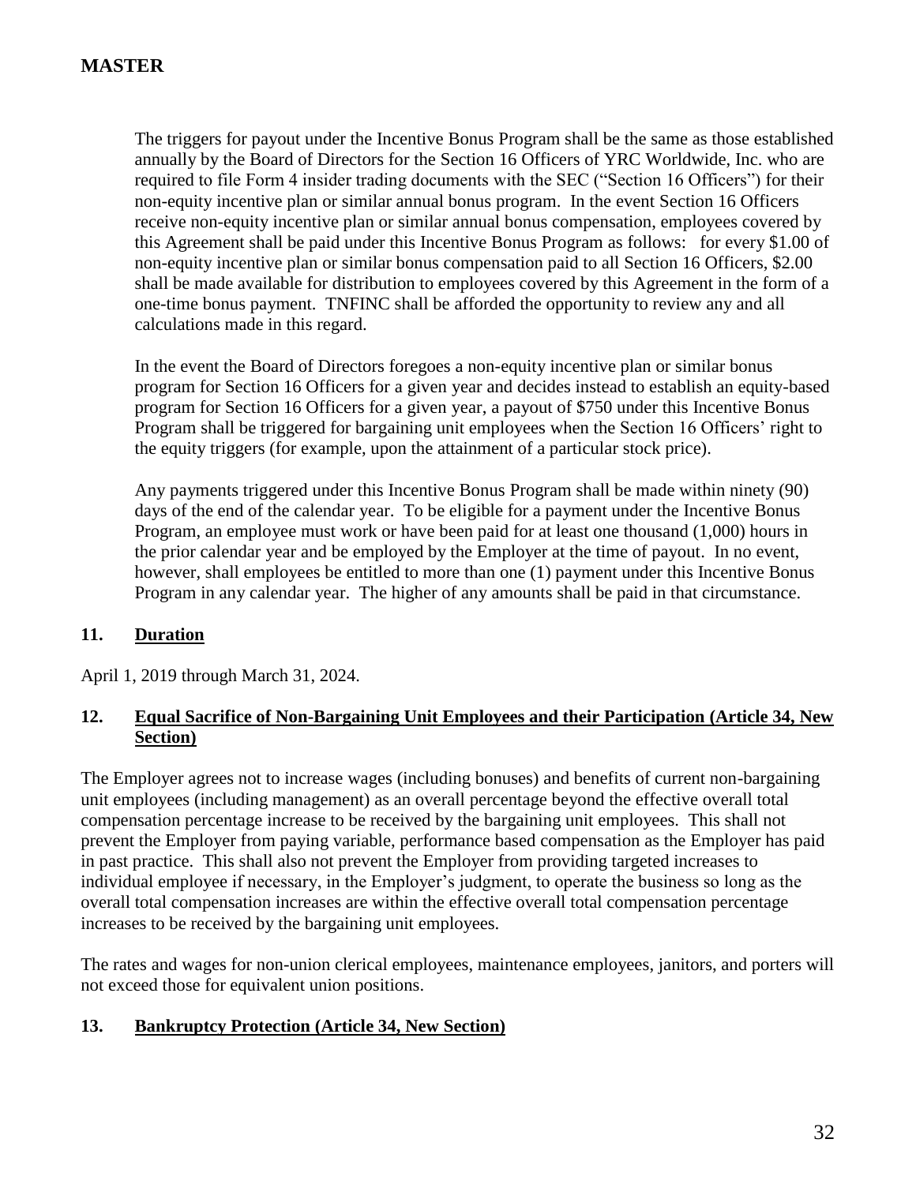The triggers for payout under the Incentive Bonus Program shall be the same as those established annually by the Board of Directors for the Section 16 Officers of YRC Worldwide, Inc. who are required to file Form 4 insider trading documents with the SEC ("Section 16 Officers") for their non-equity incentive plan or similar annual bonus program. In the event Section 16 Officers receive non-equity incentive plan or similar annual bonus compensation, employees covered by this Agreement shall be paid under this Incentive Bonus Program as follows: for every \$1.00 of non-equity incentive plan or similar bonus compensation paid to all Section 16 Officers, \$2.00 shall be made available for distribution to employees covered by this Agreement in the form of a one-time bonus payment. TNFINC shall be afforded the opportunity to review any and all calculations made in this regard.

In the event the Board of Directors foregoes a non-equity incentive plan or similar bonus program for Section 16 Officers for a given year and decides instead to establish an equity-based program for Section 16 Officers for a given year, a payout of \$750 under this Incentive Bonus Program shall be triggered for bargaining unit employees when the Section 16 Officers' right to the equity triggers (for example, upon the attainment of a particular stock price).

Any payments triggered under this Incentive Bonus Program shall be made within ninety (90) days of the end of the calendar year. To be eligible for a payment under the Incentive Bonus Program, an employee must work or have been paid for at least one thousand (1,000) hours in the prior calendar year and be employed by the Employer at the time of payout. In no event, however, shall employees be entitled to more than one (1) payment under this Incentive Bonus Program in any calendar year. The higher of any amounts shall be paid in that circumstance.

## **11. Duration**

April 1, 2019 through March 31, 2024.

## **12. Equal Sacrifice of Non-Bargaining Unit Employees and their Participation (Article 34, New Section)**

The Employer agrees not to increase wages (including bonuses) and benefits of current non-bargaining unit employees (including management) as an overall percentage beyond the effective overall total compensation percentage increase to be received by the bargaining unit employees. This shall not prevent the Employer from paying variable, performance based compensation as the Employer has paid in past practice. This shall also not prevent the Employer from providing targeted increases to individual employee if necessary, in the Employer's judgment, to operate the business so long as the overall total compensation increases are within the effective overall total compensation percentage increases to be received by the bargaining unit employees.

The rates and wages for non-union clerical employees, maintenance employees, janitors, and porters will not exceed those for equivalent union positions.

## **13. Bankruptcy Protection (Article 34, New Section)**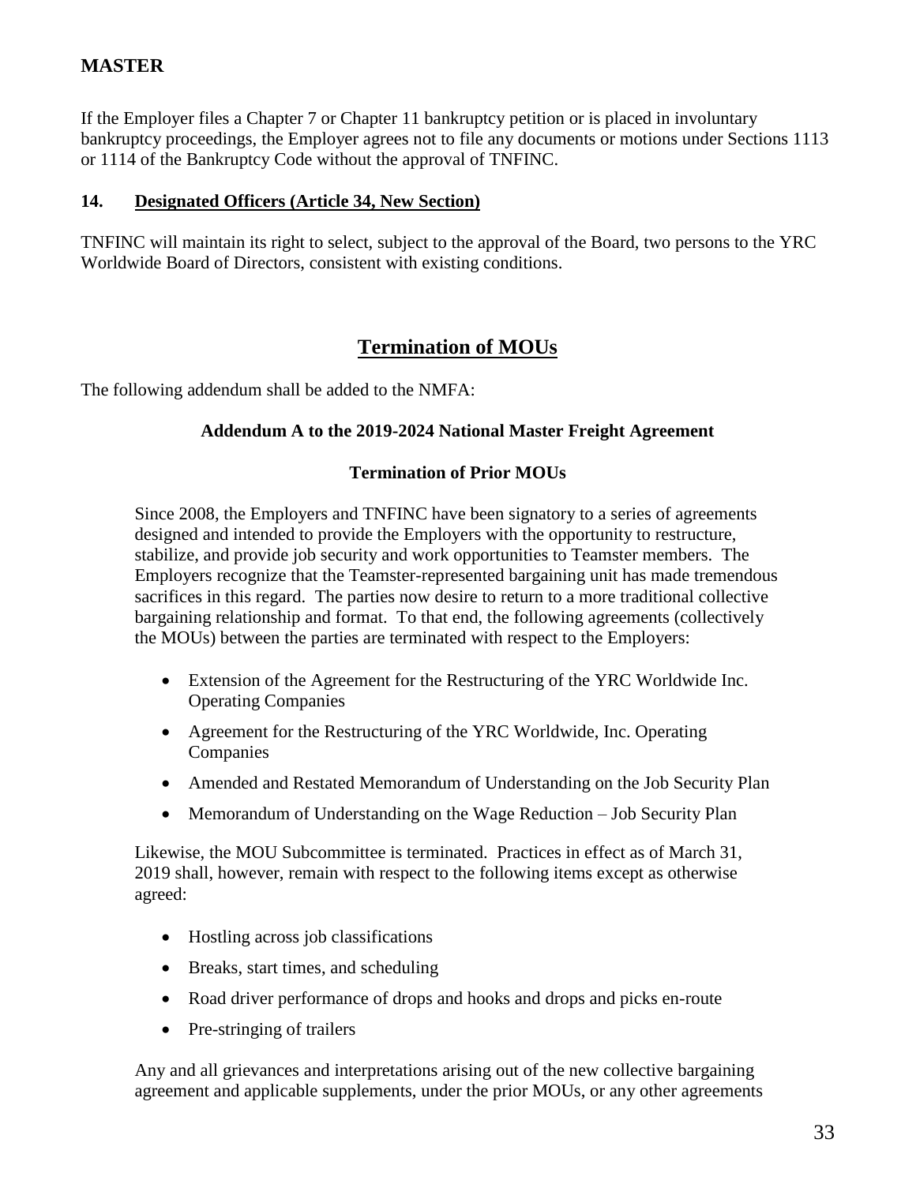If the Employer files a Chapter 7 or Chapter 11 bankruptcy petition or is placed in involuntary bankruptcy proceedings, the Employer agrees not to file any documents or motions under Sections 1113 or 1114 of the Bankruptcy Code without the approval of TNFINC.

## **14. Designated Officers (Article 34, New Section)**

TNFINC will maintain its right to select, subject to the approval of the Board, two persons to the YRC Worldwide Board of Directors, consistent with existing conditions.

## **Termination of MOUs**

The following addendum shall be added to the NMFA:

## **Addendum A to the 2019-2024 National Master Freight Agreement**

## **Termination of Prior MOUs**

Since 2008, the Employers and TNFINC have been signatory to a series of agreements designed and intended to provide the Employers with the opportunity to restructure, stabilize, and provide job security and work opportunities to Teamster members. The Employers recognize that the Teamster-represented bargaining unit has made tremendous sacrifices in this regard. The parties now desire to return to a more traditional collective bargaining relationship and format. To that end, the following agreements (collectively the MOUs) between the parties are terminated with respect to the Employers:

- Extension of the Agreement for the Restructuring of the YRC Worldwide Inc. Operating Companies
- Agreement for the Restructuring of the YRC Worldwide, Inc. Operating Companies
- Amended and Restated Memorandum of Understanding on the Job Security Plan
- Memorandum of Understanding on the Wage Reduction Job Security Plan

Likewise, the MOU Subcommittee is terminated. Practices in effect as of March 31, 2019 shall, however, remain with respect to the following items except as otherwise agreed:

- Hostling across job classifications
- Breaks, start times, and scheduling
- Road driver performance of drops and hooks and drops and picks en-route
- Pre-stringing of trailers

Any and all grievances and interpretations arising out of the new collective bargaining agreement and applicable supplements, under the prior MOUs, or any other agreements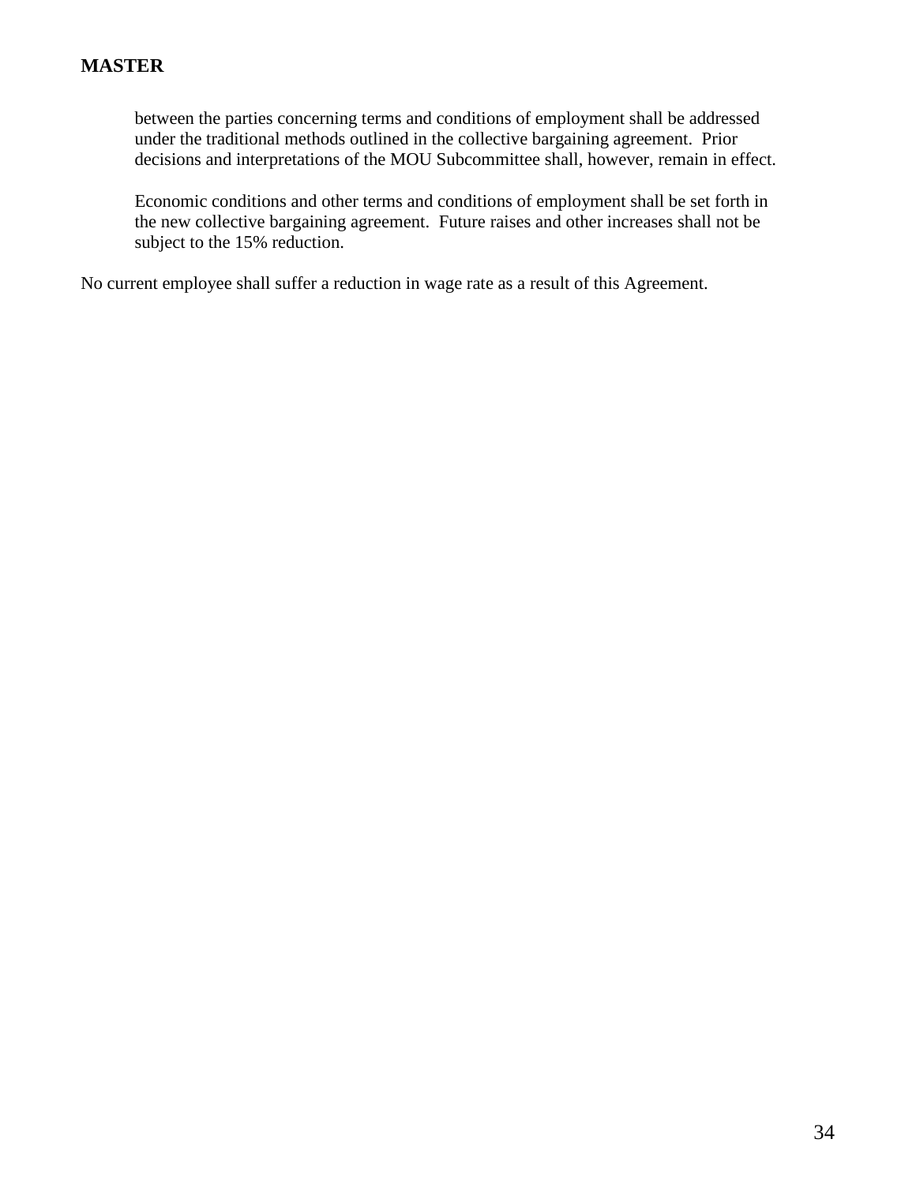between the parties concerning terms and conditions of employment shall be addressed under the traditional methods outlined in the collective bargaining agreement. Prior decisions and interpretations of the MOU Subcommittee shall, however, remain in effect.

Economic conditions and other terms and conditions of employment shall be set forth in the new collective bargaining agreement. Future raises and other increases shall not be subject to the 15% reduction.

No current employee shall suffer a reduction in wage rate as a result of this Agreement.